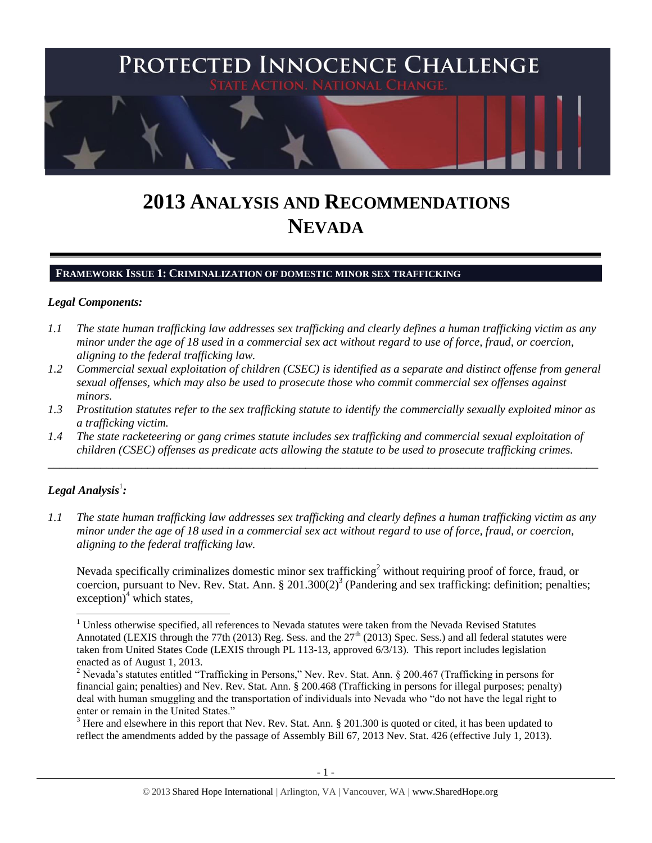

# **2013 ANALYSIS AND RECOMMENDATIONS NEVADA**

#### **FRAMEWORK ISSUE 1: CRIMINALIZATION OF DOMESTIC MINOR SEX TRAFFICKING**

#### *Legal Components:*

- *1.1 The state human trafficking law addresses sex trafficking and clearly defines a human trafficking victim as any minor under the age of 18 used in a commercial sex act without regard to use of force, fraud, or coercion, aligning to the federal trafficking law.*
- *1.2 Commercial sexual exploitation of children (CSEC) is identified as a separate and distinct offense from general sexual offenses, which may also be used to prosecute those who commit commercial sex offenses against minors.*
- *1.3 Prostitution statutes refer to the sex trafficking statute to identify the commercially sexually exploited minor as a trafficking victim.*

\_\_\_\_\_\_\_\_\_\_\_\_\_\_\_\_\_\_\_\_\_\_\_\_\_\_\_\_\_\_\_\_\_\_\_\_\_\_\_\_\_\_\_\_\_\_\_\_\_\_\_\_\_\_\_\_\_\_\_\_\_\_\_\_\_\_\_\_\_\_\_\_\_\_\_\_\_\_\_\_\_\_\_\_\_\_\_\_\_\_\_\_\_\_

*1.4 The state racketeering or gang crimes statute includes sex trafficking and commercial sexual exploitation of children (CSEC) offenses as predicate acts allowing the statute to be used to prosecute trafficking crimes.*

# $\bm{\mathit{Legal\, Analysis^1:}}$

<span id="page-0-0"></span> $\overline{a}$ 

*1.1 The state human trafficking law addresses sex trafficking and clearly defines a human trafficking victim as any minor under the age of 18 used in a commercial sex act without regard to use of force, fraud, or coercion, aligning to the federal trafficking law.*

Nevada specifically criminalizes domestic minor sex trafficking<sup>2</sup> without requiring proof of force, fraud, or coercion, pursuant to Nev. Rev. Stat. Ann. § 201.300(2)<sup>3</sup> (Pandering and sex trafficking: definition; penalties;  $exception)^4$  which states,

 $3$  Here and elsewhere in this report that Nev. Rev. Stat. Ann.  $\S 201.300$  is quoted or cited, it has been updated to reflect the amendments added by the passage of Assembly Bill 67, 2013 Nev. Stat. 426 (effective July 1, 2013).

 $1$  Unless otherwise specified, all references to Nevada statutes were taken from the Nevada Revised Statutes Annotated (LEXIS through the 77th (2013) Reg. Sess. and the  $27<sup>th</sup>$  (2013) Spec. Sess.) and all federal statutes were taken from United States Code (LEXIS through PL 113-13, approved 6/3/13). This report includes legislation enacted as of August 1, 2013.

<sup>&</sup>lt;sup>2</sup> Nevada's statutes entitled "Trafficking in Persons," Nev. Rev. Stat. Ann. § 200.467 (Trafficking in persons for financial gain; penalties) and Nev. Rev. Stat. Ann. § 200.468 (Trafficking in persons for illegal purposes; penalty) deal with human smuggling and the transportation of individuals into Nevada who "do not have the legal right to enter or remain in the United States."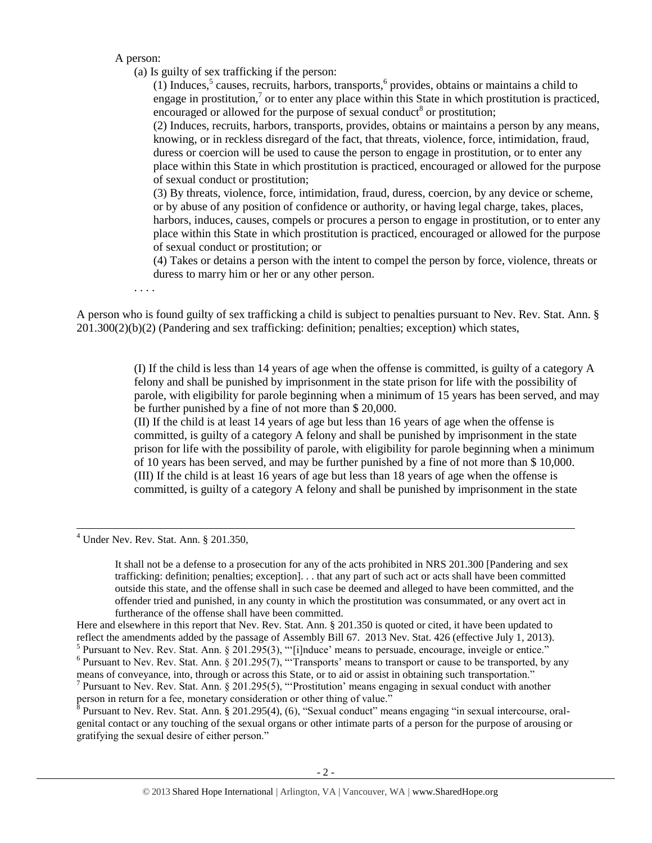A person:

(a) Is guilty of sex trafficking if the person:

<span id="page-1-3"></span><span id="page-1-2"></span><span id="page-1-1"></span><span id="page-1-0"></span> $(1)$  Induces,<sup>5</sup> causes, recruits, harbors, transports,<sup>6</sup> provides, obtains or maintains a child to engage in prostitution,<sup>7</sup> or to enter any place within this State in which prostitution is practiced, encouraged or allowed for the purpose of sexual conduct<sup>8</sup> or prostitution;

(2) Induces, recruits, harbors, transports, provides, obtains or maintains a person by any means, knowing, or in reckless disregard of the fact, that threats, violence, force, intimidation, fraud, duress or coercion will be used to cause the person to engage in prostitution, or to enter any place within this State in which prostitution is practiced, encouraged or allowed for the purpose of sexual conduct or prostitution;

(3) By threats, violence, force, intimidation, fraud, duress, coercion, by any device or scheme, or by abuse of any position of confidence or authority, or having legal charge, takes, places, harbors, induces, causes, compels or procures a person to engage in prostitution, or to enter any place within this State in which prostitution is practiced, encouraged or allowed for the purpose of sexual conduct or prostitution; or

(4) Takes or detains a person with the intent to compel the person by force, violence, threats or duress to marry him or her or any other person.

. . . .

A person who is found guilty of sex trafficking a child is subject to penalties pursuant to Nev. Rev. Stat. Ann. § 201.300(2)(b)(2) (Pandering and sex trafficking: definition; penalties; exception) which states,

> (I) If the child is less than 14 years of age when the offense is committed, is guilty of a category A felony and shall be punished by imprisonment in the state prison for life with the possibility of parole, with eligibility for parole beginning when a minimum of 15 years has been served, and may be further punished by a fine of not more than \$ 20,000.

> (II) If the child is at least 14 years of age but less than 16 years of age when the offense is committed, is guilty of a category A felony and shall be punished by imprisonment in the state prison for life with the possibility of parole, with eligibility for parole beginning when a minimum of 10 years has been served, and may be further punished by a fine of not more than \$ 10,000. (III) If the child is at least 16 years of age but less than 18 years of age when the offense is committed, is guilty of a category A felony and shall be punished by imprisonment in the state

 $<sup>4</sup>$  Under Nev. Rev. Stat. Ann. § 201.350,</sup>

 $\overline{a}$ 

It shall not be a defense to a prosecution for any of the acts prohibited in NRS 201.300 [Pandering and sex trafficking: definition; penalties; exception]. . . that any part of such act or acts shall have been committed outside this state, and the offense shall in such case be deemed and alleged to have been committed, and the offender tried and punished, in any county in which the prostitution was consummated, or any overt act in furtherance of the offense shall have been committed.

Here and elsewhere in this report that Nev. Rev. Stat. Ann. § 201.350 is quoted or cited, it have been updated to reflect the amendments added by the passage of Assembly Bill 67. 2013 Nev. Stat. 426 (effective July 1, 2013). <sup>5</sup> Pursuant to Nev. Rev. Stat. Ann. § 201.295(3), "'[i]nduce' means to persuade, encourage, inveigle or entice."<br><sup>6</sup> Pursuant to Nev. Rev. Stat. Ann. § 201.295(7), "'Transports' means to transport or cause to be transpor

means of conveyance, into, through or across this State, or to aid or assist in obtaining such transportation." <sup>7</sup> Pursuant to Nev. Rev. Stat. Ann. § 201.295(5), "Prostitution' means engaging in sexual conduct with another

person in return for a fee, monetary consideration or other thing of value."

<sup>8</sup> Pursuant to Nev. Rev. Stat. Ann. § 201.295(4), (6), "Sexual conduct" means engaging "in sexual intercourse, oralgenital contact or any touching of the sexual organs or other intimate parts of a person for the purpose of arousing or gratifying the sexual desire of either person."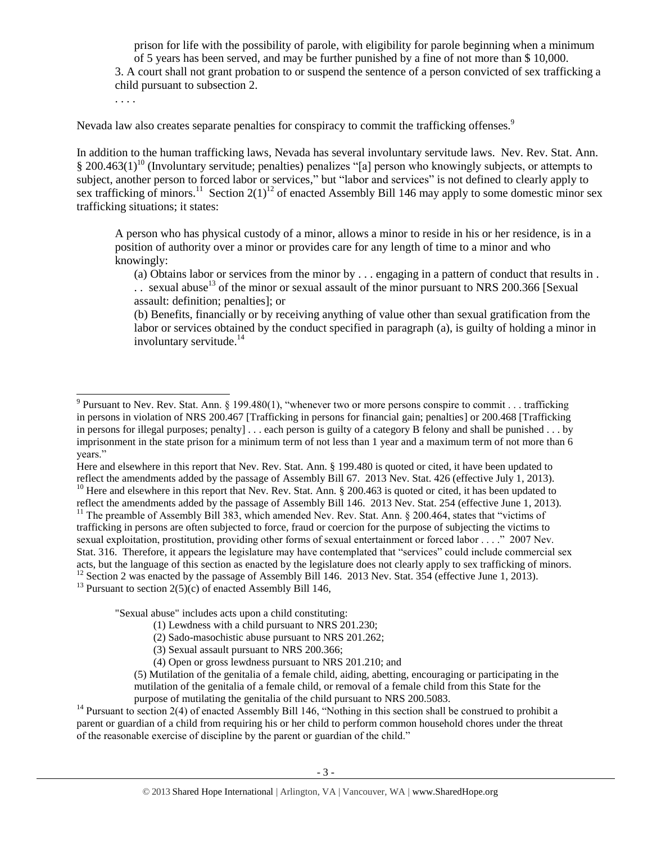prison for life with the possibility of parole, with eligibility for parole beginning when a minimum of 5 years has been served, and may be further punished by a fine of not more than \$ 10,000. 3. A court shall not grant probation to or suspend the sentence of a person convicted of sex trafficking a child pursuant to subsection 2.

Nevada law also creates separate penalties for conspiracy to commit the trafficking offenses.<sup>9</sup>

<span id="page-2-2"></span>. . . .

 $\overline{a}$ 

<span id="page-2-0"></span>In addition to the human trafficking laws, Nevada has several involuntary servitude laws. Nev. Rev. Stat. Ann.  $\S 200.463(1)^{10}$  (Involuntary servitude; penalties) penalizes "[a] person who knowingly subjects, or attempts to subject, another person to forced labor or services," but "labor and services" is not defined to clearly apply to sex trafficking of minors.<sup>11</sup> Section 2(1)<sup>12</sup> of enacted Assembly Bill 146 may apply to some domestic minor sex trafficking situations; it states:

A person who has physical custody of a minor, allows a minor to reside in his or her residence, is in a position of authority over a minor or provides care for any length of time to a minor and who knowingly:

<span id="page-2-1"></span>(a) Obtains labor or services from the minor by . . . engaging in a pattern of conduct that results in . .. sexual abuse<sup>13</sup> of the minor or sexual assault of the minor pursuant to NRS 200.366 [Sexual assault: definition; penalties]; or

(b) Benefits, financially or by receiving anything of value other than sexual gratification from the labor or services obtained by the conduct specified in paragraph (a), is guilty of holding a minor in involuntary servitude. $14$ 

Here and elsewhere in this report that Nev. Rev. Stat. Ann. § 199.480 is quoted or cited, it have been updated to reflect the amendments added by the passage of Assembly Bill 67. 2013 Nev. Stat. 426 (effective July 1, 2013).  $10$  Here and elsewhere in this report that Nev. Rev. Stat. Ann. § 200.463 is quoted or cited, it has been updated to

reflect the amendments added by the passage of Assembly Bill 146. 2013 Nev. Stat. 254 (effective June 1, 2013). <sup>11</sup> The preamble of Assembly Bill 383, which amended Nev. Rev. Stat. Ann.  $\S$  200.464, states that "victims of trafficking in persons are often subjected to force, fraud or coercion for the purpose of subjecting the victims to sexual exploitation, prostitution, providing other forms of sexual entertainment or forced labor . . . ." 2007 Nev. Stat. 316. Therefore, it appears the legislature may have contemplated that "services" could include commercial sex acts, but the language of this section as enacted by the legislature does not clearly apply to sex trafficking of minors. <sup>12</sup> Section 2 was enacted by the passage of Assembly Bill 146. 2013 Nev. Stat. 354 (effective June 1, 2013). <sup>13</sup> Pursuant to section  $2(5)(c)$  of enacted Assembly Bill 146,

"Sexual abuse" includes acts upon a child constituting:

- (1) Lewdness with a child pursuant to NRS 201.230;
- (2) Sado-masochistic abuse pursuant to NRS 201.262;

<sup>&</sup>lt;sup>9</sup> Pursuant to Nev. Rev. Stat. Ann. § 199.480(1), "whenever two or more persons conspire to commit . . . trafficking in persons in violation of NRS 200.467 [Trafficking in persons for financial gain; penalties] or 200.468 [Trafficking in persons for illegal purposes; penalty] . . . each person is guilty of a category B felony and shall be punished . . . by imprisonment in the state prison for a minimum term of not less than 1 year and a maximum term of not more than 6 years."

<sup>(3)</sup> Sexual assault pursuant to NRS 200.366;

<sup>(4)</sup> Open or gross lewdness pursuant to NRS 201.210; and

<sup>(5)</sup> Mutilation of the genitalia of a female child, aiding, abetting, encouraging or participating in the mutilation of the genitalia of a female child, or removal of a female child from this State for the purpose of mutilating the genitalia of the child pursuant to NRS 200.5083.

<sup>&</sup>lt;sup>14</sup> Pursuant to section 2(4) of enacted Assembly Bill 146, "Nothing in this section shall be construed to prohibit a parent or guardian of a child from requiring his or her child to perform common household chores under the threat of the reasonable exercise of discipline by the parent or guardian of the child."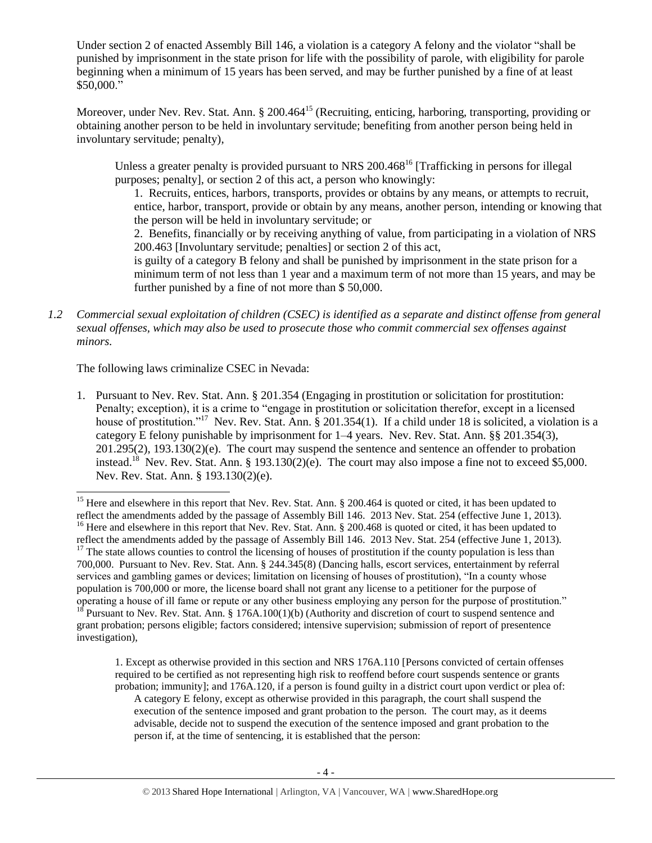Under section 2 of enacted Assembly Bill 146, a violation is a category A felony and the violator "shall be punished by imprisonment in the state prison for life with the possibility of parole, with eligibility for parole beginning when a minimum of 15 years has been served, and may be further punished by a fine of at least \$50,000."

Moreover, under Nev. Rev. Stat. Ann. § 200.464<sup>15</sup> (Recruiting, enticing, harboring, transporting, providing or obtaining another person to be held in involuntary servitude; benefiting from another person being held in involuntary servitude; penalty),

Unless a greater penalty is provided pursuant to NRS 200.468<sup>16</sup> [Trafficking in persons for illegal] purposes; penalty], or section 2 of this act, a person who knowingly:

1. Recruits, entices, harbors, transports, provides or obtains by any means, or attempts to recruit, entice, harbor, transport, provide or obtain by any means, another person, intending or knowing that the person will be held in involuntary servitude; or

2. Benefits, financially or by receiving anything of value, from participating in a violation of NRS 200.463 [Involuntary servitude; penalties] or section 2 of this act,

is guilty of a category B felony and shall be punished by imprisonment in the state prison for a minimum term of not less than 1 year and a maximum term of not more than 15 years, and may be further punished by a fine of not more than \$ 50,000.

*1.2 Commercial sexual exploitation of children (CSEC) is identified as a separate and distinct offense from general sexual offenses, which may also be used to prosecute those who commit commercial sex offenses against minors.*

The following laws criminalize CSEC in Nevada:

<span id="page-3-0"></span> $\overline{a}$ 

1. Pursuant to Nev. Rev. Stat. Ann. § 201.354 (Engaging in prostitution or solicitation for prostitution: Penalty; exception), it is a crime to "engage in prostitution or solicitation therefor, except in a licensed house of prostitution."<sup>17</sup> Nev. Rev. Stat. Ann. § 201.354(1). If a child under 18 is solicited, a violation is a category E felony punishable by imprisonment for 1–4 years. Nev. Rev. Stat. Ann. §§ 201.354(3),  $201.295(2)$ ,  $193.130(2)(e)$ . The court may suspend the sentence and sentence an offender to probation instead.<sup>18</sup> Nev. Rev. Stat. Ann. § 193.130(2)(e). The court may also impose a fine not to exceed \$5,000. Nev. Rev. Stat. Ann. § 193.130(2)(e).

1. Except as otherwise provided in this section and NRS 176A.110 [Persons convicted of certain offenses required to be certified as not representing high risk to reoffend before court suspends sentence or grants probation; immunity]; and 176A.120, if a person is found guilty in a district court upon verdict or plea of:

A category E felony, except as otherwise provided in this paragraph, the court shall suspend the execution of the sentence imposed and grant probation to the person. The court may, as it deems advisable, decide not to suspend the execution of the sentence imposed and grant probation to the person if, at the time of sentencing, it is established that the person:

<sup>&</sup>lt;sup>15</sup> Here and elsewhere in this report that Nev. Rev. Stat. Ann. § 200.464 is quoted or cited, it has been updated to reflect the amendments added by the passage of Assembly Bill 146. 2013 Nev. Stat. 254 (effective June 1, 2013). <sup>16</sup> Here and elsewhere in this report that Nev. Rev. Stat. Ann. § 200.468 is quoted or cited, it has been updated to reflect the amendments added by the passage of Assembly Bill 146. 2013 Nev. Stat. 254 (effective June 1, 2013).  $17$  The state allows counties to control the licensing of houses of prostitution if the county population is less than 700,000. Pursuant to Nev. Rev. Stat. Ann. § 244.345(8) (Dancing halls, escort services, entertainment by referral services and gambling games or devices; limitation on licensing of houses of prostitution), "In a county whose population is 700,000 or more, the license board shall not grant any license to a petitioner for the purpose of operating a house of ill fame or repute or any other business employing any person for the purpose of prostitution." <sup>18</sup> Pursuant to Nev. Rev. Stat. Ann. § 176A.100(1)(b) (Authority and discretion of court to suspend sentence and grant probation; persons eligible; factors considered; intensive supervision; submission of report of presentence investigation),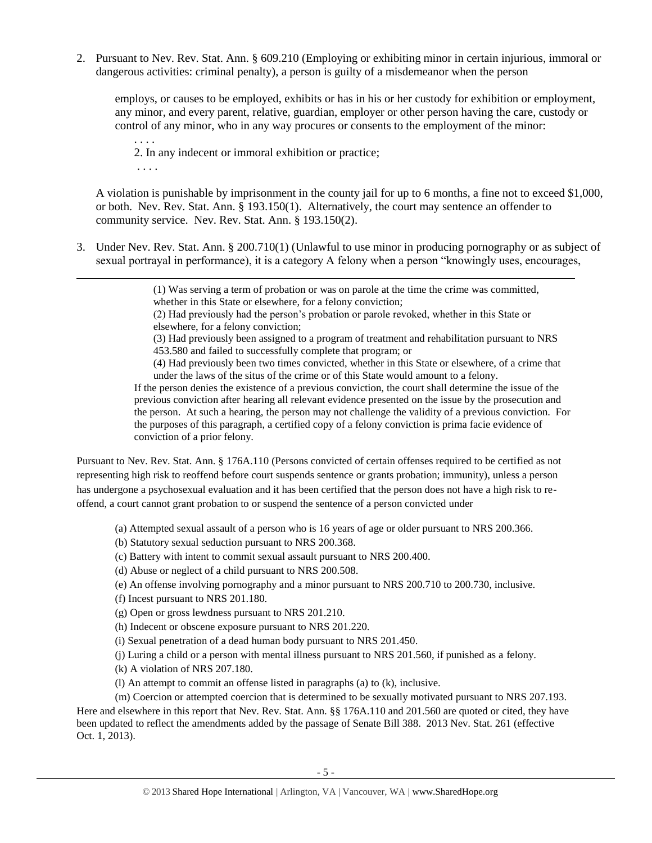2. Pursuant to Nev. Rev. Stat. Ann. § 609.210 (Employing or exhibiting minor in certain injurious, immoral or dangerous activities: criminal penalty), a person is guilty of a misdemeanor when the person

employs, or causes to be employed, exhibits or has in his or her custody for exhibition or employment, any minor, and every parent, relative, guardian, employer or other person having the care, custody or control of any minor, who in any way procures or consents to the employment of the minor:

. . . . 2. In any indecent or immoral exhibition or practice; . . . .

A violation is punishable by imprisonment in the county jail for up to 6 months, a fine not to exceed \$1,000, or both. Nev. Rev. Stat. Ann. § 193.150(1). Alternatively, the court may sentence an offender to community service. Nev. Rev. Stat. Ann. § 193.150(2).

3. Under Nev. Rev. Stat. Ann. § 200.710(1) (Unlawful to use minor in producing pornography or as subject of sexual portrayal in performance), it is a category A felony when a person "knowingly uses, encourages,

> (1) Was serving a term of probation or was on parole at the time the crime was committed, whether in this State or elsewhere, for a felony conviction;

(2) Had previously had the person's probation or parole revoked, whether in this State or elsewhere, for a felony conviction;

(3) Had previously been assigned to a program of treatment and rehabilitation pursuant to NRS 453.580 and failed to successfully complete that program; or

(4) Had previously been two times convicted, whether in this State or elsewhere, of a crime that under the laws of the situs of the crime or of this State would amount to a felony.

If the person denies the existence of a previous conviction, the court shall determine the issue of the previous conviction after hearing all relevant evidence presented on the issue by the prosecution and the person. At such a hearing, the person may not challenge the validity of a previous conviction. For the purposes of this paragraph, a certified copy of a felony conviction is prima facie evidence of conviction of a prior felony.

Pursuant to Nev. Rev. Stat. Ann. § 176A.110 (Persons convicted of certain offenses required to be certified as not representing high risk to reoffend before court suspends sentence or grants probation; immunity), unless a person has undergone a psychosexual evaluation and it has been certified that the person does not have a high risk to reoffend, a court cannot grant probation to or suspend the sentence of a person convicted under

(a) Attempted sexual assault of a person who is 16 years of age or older pursuant to NRS 200.366.

(b) Statutory sexual seduction pursuant to NRS 200.368.

(c) Battery with intent to commit sexual assault pursuant to NRS 200.400.

(d) Abuse or neglect of a child pursuant to NRS 200.508.

(e) An offense involving pornography and a minor pursuant to NRS 200.710 to 200.730, inclusive.

(f) Incest pursuant to NRS 201.180.

 $\overline{a}$ 

(g) Open or gross lewdness pursuant to NRS 201.210.

(h) Indecent or obscene exposure pursuant to NRS 201.220.

(i) Sexual penetration of a dead human body pursuant to NRS 201.450.

(j) Luring a child or a person with mental illness pursuant to NRS 201.560, if punished as a felony.

(k) A violation of NRS 207.180.

(l) An attempt to commit an offense listed in paragraphs (a) to (k), inclusive.

(m) Coercion or attempted coercion that is determined to be sexually motivated pursuant to NRS 207.193. Here and elsewhere in this report that Nev. Rev. Stat. Ann. §§ 176A.110 and 201.560 are quoted or cited, they have been updated to reflect the amendments added by the passage of Senate Bill 388. 2013 Nev. Stat. 261 (effective Oct. 1, 2013).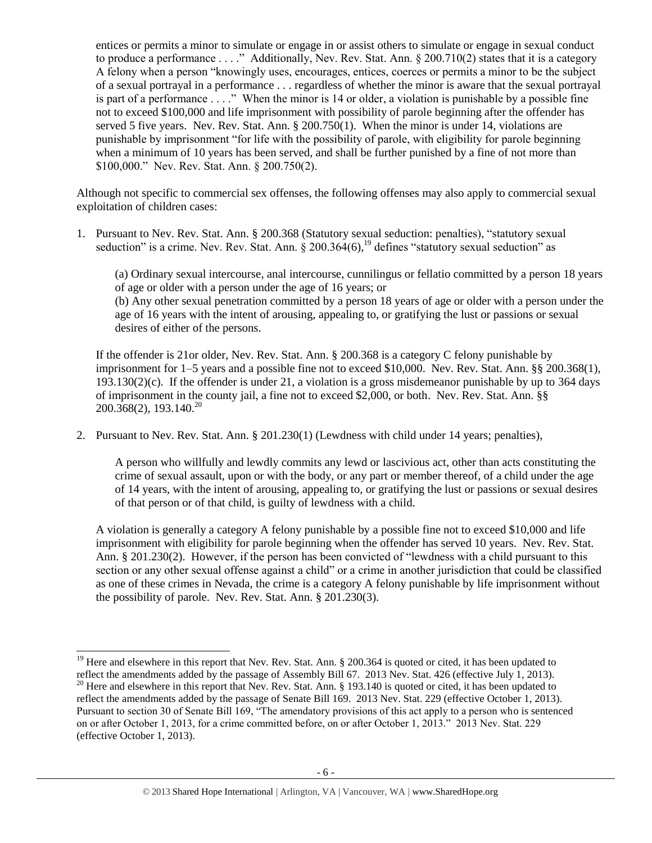entices or permits a minor to simulate or engage in or assist others to simulate or engage in sexual conduct to produce a performance . . . ." Additionally, Nev. Rev. Stat. Ann. § 200.710(2) states that it is a category A felony when a person "knowingly uses, encourages, entices, coerces or permits a minor to be the subject of a sexual portrayal in a performance . . . regardless of whether the minor is aware that the sexual portrayal is part of a performance . . . ." When the minor is 14 or older, a violation is punishable by a possible fine not to exceed \$100,000 and life imprisonment with possibility of parole beginning after the offender has served 5 five years. Nev. Rev. Stat. Ann. § 200.750(1). When the minor is under 14, violations are punishable by imprisonment "for life with the possibility of parole, with eligibility for parole beginning when a minimum of 10 years has been served, and shall be further punished by a fine of not more than \$100,000." Nev. Rev. Stat. Ann. § 200.750(2).

Although not specific to commercial sex offenses, the following offenses may also apply to commercial sexual exploitation of children cases:

1. Pursuant to Nev. Rev. Stat. Ann. § 200.368 (Statutory sexual seduction: penalties), "statutory sexual seduction" is a crime. Nev. Rev. Stat. Ann.  $\frac{8}{200.364(6)}$ ,  $\frac{19}{9}$  defines "statutory sexual seduction" as

(a) Ordinary sexual intercourse, anal intercourse, cunnilingus or fellatio committed by a person 18 years of age or older with a person under the age of 16 years; or (b) Any other sexual penetration committed by a person 18 years of age or older with a person under the age of 16 years with the intent of arousing, appealing to, or gratifying the lust or passions or sexual desires of either of the persons.

If the offender is 21or older, Nev. Rev. Stat. Ann. § 200.368 is a category C felony punishable by imprisonment for 1–5 years and a possible fine not to exceed \$10,000. Nev. Rev. Stat. Ann. §§ 200.368(1), 193.130(2)(c). If the offender is under 21, a violation is a gross misdemeanor punishable by up to 364 days of imprisonment in the county jail, a fine not to exceed \$2,000, or both. Nev. Rev. Stat. Ann. §§  $200.368(2)$ , 193.140.<sup>20</sup>

2. Pursuant to Nev. Rev. Stat. Ann. § 201.230(1) (Lewdness with child under 14 years; penalties),

A person who willfully and lewdly commits any lewd or lascivious act, other than acts constituting the crime of sexual assault, upon or with the body, or any part or member thereof, of a child under the age of 14 years, with the intent of arousing, appealing to, or gratifying the lust or passions or sexual desires of that person or of that child, is guilty of lewdness with a child.

A violation is generally a category A felony punishable by a possible fine not to exceed \$10,000 and life imprisonment with eligibility for parole beginning when the offender has served 10 years. Nev. Rev. Stat. Ann. § 201.230(2). However, if the person has been convicted of "lewdness with a child pursuant to this section or any other sexual offense against a child" or a crime in another jurisdiction that could be classified as one of these crimes in Nevada, the crime is a category A felony punishable by life imprisonment without the possibility of parole. Nev. Rev. Stat. Ann. § 201.230(3).

 $\overline{a}$ 

 $19$  Here and elsewhere in this report that Nev. Rev. Stat. Ann. § 200.364 is quoted or cited, it has been updated to reflect the amendments added by the passage of Assembly Bill 67. 2013 Nev. Stat. 426 (effective July 1, 2013).

<sup>&</sup>lt;sup>20</sup> Here and elsewhere in this report that Nev. Rev. Stat. Ann. § 193.140 is quoted or cited, it has been updated to reflect the amendments added by the passage of Senate Bill 169. 2013 Nev. Stat. 229 (effective October 1, 2013). Pursuant to section 30 of Senate Bill 169, "The amendatory provisions of this act apply to a person who is sentenced on or after October 1, 2013, for a crime committed before, on or after October 1, 2013." 2013 Nev. Stat. 229 (effective October 1, 2013).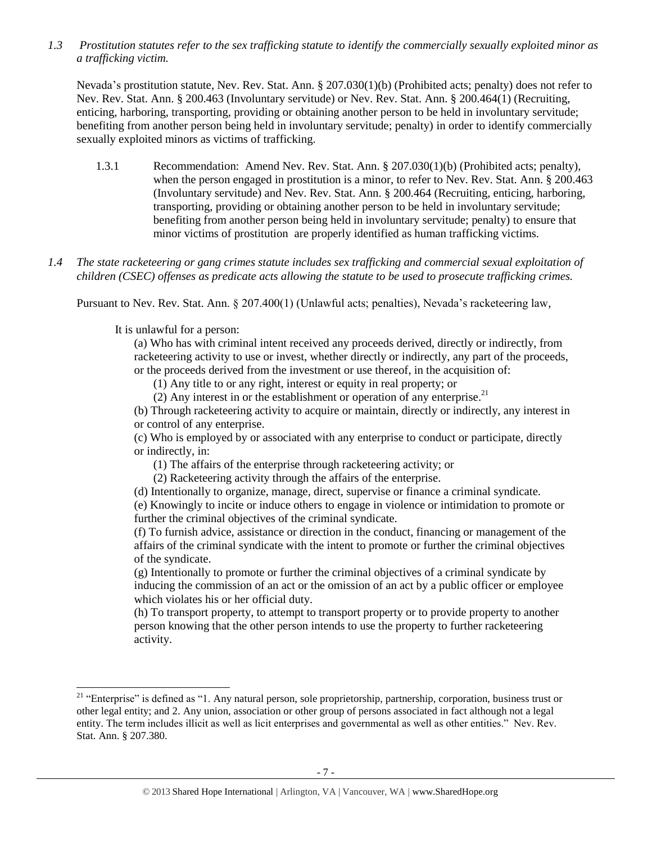*1.3 Prostitution statutes refer to the sex trafficking statute to identify the commercially sexually exploited minor as a trafficking victim.* 

Nevada's prostitution statute, Nev. Rev. Stat. Ann. § 207.030(1)(b) (Prohibited acts; penalty) does not refer to Nev. Rev. Stat. Ann. § 200.463 (Involuntary servitude) or Nev. Rev. Stat. Ann. § 200.464(1) (Recruiting, enticing, harboring, transporting, providing or obtaining another person to be held in involuntary servitude; benefiting from another person being held in involuntary servitude; penalty) in order to identify commercially sexually exploited minors as victims of trafficking.

- 1.3.1 Recommendation: Amend Nev. Rev. Stat. Ann. § 207.030(1)(b) (Prohibited acts; penalty), when the person engaged in prostitution is a minor, to refer to Nev. Rev. Stat. Ann. § 200.463 (Involuntary servitude) and Nev. Rev. Stat. Ann. § 200.464 (Recruiting, enticing, harboring, transporting, providing or obtaining another person to be held in involuntary servitude; benefiting from another person being held in involuntary servitude; penalty) to ensure that minor victims of prostitution are properly identified as human trafficking victims.
- *1.4 The state racketeering or gang crimes statute includes sex trafficking and commercial sexual exploitation of children (CSEC) offenses as predicate acts allowing the statute to be used to prosecute trafficking crimes.*

Pursuant to Nev. Rev. Stat. Ann. § 207.400(1) (Unlawful acts; penalties), Nevada's racketeering law,

It is unlawful for a person:

 $\overline{a}$ 

(a) Who has with criminal intent received any proceeds derived, directly or indirectly, from racketeering activity to use or invest, whether directly or indirectly, any part of the proceeds, or the proceeds derived from the investment or use thereof, in the acquisition of:

(1) Any title to or any right, interest or equity in real property; or

(2) Any interest in or the establishment or operation of any enterprise. $^{21}$ 

(b) Through racketeering activity to acquire or maintain, directly or indirectly, any interest in or control of any enterprise.

(c) Who is employed by or associated with any enterprise to conduct or participate, directly or indirectly, in:

(1) The affairs of the enterprise through racketeering activity; or

(2) Racketeering activity through the affairs of the enterprise.

(d) Intentionally to organize, manage, direct, supervise or finance a criminal syndicate.

(e) Knowingly to incite or induce others to engage in violence or intimidation to promote or further the criminal objectives of the criminal syndicate.

(f) To furnish advice, assistance or direction in the conduct, financing or management of the affairs of the criminal syndicate with the intent to promote or further the criminal objectives of the syndicate.

(g) Intentionally to promote or further the criminal objectives of a criminal syndicate by inducing the commission of an act or the omission of an act by a public officer or employee which violates his or her official duty.

(h) To transport property, to attempt to transport property or to provide property to another person knowing that the other person intends to use the property to further racketeering activity.

<sup>&</sup>lt;sup>21</sup> "Enterprise" is defined as "1. Any natural person, sole proprietorship, partnership, corporation, business trust or other legal entity; and 2. Any union, association or other group of persons associated in fact although not a legal entity. The term includes illicit as well as licit enterprises and governmental as well as other entities." Nev. Rev. Stat. Ann. § 207.380.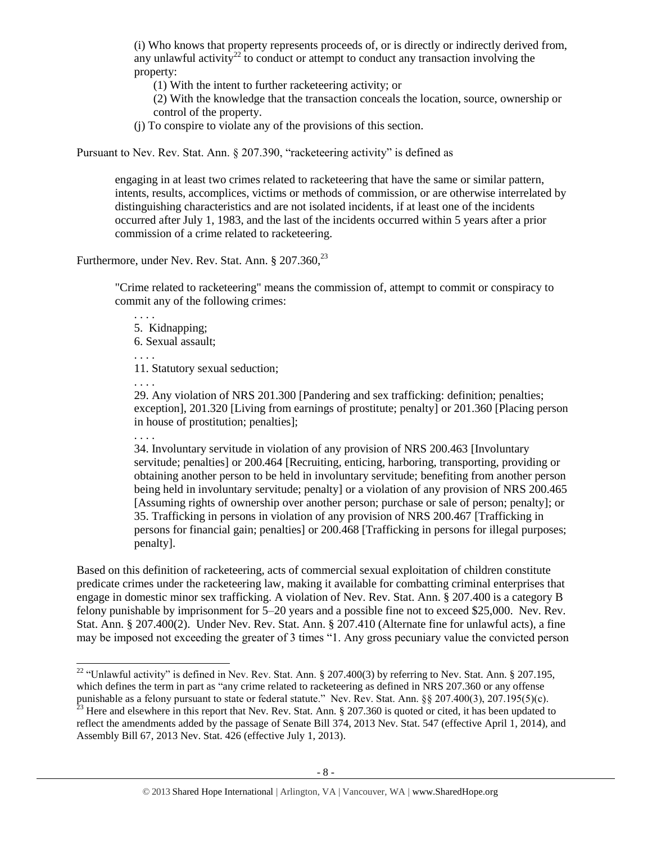(i) Who knows that property represents proceeds of, or is directly or indirectly derived from, any unlawful activity<sup>22</sup> to conduct or attempt to conduct any transaction involving the property:

(1) With the intent to further racketeering activity; or

(2) With the knowledge that the transaction conceals the location, source, ownership or control of the property.

(j) To conspire to violate any of the provisions of this section.

Pursuant to Nev. Rev. Stat. Ann. § 207.390, "racketeering activity" is defined as

engaging in at least two crimes related to racketeering that have the same or similar pattern, intents, results, accomplices, victims or methods of commission, or are otherwise interrelated by distinguishing characteristics and are not isolated incidents, if at least one of the incidents occurred after July 1, 1983, and the last of the incidents occurred within 5 years after a prior commission of a crime related to racketeering.

Furthermore, under Nev. Rev. Stat. Ann.  $\S 207.360$ ,  $23$ 

"Crime related to racketeering" means the commission of, attempt to commit or conspiracy to commit any of the following crimes:

. . . . 5. Kidnapping; 6. Sexual assault; . . . . 11. Statutory sexual seduction;

. . . .

. . . . 29. Any violation of NRS 201.300 [Pandering and sex trafficking: definition; penalties; exception], 201.320 [Living from earnings of prostitute; penalty] or 201.360 [Placing person in house of prostitution; penalties];

34. Involuntary servitude in violation of any provision of NRS 200.463 [Involuntary servitude; penalties] or 200.464 [Recruiting, enticing, harboring, transporting, providing or obtaining another person to be held in involuntary servitude; benefiting from another person being held in involuntary servitude; penalty] or a violation of any provision of NRS 200.465 [Assuming rights of ownership over another person; purchase or sale of person; penalty]; or 35. Trafficking in persons in violation of any provision of NRS 200.467 [Trafficking in persons for financial gain; penalties] or 200.468 [Trafficking in persons for illegal purposes; penalty].

Based on this definition of racketeering, acts of commercial sexual exploitation of children constitute predicate crimes under the racketeering law, making it available for combatting criminal enterprises that engage in domestic minor sex trafficking. A violation of Nev. Rev. Stat. Ann. § 207.400 is a category B felony punishable by imprisonment for 5–20 years and a possible fine not to exceed \$25,000. Nev. Rev. Stat. Ann. § 207.400(2). Under Nev. Rev. Stat. Ann. § 207.410 (Alternate fine for unlawful acts), a fine may be imposed not exceeding the greater of 3 times "1. Any gross pecuniary value the convicted person

l <sup>22</sup> "Unlawful activity" is defined in Nev. Rev. Stat. Ann. § 207.400(3) by referring to Nev. Stat. Ann. § 207.195, which defines the term in part as "any crime related to racketeering as defined in NRS 207.360 or any offense punishable as a felony pursuant to state or federal statute." Nev. Rev. Stat. Ann. §§ 207.400(3), 207.195(5)(c).

 $^{23}$  Here and elsewhere in this report that Nev. Rev. Stat. Ann. § 207.360 is quoted or cited, it has been updated to reflect the amendments added by the passage of Senate Bill 374, 2013 Nev. Stat. 547 (effective April 1, 2014), and Assembly Bill 67, 2013 Nev. Stat. 426 (effective July 1, 2013).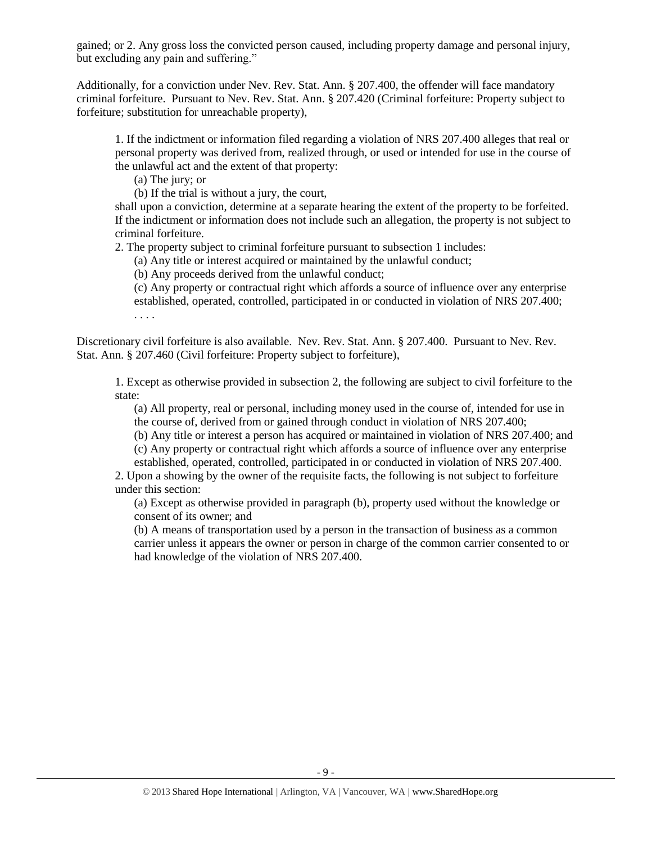gained; or 2. Any gross loss the convicted person caused, including property damage and personal injury, but excluding any pain and suffering."

Additionally, for a conviction under Nev. Rev. Stat. Ann. § 207.400, the offender will face mandatory criminal forfeiture. Pursuant to Nev. Rev. Stat. Ann. § 207.420 (Criminal forfeiture: Property subject to forfeiture; substitution for unreachable property),

1. If the indictment or information filed regarding a violation of NRS 207.400 alleges that real or personal property was derived from, realized through, or used or intended for use in the course of the unlawful act and the extent of that property:

(a) The jury; or

(b) If the trial is without a jury, the court,

shall upon a conviction, determine at a separate hearing the extent of the property to be forfeited. If the indictment or information does not include such an allegation, the property is not subject to criminal forfeiture.

2. The property subject to criminal forfeiture pursuant to subsection 1 includes:

(a) Any title or interest acquired or maintained by the unlawful conduct;

(b) Any proceeds derived from the unlawful conduct;

(c) Any property or contractual right which affords a source of influence over any enterprise established, operated, controlled, participated in or conducted in violation of NRS 207.400; . . . .

Discretionary civil forfeiture is also available. Nev. Rev. Stat. Ann. § 207.400. Pursuant to Nev. Rev. Stat. Ann. § 207.460 (Civil forfeiture: Property subject to forfeiture),

1. Except as otherwise provided in subsection 2, the following are subject to civil forfeiture to the state:

(a) All property, real or personal, including money used in the course of, intended for use in the course of, derived from or gained through conduct in violation of [NRS 207.400;](http://www.lexis.com/research/buttonTFLink?_m=4410c5408e7f0f7a9e672f2d3701d15a&_xfercite=%3ccite%20cc%3d%22USA%22%3e%3c%21%5bCDATA%5bNev.%20Rev.%20Stat.%20Ann.%20%a7%20207.460%5d%5d%3e%3c%2fcite%3e&_butType=4&_butStat=0&_butNum=2&_butInline=1&_butinfo=NVCODE%20207.400&_fmtstr=FULL&docnum=1&_startdoc=1&wchp=dGLbVzt-zSkAb&_md5=da41b521cd2bf76e87f140cfed117b62)

(b) Any title or interest a person has acquired or maintained in violation of NRS 207.400; and

(c) Any property or contractual right which affords a source of influence over any enterprise

established, operated, controlled, participated in or conducted in violation of NRS 207.400. 2. Upon a showing by the owner of the requisite facts, the following is not subject to forfeiture

under this section:

(a) Except as otherwise provided in paragraph (b), property used without the knowledge or consent of its owner; and

(b) A means of transportation used by a person in the transaction of business as a common carrier unless it appears the owner or person in charge of the common carrier consented to or had knowledge of the violation of NRS 207.400.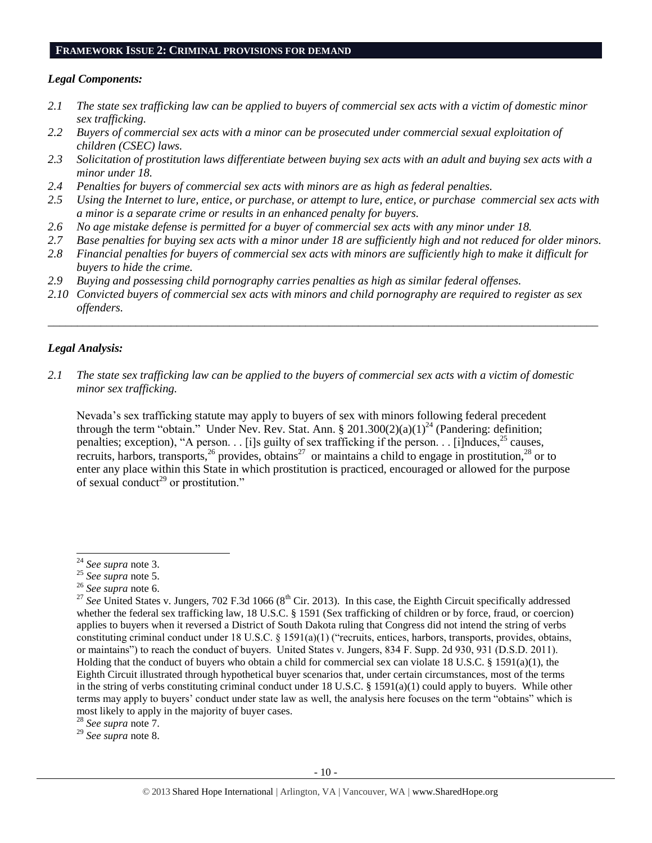#### **FRAMEWORK ISSUE 2: CRIMINAL PROVISIONS FOR DEMAND**

#### *Legal Components:*

- *2.1 The state sex trafficking law can be applied to buyers of commercial sex acts with a victim of domestic minor sex trafficking.*
- *2.2 Buyers of commercial sex acts with a minor can be prosecuted under commercial sexual exploitation of children (CSEC) laws.*
- *2.3 Solicitation of prostitution laws differentiate between buying sex acts with an adult and buying sex acts with a minor under 18.*
- *2.4 Penalties for buyers of commercial sex acts with minors are as high as federal penalties.*
- *2.5 Using the Internet to lure, entice, or purchase, or attempt to lure, entice, or purchase commercial sex acts with a minor is a separate crime or results in an enhanced penalty for buyers.*
- *2.6 No age mistake defense is permitted for a buyer of commercial sex acts with any minor under 18.*
- *2.7 Base penalties for buying sex acts with a minor under 18 are sufficiently high and not reduced for older minors.*
- *2.8 Financial penalties for buyers of commercial sex acts with minors are sufficiently high to make it difficult for buyers to hide the crime.*
- *2.9 Buying and possessing child pornography carries penalties as high as similar federal offenses.*
- *2.10 Convicted buyers of commercial sex acts with minors and child pornography are required to register as sex offenders.*

\_\_\_\_\_\_\_\_\_\_\_\_\_\_\_\_\_\_\_\_\_\_\_\_\_\_\_\_\_\_\_\_\_\_\_\_\_\_\_\_\_\_\_\_\_\_\_\_\_\_\_\_\_\_\_\_\_\_\_\_\_\_\_\_\_\_\_\_\_\_\_\_\_\_\_\_\_\_\_\_\_\_\_\_\_\_\_\_\_\_\_\_\_\_

#### *Legal Analysis:*

*2.1 The state sex trafficking law can be applied to the buyers of commercial sex acts with a victim of domestic minor sex trafficking.*

Nevada's sex trafficking statute may apply to buyers of sex with minors following federal precedent through the term "obtain." Under Nev. Rev. Stat. Ann. § 201.300(2)(a)(1)<sup>24</sup> (Pandering: definition; penalties; exception), "A person. . . [i]s guilty of sex trafficking if the person. . . [i]nduces,  $^{25}$  causes, recruits, harbors, transports,<sup>26</sup> provides, obtains<sup>27</sup> or maintains a child to engage in prostitution,<sup>28</sup> or to enter any place within this State in which prostitution is practiced, encouraged or allowed for the purpose of sexual conduct<sup>29</sup> or prostitution."

 $\overline{a}$ 

<sup>28</sup> *See supra* note [7.](#page-1-2)

<sup>29</sup> *See supra* note [8.](#page-1-3)

<sup>24</sup> *See supra* note [3.](#page-0-0)

<sup>25</sup> *See supra* note [5.](#page-1-0)

<sup>26</sup> *See supra* note [6.](#page-1-1)

<sup>&</sup>lt;sup>27</sup> See United States v. Jungers, 702 F.3d 1066 ( $8<sup>th</sup>$  Cir. 2013). In this case, the Eighth Circuit specifically addressed whether the federal sex trafficking law, 18 U.S.C. § 1591 (Sex trafficking of children or by force, fraud, or coercion) applies to buyers when it reversed a District of South Dakota ruling that Congress did not intend the string of verbs constituting criminal conduct under 18 U.S.C. § 1591(a)(1) ("recruits, entices, harbors, transports, provides, obtains, or maintains") to reach the conduct of buyers. United States v. Jungers, 834 F. Supp. 2d 930, 931 (D.S.D. 2011). Holding that the conduct of buyers who obtain a child for commercial sex can violate 18 U.S.C. § 1591(a)(1), the Eighth Circuit illustrated through hypothetical buyer scenarios that, under certain circumstances, most of the terms in the string of verbs constituting criminal conduct under 18 U.S.C. § 1591(a)(1) could apply to buyers. While other terms may apply to buyers' conduct under state law as well, the analysis here focuses on the term "obtains" which is most likely to apply in the majority of buyer cases.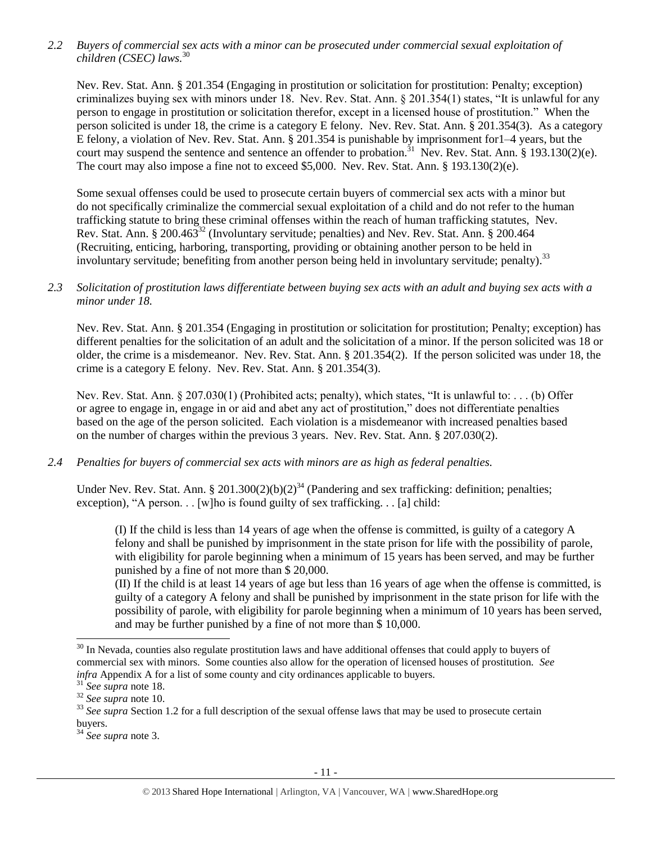*2.2 Buyers of commercial sex acts with a minor can be prosecuted under commercial sexual exploitation of children (CSEC) laws.*<sup>30</sup>

Nev. Rev. Stat. Ann. § 201.354 (Engaging in prostitution or solicitation for prostitution: Penalty; exception) criminalizes buying sex with minors under 18. Nev. Rev. Stat. Ann. § 201.354(1) states, "It is unlawful for any person to engage in prostitution or solicitation therefor, except in a licensed house of prostitution." When the person solicited is under 18, the crime is a category E felony. Nev. Rev. Stat. Ann. § 201.354(3). As a category E felony, a violation of Nev. Rev. Stat. Ann. § 201.354 is punishable by imprisonment for1–4 years, but the court may suspend the sentence and sentence an offender to probation.<sup>31</sup> Nev. Rev. Stat. Ann. § 193.130(2)(e). The court may also impose a fine not to exceed \$5,000. Nev. Rev. Stat. Ann. § 193.130(2)(e).

Some sexual offenses could be used to prosecute certain buyers of commercial sex acts with a minor but do not specifically criminalize the commercial sexual exploitation of a child and do not refer to the human trafficking statute to bring these criminal offenses within the reach of human trafficking statutes, Nev. Rev. Stat. Ann. § 200.463<sup>32</sup> (Involuntary servitude; penalties) and Nev. Rev. Stat. Ann. § 200.464 (Recruiting, enticing, harboring, transporting, providing or obtaining another person to be held in involuntary servitude; benefiting from another person being held in involuntary servitude; penalty).<sup>33</sup>

## *2.3 Solicitation of prostitution laws differentiate between buying sex acts with an adult and buying sex acts with a minor under 18.*

Nev. Rev. Stat. Ann. § 201.354 (Engaging in prostitution or solicitation for prostitution; Penalty; exception) has different penalties for the solicitation of an adult and the solicitation of a minor. If the person solicited was 18 or older, the crime is a misdemeanor. Nev. Rev. Stat. Ann. § 201.354(2). If the person solicited was under 18, the crime is a category E felony. Nev. Rev. Stat. Ann. § 201.354(3).

Nev. Rev. Stat. Ann. § 207.030(1) (Prohibited acts; penalty), which states, "It is unlawful to: . . . (b) Offer or agree to engage in, engage in or aid and abet any act of prostitution," does not differentiate penalties based on the age of the person solicited. Each violation is a misdemeanor with increased penalties based on the number of charges within the previous 3 years. Nev. Rev. Stat. Ann. § 207.030(2).

## *2.4 Penalties for buyers of commercial sex acts with minors are as high as federal penalties.*

Under Nev. Rev. Stat. Ann. § 201.300(2)(b)(2)<sup>34</sup> (Pandering and sex trafficking: definition; penalties; exception), "A person. . . [w]ho is found guilty of sex trafficking. . . [a] child:

(I) If the child is less than 14 years of age when the offense is committed, is guilty of a category A felony and shall be punished by imprisonment in the state prison for life with the possibility of parole, with eligibility for parole beginning when a minimum of 15 years has been served, and may be further punished by a fine of not more than \$ 20,000.

(II) If the child is at least 14 years of age but less than 16 years of age when the offense is committed, is guilty of a category A felony and shall be punished by imprisonment in the state prison for life with the possibility of parole, with eligibility for parole beginning when a minimum of 10 years has been served, and may be further punished by a fine of not more than \$ 10,000.

 $\overline{a}$ 

 $30$  In Nevada, counties also regulate prostitution laws and have additional offenses that could apply to buyers of commercial sex with minors. Some counties also allow for the operation of licensed houses of prostitution. *See infra* Appendix A for a list of some county and city ordinances applicable to buyers.

<sup>31</sup> *See supra* note [18.](#page-3-0)

<sup>32</sup> *See supra* note [10.](#page-2-0)

<sup>&</sup>lt;sup>33</sup> See supra Section 1.2 for a full description of the sexual offense laws that may be used to prosecute certain buyers.

<sup>34</sup> *See supra* note [3.](#page-0-0)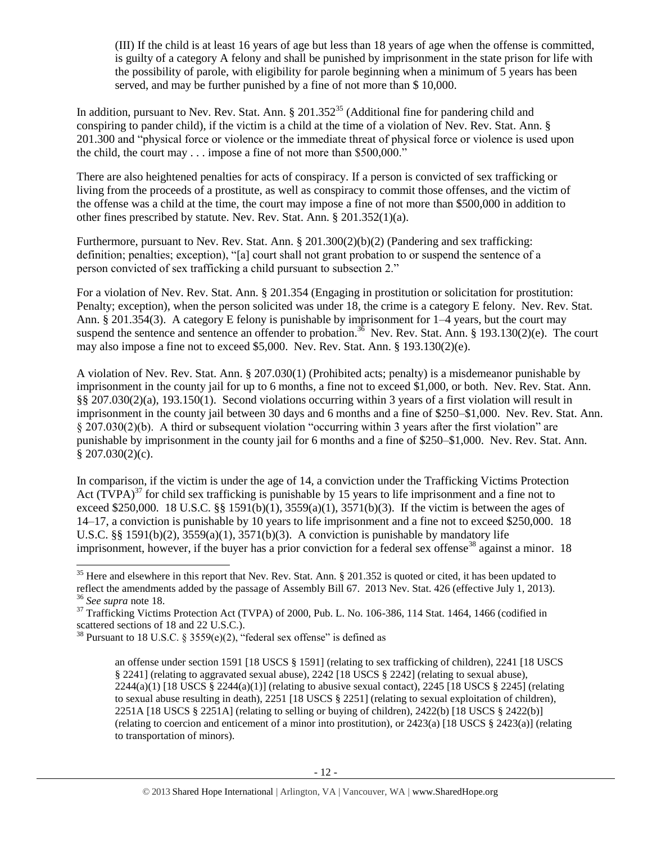<span id="page-11-0"></span>(III) If the child is at least 16 years of age but less than 18 years of age when the offense is committed, is guilty of a category A felony and shall be punished by imprisonment in the state prison for life with the possibility of parole, with eligibility for parole beginning when a minimum of 5 years has been served, and may be further punished by a fine of not more than \$ 10,000.

In addition, pursuant to Nev. Rev. Stat. Ann.  $\S 201.352^{35}$  (Additional fine for pandering child and conspiring to pander child), if the victim is a child at the time of a violation of Nev. Rev. Stat. Ann. § 201.300 and "physical force or violence or the immediate threat of physical force or violence is used upon the child, the court may . . . impose a fine of not more than \$500,000."

There are also heightened penalties for acts of conspiracy. If a person is convicted of sex trafficking or living from the proceeds of a prostitute, as well as conspiracy to commit those offenses, and the victim of the offense was a child at the time, the court may impose a fine of not more than \$500,000 in addition to other fines prescribed by statute. Nev. Rev. Stat. Ann. § 201.352(1)(a).

Furthermore, pursuant to Nev. Rev. Stat. Ann. § 201.300(2)(b)(2) (Pandering and sex trafficking: definition; penalties; exception), "[a] court shall not grant probation to or suspend the sentence of a person convicted of sex trafficking a child pursuant to subsection 2."

For a violation of Nev. Rev. Stat. Ann. § 201.354 (Engaging in prostitution or solicitation for prostitution: Penalty; exception), when the person solicited was under 18, the crime is a category E felony. Nev. Rev. Stat. Ann. § 201.354(3). A category E felony is punishable by imprisonment for 1–4 years, but the court may suspend the sentence and sentence an offender to probation.<sup>36</sup> Nev. Rev. Stat. Ann. § 193.130(2)(e). The court may also impose a fine not to exceed \$5,000. Nev. Rev. Stat. Ann. § 193.130(2)(e).

A violation of Nev. Rev. Stat. Ann. § 207.030(1) (Prohibited acts; penalty) is a misdemeanor punishable by imprisonment in the county jail for up to 6 months, a fine not to exceed \$1,000, or both. Nev. Rev. Stat. Ann. §§ 207.030(2)(a), 193.150(1). Second violations occurring within 3 years of a first violation will result in imprisonment in the county jail between 30 days and 6 months and a fine of \$250–\$1,000. Nev. Rev. Stat. Ann. § 207.030(2)(b). A third or subsequent violation "occurring within 3 years after the first violation" are punishable by imprisonment in the county jail for 6 months and a fine of \$250–\$1,000. Nev. Rev. Stat. Ann.  $$207.030(2)(c).$ 

In comparison, if the victim is under the age of 14, a conviction under the Trafficking Victims Protection Act  $(T\hat{V}PA)^{37}$  for child sex trafficking is punishable by 15 years to life imprisonment and a fine not to exceed \$250,000. 18 U.S.C. §§ 1591(b)(1),  $3559(a)(1)$ ,  $3571(b)(3)$ . If the victim is between the ages of 14–17, a conviction is punishable by 10 years to life imprisonment and a fine not to exceed \$250,000. 18 U.S.C. §§ 1591(b)(2),  $3559(a)(1)$ ,  $3571(b)(3)$ . A conviction is punishable by mandatory life imprisonment, however, if the buyer has a prior conviction for a federal sex offense<sup>38</sup> against a minor. 18

 $\overline{a}$  $35$  Here and elsewhere in this report that Nev. Rev. Stat. Ann. § 201.352 is quoted or cited, it has been updated to reflect the amendments added by the passage of Assembly Bill 67. 2013 Nev. Stat. 426 (effective July 1, 2013). <sup>36</sup> *See supra* note [18.](#page-3-0)

 $37$  Trafficking Victims Protection Act (TVPA) of 2000, Pub. L. No. 106-386, 114 Stat. 1464, 1466 (codified in scattered sections of 18 and 22 U.S.C.).

<sup>&</sup>lt;sup>38</sup> Pursuant to 18 U.S.C. § 3559 $(e)(2)$ , "federal sex offense" is defined as

<span id="page-11-1"></span>an offense under section 1591 [18 USCS § 1591] (relating to sex trafficking of children), 2241 [18 USCS § 2241] (relating to aggravated sexual abuse), 2242 [18 USCS § 2242] (relating to sexual abuse),  $2244(a)(1)$  [18 USCS § 2244(a)(1)] (relating to abusive sexual contact), 2245 [18 USCS § 2245] (relating to sexual abuse resulting in death), 2251 [18 USCS § 2251] (relating to sexual exploitation of children), 2251A [18 USCS § 2251A] (relating to selling or buying of children), 2422(b) [18 USCS § 2422(b)] (relating to coercion and enticement of a minor into prostitution), or 2423(a) [18 USCS § 2423(a)] (relating to transportation of minors).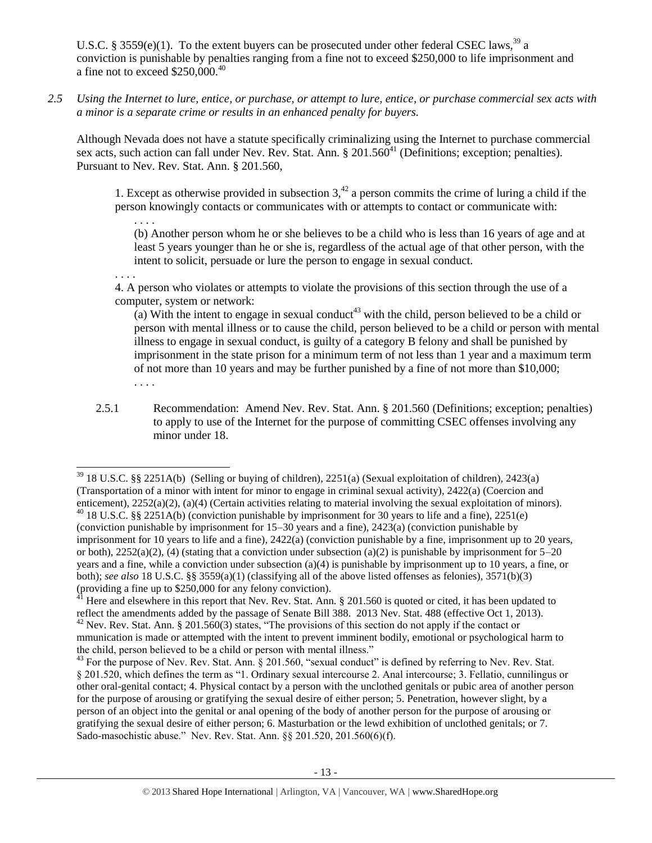U.S.C. § 3559(e)(1). To the extent buyers can be prosecuted under other federal CSEC laws,<sup>39</sup> a conviction is punishable by penalties ranging from a fine not to exceed \$250,000 to life imprisonment and a fine not to exceed \$250,000.<sup>40</sup>

*2.5 Using the Internet to lure, entice, or purchase, or attempt to lure, entice, or purchase commercial sex acts with a minor is a separate crime or results in an enhanced penalty for buyers.*

Although Nevada does not have a statute specifically criminalizing using the Internet to purchase commercial sex acts, such action can fall under Nev. Rev. Stat. Ann.  $\S 201.560<sup>41</sup>$  (Definitions; exception; penalties). Pursuant to Nev. Rev. Stat. Ann. § 201.560,

1. Except as otherwise provided in subsection  $3<sup>42</sup>$  a person commits the crime of luring a child if the person knowingly contacts or communicates with or attempts to contact or communicate with:

<span id="page-12-1"></span><span id="page-12-0"></span>. . . . (b) Another person whom he or she believes to be a child who is less than 16 years of age and at least 5 years younger than he or she is, regardless of the actual age of that other person, with the intent to solicit, persuade or lure the person to engage in sexual conduct.

. . . .

4. A person who violates or attempts to violate the provisions of this section through the use of a computer, system or network:

(a) With the intent to engage in sexual conduct<sup>43</sup> with the child, person believed to be a child or person with mental illness or to cause the child, person believed to be a child or person with mental illness to engage in sexual conduct, is guilty of a category B felony and shall be punished by imprisonment in the state prison for a minimum term of not less than 1 year and a maximum term of not more than 10 years and may be further punished by a fine of not more than \$10,000; . . . .

2.5.1 Recommendation: Amend Nev. Rev. Stat. Ann. § 201.560 (Definitions; exception; penalties) to apply to use of the Internet for the purpose of committing CSEC offenses involving any minor under 18.

 $\overline{a}$ <sup>39</sup> 18 U.S.C. §§ 2251A(b) (Selling or buying of children), 2251(a) (Sexual exploitation of children), 2423(a) (Transportation of a minor with intent for minor to engage in criminal sexual activity), 2422(a) (Coercion and enticement), 2252(a)(2), (a)(4) (Certain activities relating to material involving the sexual exploitation of minors).  $40$  18 U.S.C. §§ 2251A(b) (conviction punishable by imprisonment for 30 years to life and a fine), 2251(e) (conviction punishable by imprisonment for 15–30 years and a fine), 2423(a) (conviction punishable by imprisonment for 10 years to life and a fine), 2422(a) (conviction punishable by a fine, imprisonment up to 20 years, or both),  $2252(a)(2)$ , (4) (stating that a conviction under subsection (a)(2) is punishable by imprisonment for  $5-20$ years and a fine, while a conviction under subsection (a)(4) is punishable by imprisonment up to 10 years, a fine, or both); *see also* 18 U.S.C. §§ 3559(a)(1) (classifying all of the above listed offenses as felonies), 3571(b)(3) (providing a fine up to \$250,000 for any felony conviction).

 $41$  Here and elsewhere in this report that Nev. Rev. Stat. Ann. § 201.560 is quoted or cited, it has been updated to reflect the amendments added by the passage of Senate Bill 388. 2013 Nev. Stat. 488 (effective Oct 1, 2013).  $^{42}$  Nev. Rev. Stat. Ann. § 201.560(3) states, "The provisions of this section do not apply if the contact or mmunication is made or attempted with the intent to prevent imminent bodily, emotional or psychological harm to the child, person believed to be a child or person with mental illness."

 $^{43}$  For the purpose of Nev. Rev. Stat. Ann. § 201.560, "sexual conduct" is defined by referring to Nev. Rev. Stat. § 201.520, which defines the term as "1. Ordinary sexual intercourse 2. Anal intercourse; 3. Fellatio, cunnilingus or other oral-genital contact; 4. Physical contact by a person with the unclothed genitals or pubic area of another person for the purpose of arousing or gratifying the sexual desire of either person; 5. Penetration, however slight, by a person of an object into the genital or anal opening of the body of another person for the purpose of arousing or gratifying the sexual desire of either person; 6. Masturbation or the lewd exhibition of unclothed genitals; or 7. Sado-masochistic abuse." Nev. Rev. Stat. Ann. §§ 201.520, 201.560(6)(f).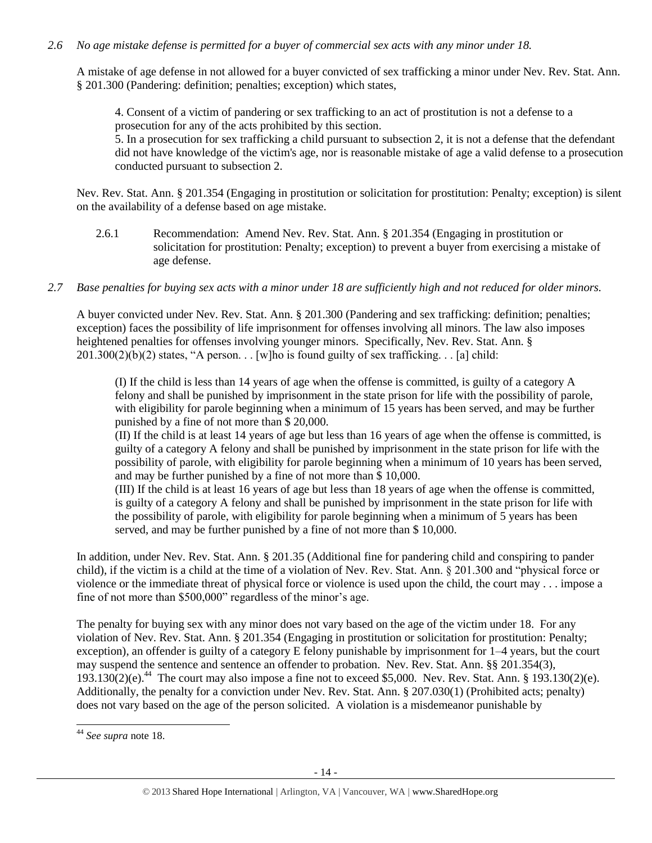## *2.6 No age mistake defense is permitted for a buyer of commercial sex acts with any minor under 18.*

A mistake of age defense in not allowed for a buyer convicted of sex trafficking a minor under Nev. Rev. Stat. Ann. § 201.300 (Pandering: definition; penalties; exception) which states,

4. Consent of a victim of pandering or sex trafficking to an act of prostitution is not a defense to a prosecution for any of the acts prohibited by this section. 5. In a prosecution for sex trafficking a child pursuant to subsection 2, it is not a defense that the defendant did not have knowledge of the victim's age, nor is reasonable mistake of age a valid defense to a prosecution conducted pursuant to subsection 2.

Nev. Rev. Stat. Ann. § 201.354 (Engaging in prostitution or solicitation for prostitution: Penalty; exception) is silent on the availability of a defense based on age mistake.

- 2.6.1 Recommendation: Amend Nev. Rev. Stat. Ann. § 201.354 (Engaging in prostitution or solicitation for prostitution: Penalty; exception) to prevent a buyer from exercising a mistake of age defense.
- *2.7 Base penalties for buying sex acts with a minor under 18 are sufficiently high and not reduced for older minors.*

A buyer convicted under Nev. Rev. Stat. Ann. § 201.300 (Pandering and sex trafficking: definition; penalties; exception) faces the possibility of life imprisonment for offenses involving all minors. The law also imposes heightened penalties for offenses involving younger minors. Specifically, Nev. Rev. Stat. Ann. §  $201.300(2)(b)(2)$  states, "A person... [w]ho is found guilty of sex trafficking... [a] child:

(I) If the child is less than 14 years of age when the offense is committed, is guilty of a category A felony and shall be punished by imprisonment in the state prison for life with the possibility of parole, with eligibility for parole beginning when a minimum of 15 years has been served, and may be further punished by a fine of not more than \$ 20,000.

(II) If the child is at least 14 years of age but less than 16 years of age when the offense is committed, is guilty of a category A felony and shall be punished by imprisonment in the state prison for life with the possibility of parole, with eligibility for parole beginning when a minimum of 10 years has been served, and may be further punished by a fine of not more than \$ 10,000.

(III) If the child is at least 16 years of age but less than 18 years of age when the offense is committed, is guilty of a category A felony and shall be punished by imprisonment in the state prison for life with the possibility of parole, with eligibility for parole beginning when a minimum of 5 years has been served, and may be further punished by a fine of not more than \$ 10,000.

In addition, under Nev. Rev. Stat. Ann. § 201.35 (Additional fine for pandering child and conspiring to pander child), if the victim is a child at the time of a violation of Nev. Rev. Stat. Ann. § 201.300 and "physical force or violence or the immediate threat of physical force or violence is used upon the child, the court may . . . impose a fine of not more than \$500,000" regardless of the minor's age.

The penalty for buying sex with any minor does not vary based on the age of the victim under 18. For any violation of Nev. Rev. Stat. Ann. § 201.354 (Engaging in prostitution or solicitation for prostitution: Penalty; exception), an offender is guilty of a category E felony punishable by imprisonment for 1–4 years, but the court may suspend the sentence and sentence an offender to probation. Nev. Rev. Stat. Ann. §§ 201.354(3),  $193.130(2)(e)^{44}$  The court may also impose a fine not to exceed \$5,000. Nev. Rev. Stat. Ann. § 193.130(2)(e). Additionally, the penalty for a conviction under Nev. Rev. Stat. Ann. § 207.030(1) (Prohibited acts; penalty) does not vary based on the age of the person solicited. A violation is a misdemeanor punishable by

 $\overline{a}$ 

<sup>44</sup> *See supra* note [18.](#page-3-0)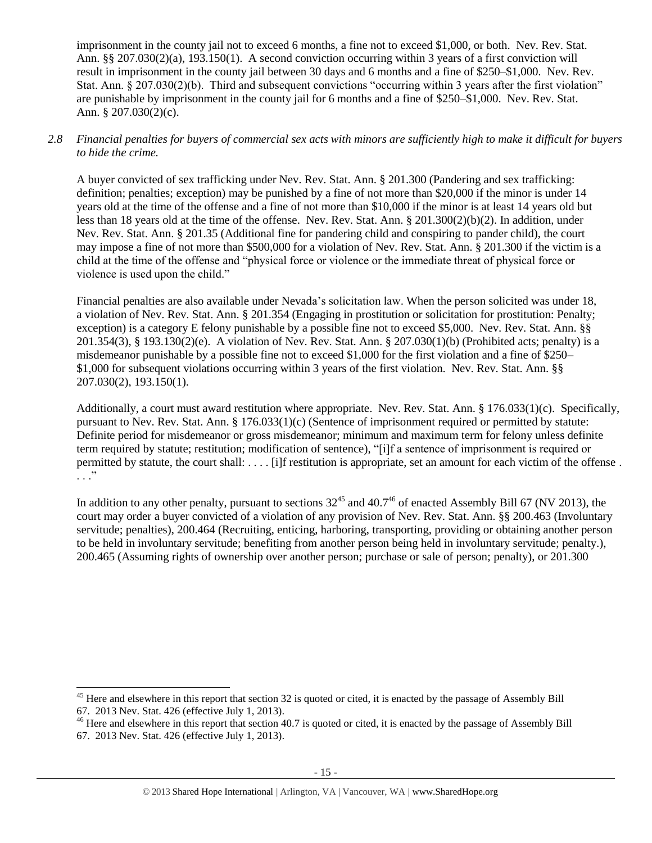imprisonment in the county jail not to exceed 6 months, a fine not to exceed \$1,000, or both. Nev. Rev. Stat. Ann. §§ 207.030(2)(a), 193.150(1). A second conviction occurring within 3 years of a first conviction will result in imprisonment in the county jail between 30 days and 6 months and a fine of \$250–\$1,000. Nev. Rev. Stat. Ann. § 207.030(2)(b). Third and subsequent convictions "occurring within 3 years after the first violation" are punishable by imprisonment in the county jail for 6 months and a fine of \$250–\$1,000. Nev. Rev. Stat. Ann. § 207.030(2)(c).

## *2.8 Financial penalties for buyers of commercial sex acts with minors are sufficiently high to make it difficult for buyers to hide the crime.*

A buyer convicted of sex trafficking under Nev. Rev. Stat. Ann. § 201.300 (Pandering and sex trafficking: definition; penalties; exception) may be punished by a fine of not more than \$20,000 if the minor is under 14 years old at the time of the offense and a fine of not more than \$10,000 if the minor is at least 14 years old but less than 18 years old at the time of the offense. Nev. Rev. Stat. Ann. § 201.300(2)(b)(2). In addition, under Nev. Rev. Stat. Ann. § 201.35 (Additional fine for pandering child and conspiring to pander child), the court may impose a fine of not more than \$500,000 for a violation of Nev. Rev. Stat. Ann. § 201.300 if the victim is a child at the time of the offense and "physical force or violence or the immediate threat of physical force or violence is used upon the child."

Financial penalties are also available under Nevada's solicitation law. When the person solicited was under 18, a violation of Nev. Rev. Stat. Ann. § 201.354 (Engaging in prostitution or solicitation for prostitution: Penalty; exception) is a category E felony punishable by a possible fine not to exceed \$5,000. Nev. Rev. Stat. Ann. §§ 201.354(3), § 193.130(2)(e). A violation of Nev. Rev. Stat. Ann. § 207.030(1)(b) (Prohibited acts; penalty) is a misdemeanor punishable by a possible fine not to exceed \$1,000 for the first violation and a fine of \$250– \$1,000 for subsequent violations occurring within 3 years of the first violation. Nev. Rev. Stat. Ann. §§ 207.030(2), 193.150(1).

Additionally, a court must award restitution where appropriate. Nev. Rev. Stat. Ann. § 176.033(1)(c). Specifically, pursuant to Nev. Rev. Stat. Ann. § 176.033(1)(c) (Sentence of imprisonment required or permitted by statute: Definite period for misdemeanor or gross misdemeanor; minimum and maximum term for felony unless definite term required by statute; restitution; modification of sentence), "[i]f a sentence of imprisonment is required or permitted by statute, the court shall: . . . . [i]f restitution is appropriate, set an amount for each victim of the offense .  $\cdot$  . . .  $\cdot$ 

In addition to any other penalty, pursuant to sections  $32^{45}$  and  $40.7^{46}$  of enacted Assembly Bill 67 (NV 2013), the court may order a buyer convicted of a violation of any provision of Nev. Rev. Stat. Ann. §§ 200.463 (Involuntary servitude; penalties), 200.464 (Recruiting, enticing, harboring, transporting, providing or obtaining another person to be held in involuntary servitude; benefiting from another person being held in involuntary servitude; penalty.), 200.465 (Assuming rights of ownership over another person; purchase or sale of person; penalty), or 201.300

 $\overline{\phantom{a}}$ 

 $45$  Here and elsewhere in this report that section 32 is quoted or cited, it is enacted by the passage of Assembly Bill

<sup>67. 2013</sup> Nev. Stat. 426 (effective July 1, 2013).

<sup>&</sup>lt;sup>46</sup> Here and elsewhere in this report that section 40.7 is quoted or cited, it is enacted by the passage of Assembly Bill 67. 2013 Nev. Stat. 426 (effective July 1, 2013).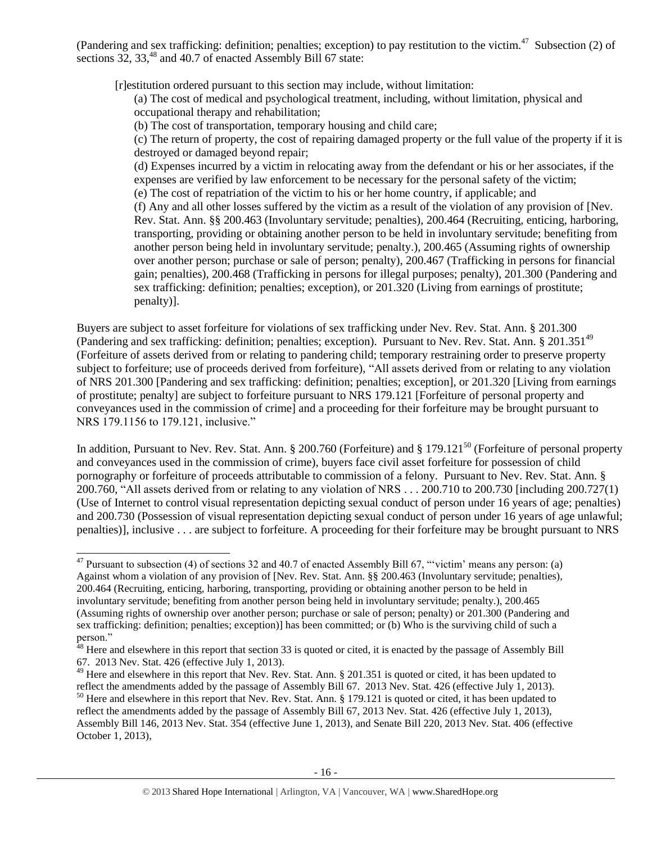(Pandering and sex trafficking: definition; penalties; exception) to pay restitution to the victim.<sup>47</sup> Subsection (2) of sections 32, 33,<sup>48</sup> and 40.7 of enacted Assembly Bill 67 state:

[r]estitution ordered pursuant to this section may include, without limitation:

<span id="page-15-1"></span>(a) The cost of medical and psychological treatment, including, without limitation, physical and occupational therapy and rehabilitation;

(b) The cost of transportation, temporary housing and child care;

(c) The return of property, the cost of repairing damaged property or the full value of the property if it is destroyed or damaged beyond repair;

(d) Expenses incurred by a victim in relocating away from the defendant or his or her associates, if the expenses are verified by law enforcement to be necessary for the personal safety of the victim; (e) The cost of repatriation of the victim to his or her home country, if applicable; and

(f) Any and all other losses suffered by the victim as a result of the violation of any provision of [Nev. Rev. Stat. Ann. §§ 200.463 (Involuntary servitude; penalties), 200.464 (Recruiting, enticing, harboring, transporting, providing or obtaining another person to be held in involuntary servitude; benefiting from

<span id="page-15-2"></span>another person being held in involuntary servitude; penalty.), 200.465 (Assuming rights of ownership over another person; purchase or sale of person; penalty), 200.467 (Trafficking in persons for financial gain; penalties), 200.468 (Trafficking in persons for illegal purposes; penalty), 201.300 (Pandering and sex trafficking: definition; penalties; exception), or 201.320 (Living from earnings of prostitute; penalty)].

Buyers are subject to asset forfeiture for violations of sex trafficking under Nev. Rev. Stat. Ann. § 201.300 (Pandering and sex trafficking: definition; penalties; exception). Pursuant to Nev. Rev. Stat. Ann.  $\S 201.351^{49}$ (Forfeiture of assets derived from or relating to pandering child; temporary restraining order to preserve property subject to forfeiture; use of proceeds derived from forfeiture), "All assets derived from or relating to any violation of NRS 201.300 [Pandering and sex trafficking: definition; penalties; exception], or 201.320 [Living from earnings of prostitute; penalty] are subject to forfeiture pursuant to NRS 179.121 [Forfeiture of personal property and conveyances used in the commission of crime] and a proceeding for their forfeiture may be brought pursuant to NRS 179.1156 to 179.121, inclusive."

<span id="page-15-0"></span>In addition, Pursuant to Nev. Rev. Stat. Ann. § 200.760 (Forfeiture) and § 179.121<sup>50</sup> (Forfeiture of personal property and conveyances used in the commission of crime), buyers face civil asset forfeiture for possession of child pornography or forfeiture of proceeds attributable to commission of a felony. Pursuant to Nev. Rev. Stat. Ann. § 200.760, "All assets derived from or relating to any violation of NRS . . . 200.710 to 200.730 [including 200.727(1) (Use of Internet to control visual representation depicting sexual conduct of person under 16 years of age; penalties) and 200.730 (Possession of visual representation depicting sexual conduct of person under 16 years of age unlawful; penalties)], inclusive . . . are subject to forfeiture. A proceeding for their forfeiture may be brought pursuant to NRS

 $\overline{a}$  $47$  Pursuant to subsection (4) of sections 32 and 40.7 of enacted Assembly Bill 67, "victim' means any person: (a) Against whom a violation of any provision of [Nev. Rev. Stat. Ann. §§ 200.463 (Involuntary servitude; penalties), 200.464 (Recruiting, enticing, harboring, transporting, providing or obtaining another person to be held in involuntary servitude; benefiting from another person being held in involuntary servitude; penalty.), 200.465 (Assuming rights of ownership over another person; purchase or sale of person; penalty) or 201.300 (Pandering and sex trafficking: definition; penalties; exception)] has been committed; or (b) Who is the surviving child of such a person."

 $48$  Here and elsewhere in this report that section 33 is quoted or cited, it is enacted by the passage of Assembly Bill 67. 2013 Nev. Stat. 426 (effective July 1, 2013).

 $^{49}$  Here and elsewhere in this report that Nev. Rev. Stat. Ann. § 201.351 is quoted or cited, it has been updated to reflect the amendments added by the passage of Assembly Bill 67. 2013 Nev. Stat. 426 (effective July 1, 2013).  $50$  Here and elsewhere in this report that Nev. Rev. Stat. Ann. § 179.121 is quoted or cited, it has been updated to reflect the amendments added by the passage of Assembly Bill 67, 2013 Nev. Stat. 426 (effective July 1, 2013), Assembly Bill 146, 2013 Nev. Stat. 354 (effective June 1, 2013), and Senate Bill 220, 2013 Nev. Stat. 406 (effective October 1, 2013),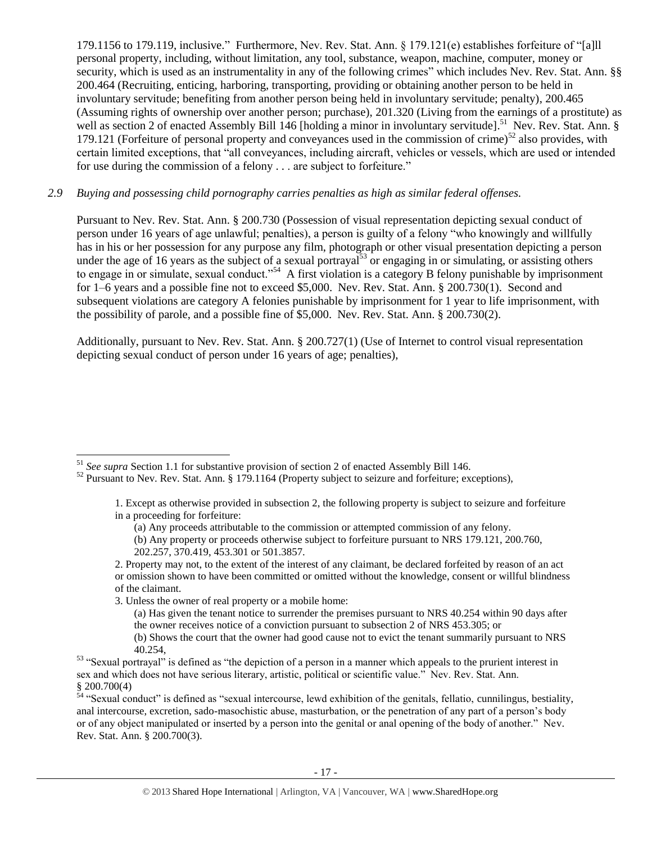179.1156 to 179.119, inclusive." Furthermore, Nev. Rev. Stat. Ann. § 179.121(e) establishes forfeiture of "[a]ll personal property, including, without limitation, any tool, substance, weapon, machine, computer, money or security, which is used as an instrumentality in any of the following crimes" which includes Nev. Rev. Stat. Ann. §§ 200.464 (Recruiting, enticing, harboring, transporting, providing or obtaining another person to be held in involuntary servitude; benefiting from another person being held in involuntary servitude; penalty), 200.465 (Assuming rights of ownership over another person; purchase), 201.320 (Living from the earnings of a prostitute) as well as section 2 of enacted Assembly Bill 146 [holding a minor in involuntary servitude].<sup>51</sup> Nev. Rev. Stat. Ann. § 179.121 (Forfeiture of personal property and conveyances used in the commission of crime)<sup>52</sup> also provides, with certain limited exceptions, that "all conveyances, including aircraft, vehicles or vessels, which are used or intended for use during the commission of a felony . . . are subject to forfeiture."

# *2.9 Buying and possessing child pornography carries penalties as high as similar federal offenses.*

<span id="page-16-1"></span><span id="page-16-0"></span>Pursuant to Nev. Rev. Stat. Ann. § 200.730 (Possession of visual representation depicting sexual conduct of person under 16 years of age unlawful; penalties), a person is guilty of a felony "who knowingly and willfully has in his or her possession for any purpose any film, photograph or other visual presentation depicting a person under the age of 16 years as the subject of a sexual portrayal<sup>53</sup> or engaging in or simulating, or assisting others to engage in or simulate, sexual conduct."<sup>54</sup> A first violation is a category B felony punishable by imprisonment for 1–6 years and a possible fine not to exceed \$5,000. Nev. Rev. Stat. Ann. § 200.730(1). Second and subsequent violations are category A felonies punishable by imprisonment for 1 year to life imprisonment, with the possibility of parole, and a possible fine of \$5,000. Nev. Rev. Stat. Ann. § 200.730(2).

Additionally, pursuant to Nev. Rev. Stat. Ann. § 200.727(1) (Use of Internet to control visual representation depicting sexual conduct of person under 16 years of age; penalties),

 $\overline{a}$ 

(a) Has given the tenant notice to surrender the premises pursuant to NRS 40.254 within 90 days after the owner receives notice of a conviction pursuant to subsection 2 of NRS 453.305; or

<sup>51</sup> *See supra* Section 1.1 for substantive provision of section 2 of enacted Assembly Bill 146.

<sup>&</sup>lt;sup>52</sup> Pursuant to Nev. Rev. Stat. Ann. § 179.1164 (Property subject to seizure and forfeiture; exceptions),

<sup>1.</sup> Except as otherwise provided in subsection 2, the following property is subject to seizure and forfeiture in a proceeding for forfeiture:

<sup>(</sup>a) Any proceeds attributable to the commission or attempted commission of any felony.

<sup>(</sup>b) Any property or proceeds otherwise subject to forfeiture pursuant to NRS 179.121, 200.760, 202.257, 370.419, 453.301 or 501.3857.

<sup>2.</sup> Property may not, to the extent of the interest of any claimant, be declared forfeited by reason of an act or omission shown to have been committed or omitted without the knowledge, consent or willful blindness of the claimant.

<sup>3.</sup> Unless the owner of real property or a mobile home:

<sup>(</sup>b) Shows the court that the owner had good cause not to evict the tenant summarily pursuant to NRS 40.254,

<sup>&</sup>lt;sup>53</sup> "Sexual portrayal" is defined as "the depiction of a person in a manner which appeals to the prurient interest in sex and which does not have serious literary, artistic, political or scientific value." Nev. Rev. Stat. Ann. § 200.700(4)

 $\frac{54}{4}$  "Sexual conduct" is defined as "sexual intercourse, lewd exhibition of the genitals, fellatio, cunnilingus, bestiality, anal intercourse, excretion, sado-masochistic abuse, masturbation, or the penetration of any part of a person's body or of any object manipulated or inserted by a person into the genital or anal opening of the body of another." Nev. Rev. Stat. Ann. § 200.700(3).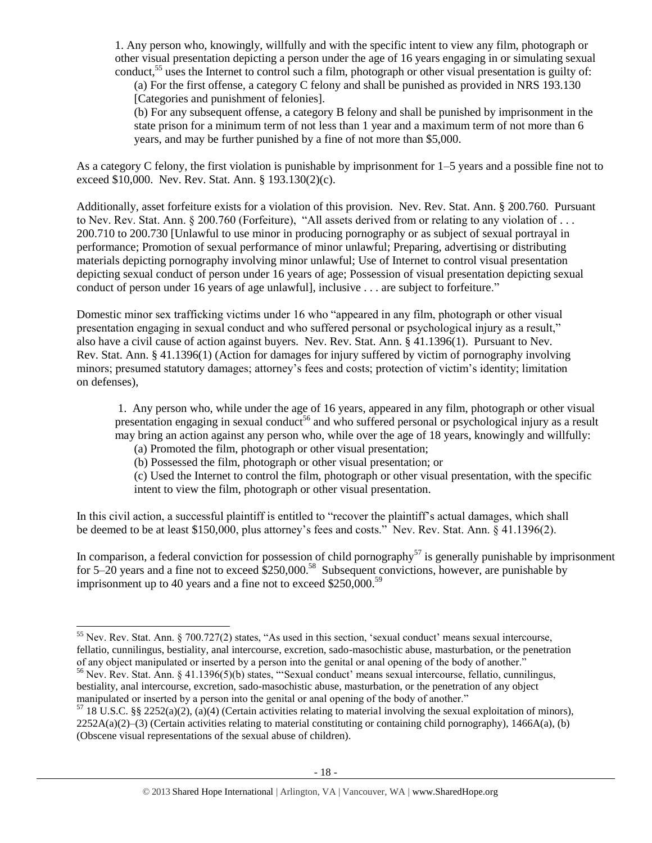1. Any person who, knowingly, willfully and with the specific intent to view any film, photograph or other visual presentation depicting a person under the age of 16 years engaging in or simulating sexual conduct,<sup>55</sup> uses the Internet to control such a film, photograph or other visual presentation is guilty of:

(a) For the first offense, a category C felony and shall be punished as provided in NRS 193.130 [Categories and punishment of felonies].

(b) For any subsequent offense, a category B felony and shall be punished by imprisonment in the state prison for a minimum term of not less than 1 year and a maximum term of not more than 6 years, and may be further punished by a fine of not more than \$5,000.

As a category C felony, the first violation is punishable by imprisonment for 1–5 years and a possible fine not to exceed \$10,000. Nev. Rev. Stat. Ann. § 193.130(2)(c).

Additionally, asset forfeiture exists for a violation of this provision. Nev. Rev. Stat. Ann. § 200.760. Pursuant to Nev. Rev. Stat. Ann. § 200.760 (Forfeiture), "All assets derived from or relating to any violation of . . . 200.710 to 200.730 [Unlawful to use minor in producing pornography or as subject of sexual portrayal in performance; Promotion of sexual performance of minor unlawful; Preparing, advertising or distributing materials depicting pornography involving minor unlawful; Use of Internet to control visual presentation depicting sexual conduct of person under 16 years of age; Possession of visual presentation depicting sexual conduct of person under 16 years of age unlawful], inclusive . . . are subject to forfeiture."

Domestic minor sex trafficking victims under 16 who "appeared in any film, photograph or other visual presentation engaging in sexual conduct and who suffered personal or psychological injury as a result," also have a civil cause of action against buyers. Nev. Rev. Stat. Ann. § 41.1396(1). Pursuant to Nev. Rev. Stat. Ann. § 41.1396(1) (Action for damages for injury suffered by victim of pornography involving minors; presumed statutory damages; attorney's fees and costs; protection of victim's identity; limitation on defenses),

1. Any person who, while under the age of 16 years, appeared in any film, photograph or other visual presentation engaging in sexual conduct<sup>56</sup> and who suffered personal or psychological injury as a result may bring an action against any person who, while over the age of 18 years, knowingly and willfully:

<span id="page-17-0"></span>(a) Promoted the film, photograph or other visual presentation;

 $\overline{a}$ 

(b) Possessed the film, photograph or other visual presentation; or

(c) Used the Internet to control the film, photograph or other visual presentation, with the specific intent to view the film, photograph or other visual presentation.

In this civil action, a successful plaintiff is entitled to "recover the plaintiff's actual damages, which shall be deemed to be at least \$150,000, plus attorney's fees and costs." Nev. Rev. Stat. Ann. § 41.1396(2).

In comparison, a federal conviction for possession of child pornography<sup>57</sup> is generally punishable by imprisonment for  $5-20$  years and a fine not to exceed  $$250,000$ .<sup>58</sup> Subsequent convictions, however, are punishable by imprisonment up to 40 years and a fine not to exceed  $$250,000.<sup>59</sup>$ 

 $55$  Nev. Rev. Stat. Ann. § 700.727(2) states, "As used in this section, 'sexual conduct' means sexual intercourse, fellatio, cunnilingus, bestiality, anal intercourse, excretion, sado-masochistic abuse, masturbation, or the penetration of any object manipulated or inserted by a person into the genital or anal opening of the body of another." <sup>56</sup> Nev. Rev. Stat. Ann. § 41.1396(5)(b) states, "'Sexual conduct' means sexual intercourse, fellatio, cunnilingus,

bestiality, anal intercourse, excretion, sado-masochistic abuse, masturbation, or the penetration of any object manipulated or inserted by a person into the genital or anal opening of the body of another."

 $57$  18 U.S.C. §§ 2252(a)(2), (a)(4) (Certain activities relating to material involving the sexual exploitation of minors),  $2252A(a)(2)$ –(3) (Certain activities relating to material constituting or containing child pornography), 1466A(a), (b) (Obscene visual representations of the sexual abuse of children).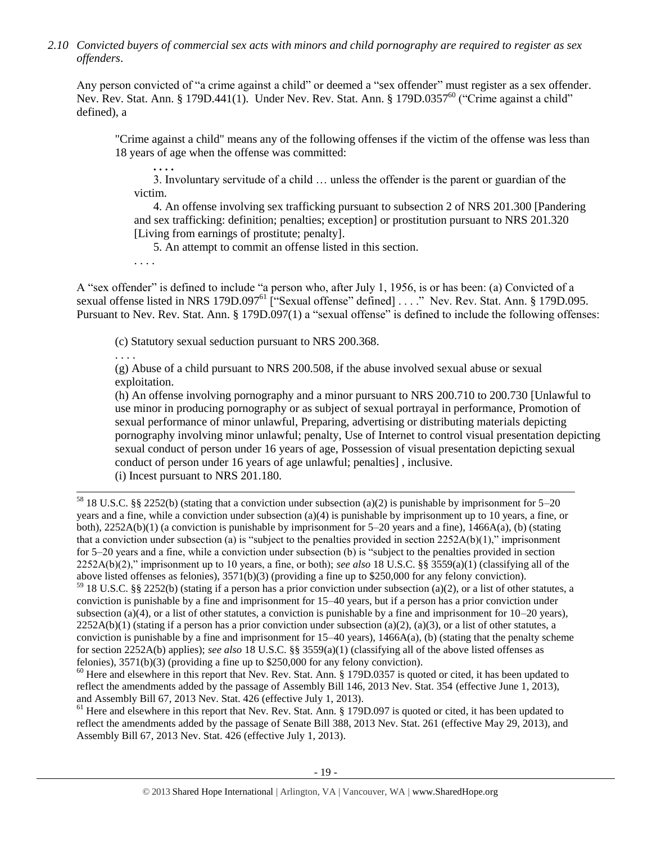*2.10 Convicted buyers of commercial sex acts with minors and child pornography are required to register as sex offenders*.

Any person convicted of "a crime against a child" or deemed a "sex offender" must register as a sex offender. Nev. Rev. Stat. Ann. § 179D.441(1). Under Nev. Rev. Stat. Ann. § 179D.0357<sup>60</sup> ("Crime against a child" defined), a

"Crime against a child" means any of the following offenses if the victim of the offense was less than 18 years of age when the offense was committed:

3. Involuntary servitude of a child … unless the offender is the parent or guardian of the victim.

4. An offense involving sex trafficking pursuant to subsection 2 of NRS 201.300 [Pandering and sex trafficking: definition; penalties; exception] or prostitution pursuant to NRS 201.320 [Living from earnings of prostitute; penalty].

<span id="page-18-1"></span>5. An attempt to commit an offense listed in this section.

. . . .

<span id="page-18-0"></span>**. . . .**

A "sex offender" is defined to include "a person who, after July 1, 1956, is or has been: (a) Convicted of a sexual offense listed in NRS 179D.097<sup>61</sup> ["Sexual offense" defined] . . . ." Nev. Rev. Stat. Ann. § 179D.095. Pursuant to Nev. Rev. Stat. Ann. § 179D.097(1) a "sexual offense" is defined to include the following offenses:

(c) Statutory sexual seduction pursuant to NRS 200.368.

. . . .

 $\overline{\phantom{a}}$ 

(g) Abuse of a child pursuant to NRS 200.508, if the abuse involved sexual abuse or sexual exploitation.

(h) An offense involving pornography and a minor pursuant to NRS 200.710 to 200.730 [Unlawful to use minor in producing pornography or as subject of sexual portrayal in performance, Promotion of sexual performance of minor unlawful, Preparing, advertising or distributing materials depicting pornography involving minor unlawful; penalty, Use of Internet to control visual presentation depicting sexual conduct of person under 16 years of age, Possession of visual presentation depicting sexual conduct of person under 16 years of age unlawful; penalties] , inclusive.

(i) Incest pursuant to NRS 201.180.

<sup>58</sup> 18 U.S.C. §§ 2252(b) (stating that a conviction under subsection (a)(2) is punishable by imprisonment for 5–20 years and a fine, while a conviction under subsection (a)(4) is punishable by imprisonment up to 10 years, a fine, or both),  $2252A(b)(1)$  (a conviction is punishable by imprisonment for 5–20 years and a fine),  $1466A(a)$ , (b) (stating that a conviction under subsection (a) is "subject to the penalties provided in section  $2252A(b)(1)$ ," imprisonment for 5–20 years and a fine, while a conviction under subsection (b) is "subject to the penalties provided in section 2252A(b)(2)," imprisonment up to 10 years, a fine, or both); *see also* 18 U.S.C. §§ 3559(a)(1) (classifying all of the above listed offenses as felonies), 3571(b)(3) (providing a fine up to \$250,000 for any felony conviction).

 $59$  18 U.S.C. §§ 2252(b) (stating if a person has a prior conviction under subsection (a)(2), or a list of other statutes, a conviction is punishable by a fine and imprisonment for 15–40 years, but if a person has a prior conviction under subsection (a)(4), or a list of other statutes, a conviction is punishable by a fine and imprisonment for  $10-20$  years),  $2252A(b)(1)$  (stating if a person has a prior conviction under subsection (a)(2), (a)(3), or a list of other statutes, a conviction is punishable by a fine and imprisonment for  $15-40$  years),  $1466A(a)$ , (b) (stating that the penalty scheme for section 2252A(b) applies); *see also* 18 U.S.C. §§ 3559(a)(1) (classifying all of the above listed offenses as felonies), 3571(b)(3) (providing a fine up to \$250,000 for any felony conviction).

<sup>60</sup> Here and elsewhere in this report that Nev. Rev. Stat. Ann. § 179D.0357 is quoted or cited, it has been updated to reflect the amendments added by the passage of Assembly Bill 146, 2013 Nev. Stat. 354 (effective June 1, 2013), and Assembly Bill 67, 2013 Nev. Stat. 426 (effective July 1, 2013).

<sup>61</sup> Here and elsewhere in this report that Nev. Rev. Stat. Ann. § 179D.097 is quoted or cited, it has been updated to reflect the amendments added by the passage of Senate Bill 388, 2013 Nev. Stat. 261 (effective May 29, 2013), and Assembly Bill 67, 2013 Nev. Stat. 426 (effective July 1, 2013).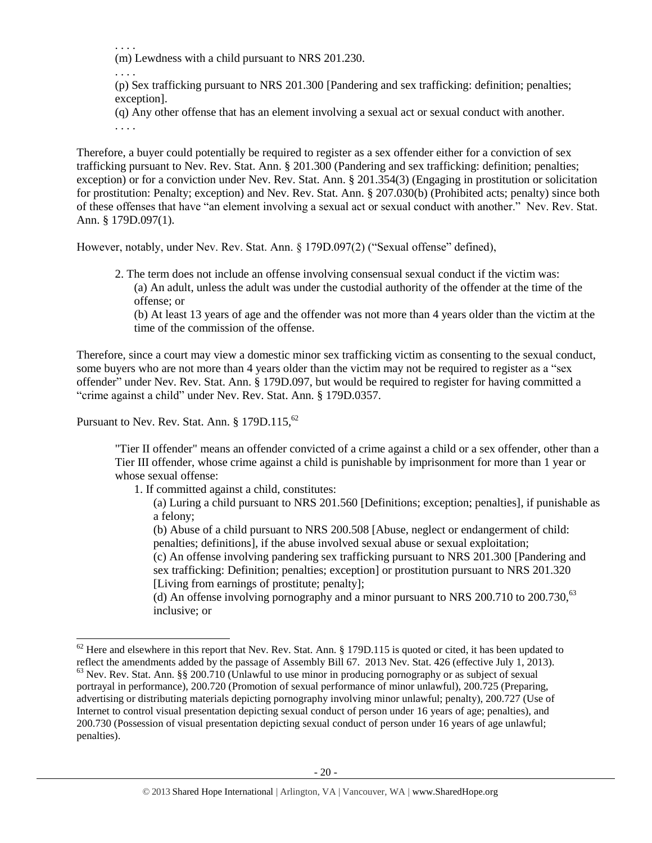. . . .

(m) Lewdness with a child pursuant to NRS 201.230.

. . . .

(p) Sex trafficking pursuant to NRS 201.300 [Pandering and sex trafficking: definition; penalties; exception].

(q) Any other offense that has an element involving a sexual act or sexual conduct with another. . . . .

Therefore, a buyer could potentially be required to register as a sex offender either for a conviction of sex trafficking pursuant to Nev. Rev. Stat. Ann. § 201.300 (Pandering and sex trafficking: definition; penalties; exception) or for a conviction under Nev. Rev. Stat. Ann. § 201.354(3) (Engaging in prostitution or solicitation for prostitution: Penalty; exception) and Nev. Rev. Stat. Ann. § 207.030(b) (Prohibited acts; penalty) since both of these offenses that have "an element involving a sexual act or sexual conduct with another." Nev. Rev. Stat. Ann. § 179D.097(1).

However, notably, under Nev. Rev. Stat. Ann. § 179D.097(2) ("Sexual offense" defined),

2. The term does not include an offense involving consensual sexual conduct if the victim was: (a) An adult, unless the adult was under the custodial authority of the offender at the time of the offense; or

(b) At least 13 years of age and the offender was not more than 4 years older than the victim at the time of the commission of the offense.

Therefore, since a court may view a domestic minor sex trafficking victim as consenting to the sexual conduct, some buyers who are not more than 4 years older than the victim may not be required to register as a "sex offender" under Nev. Rev. Stat. Ann. § 179D.097, but would be required to register for having committed a "crime against a child" under Nev. Rev. Stat. Ann. § 179D.0357.

Pursuant to Nev. Rev. Stat. Ann.  $§ 179D.115,$ <sup>62</sup>

 $\overline{\phantom{a}}$ 

"Tier II offender" means an offender convicted of a crime against a child or a sex offender, other than a Tier III offender, whose crime against a child is punishable by imprisonment for more than 1 year or whose sexual offense:

1. If committed against a child, constitutes:

(a) Luring a child pursuant to NRS 201.560 [Definitions; exception; penalties], if punishable as a felony;

(b) Abuse of a child pursuant to NRS 200.508 [Abuse, neglect or endangerment of child: penalties; definitions], if the abuse involved sexual abuse or sexual exploitation;

(c) An offense involving pandering sex trafficking pursuant to NRS 201.300 [Pandering and sex trafficking: Definition; penalties; exception] or prostitution pursuant to NRS 201.320 [Living from earnings of prostitute; penalty];

(d) An offense involving pornography and a minor pursuant to NRS  $200.710$  to  $200.730$ ,  $63$ inclusive; or

 $62$  Here and elsewhere in this report that Nev. Rev. Stat. Ann. § 179D.115 is quoted or cited, it has been updated to reflect the amendments added by the passage of Assembly Bill 67. 2013 Nev. Stat. 426 (effective July 1, 2013).  $^{63}$  Nev. Rev. Stat. Ann. §§ 200.710 (Unlawful to use minor in producing pornography or as subject of sexual portrayal in performance), 200.720 (Promotion of sexual performance of minor unlawful), 200.725 (Preparing, advertising or distributing materials depicting pornography involving minor unlawful; penalty), 200.727 (Use of Internet to control visual presentation depicting sexual conduct of person under 16 years of age; penalties), and 200.730 (Possession of visual presentation depicting sexual conduct of person under 16 years of age unlawful; penalties).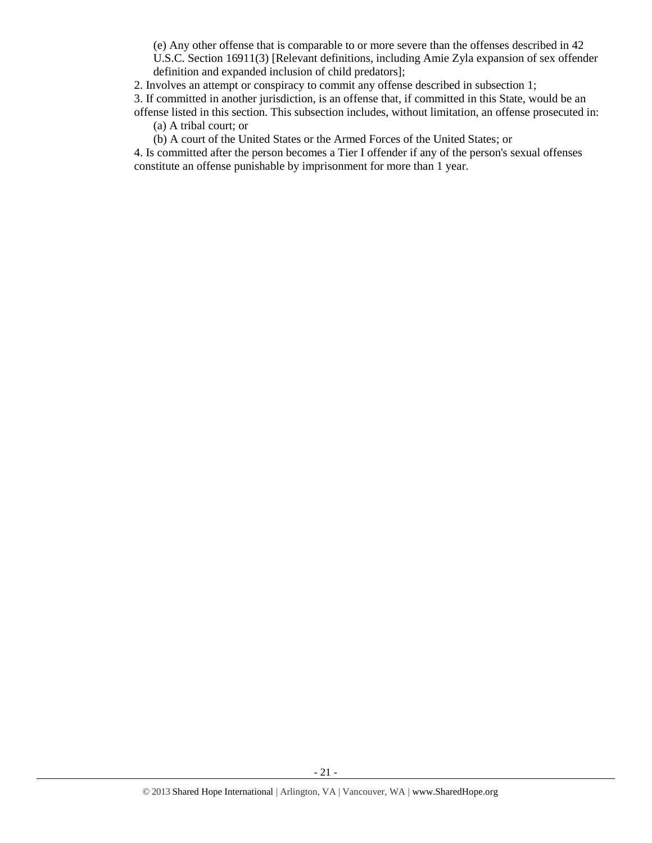(e) Any other offense that is comparable to or more severe than the offenses described in 42 U.S.C. Section 16911(3) [Relevant definitions, including Amie Zyla expansion of sex offender definition and expanded inclusion of child predators];

2. Involves an attempt or conspiracy to commit any offense described in subsection 1;

3. If committed in another jurisdiction, is an offense that, if committed in this State, would be an offense listed in this section. This subsection includes, without limitation, an offense prosecuted in:

(a) A tribal court; or

(b) A court of the United States or the Armed Forces of the United States; or

4. Is committed after the person becomes a Tier I offender if any of the person's sexual offenses constitute an offense punishable by imprisonment for more than 1 year.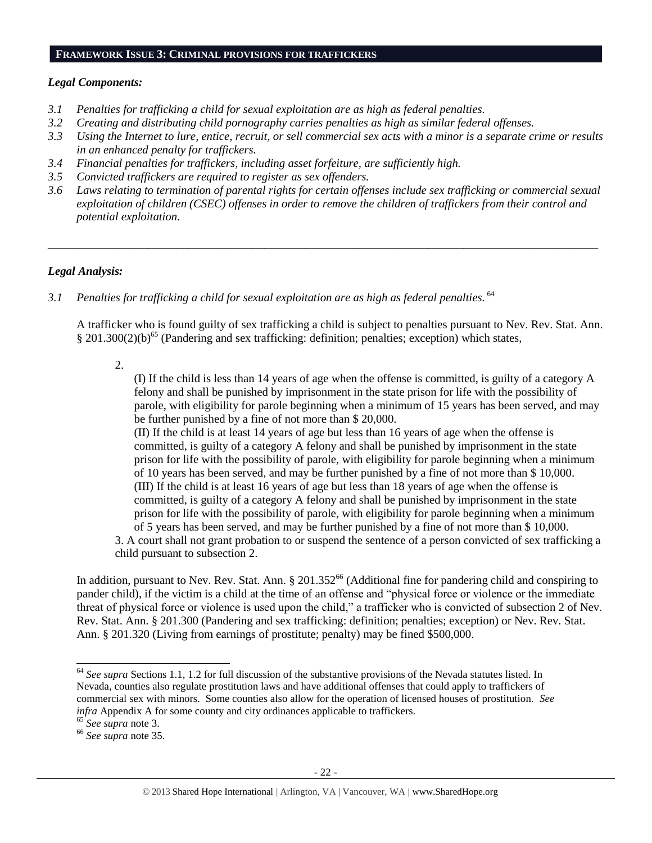#### **FRAMEWORK ISSUE 3: CRIMINAL PROVISIONS FOR TRAFFICKERS**

### *Legal Components:*

- *3.1 Penalties for trafficking a child for sexual exploitation are as high as federal penalties.*
- *3.2 Creating and distributing child pornography carries penalties as high as similar federal offenses.*
- *3.3 Using the Internet to lure, entice, recruit, or sell commercial sex acts with a minor is a separate crime or results in an enhanced penalty for traffickers.*
- *3.4 Financial penalties for traffickers, including asset forfeiture, are sufficiently high.*
- *3.5 Convicted traffickers are required to register as sex offenders.*
- *3.6 Laws relating to termination of parental rights for certain offenses include sex trafficking or commercial sexual exploitation of children (CSEC) offenses in order to remove the children of traffickers from their control and potential exploitation.*

*\_\_\_\_\_\_\_\_\_\_\_\_\_\_\_\_\_\_\_\_\_\_\_\_\_\_\_\_\_\_\_\_\_\_\_\_\_\_\_\_\_\_\_\_\_\_\_\_\_\_\_\_\_\_\_\_\_\_\_\_\_\_\_\_\_\_\_\_\_\_\_\_\_\_\_\_\_\_\_\_\_\_\_\_\_\_\_\_\_\_\_\_\_\_*

## *Legal Analysis:*

3.1 Penalties for trafficking a child for sexual exploitation are as high as federal penalties. <sup>64</sup>

A trafficker who is found guilty of sex trafficking a child is subject to penalties pursuant to Nev. Rev. Stat. Ann.  $\S 201.300(2)(b)^{65}$  (Pandering and sex trafficking: definition; penalties; exception) which states,

2.

(I) If the child is less than 14 years of age when the offense is committed, is guilty of a category A felony and shall be punished by imprisonment in the state prison for life with the possibility of parole, with eligibility for parole beginning when a minimum of 15 years has been served, and may be further punished by a fine of not more than \$ 20,000.

(II) If the child is at least 14 years of age but less than 16 years of age when the offense is committed, is guilty of a category A felony and shall be punished by imprisonment in the state prison for life with the possibility of parole, with eligibility for parole beginning when a minimum of 10 years has been served, and may be further punished by a fine of not more than \$ 10,000. (III) If the child is at least 16 years of age but less than 18 years of age when the offense is committed, is guilty of a category A felony and shall be punished by imprisonment in the state prison for life with the possibility of parole, with eligibility for parole beginning when a minimum of 5 years has been served, and may be further punished by a fine of not more than \$ 10,000.

3. A court shall not grant probation to or suspend the sentence of a person convicted of sex trafficking a child pursuant to subsection 2.

In addition, pursuant to Nev. Rev. Stat. Ann.  $\S 201.352^{66}$  (Additional fine for pandering child and conspiring to pander child), if the victim is a child at the time of an offense and "physical force or violence or the immediate threat of physical force or violence is used upon the child," a trafficker who is convicted of subsection 2 of Nev. Rev. Stat. Ann. § 201.300 (Pandering and sex trafficking: definition; penalties; exception) or Nev. Rev. Stat. Ann. § 201.320 (Living from earnings of prostitute; penalty) may be fined \$500,000.

l

<sup>64</sup> *See supra* Sections 1.1, 1.2 for full discussion of the substantive provisions of the Nevada statutes listed. In Nevada, counties also regulate prostitution laws and have additional offenses that could apply to traffickers of commercial sex with minors. Some counties also allow for the operation of licensed houses of prostitution. *See infra* Appendix A for some county and city ordinances applicable to traffickers.

<sup>65</sup> *See supra* note [3.](#page-0-0)

<sup>66</sup> *See supra* note [35.](#page-11-0)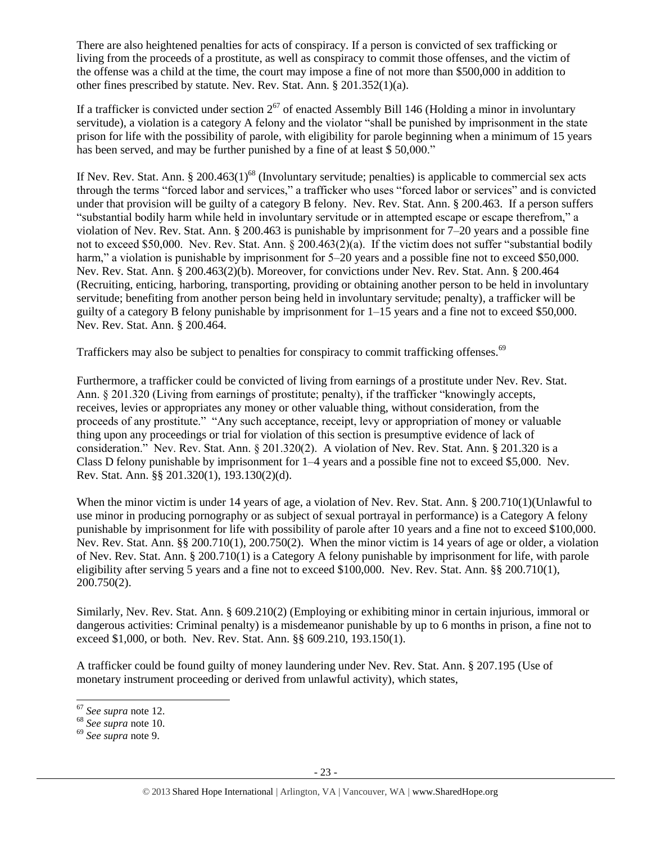There are also heightened penalties for acts of conspiracy. If a person is convicted of sex trafficking or living from the proceeds of a prostitute, as well as conspiracy to commit those offenses, and the victim of the offense was a child at the time, the court may impose a fine of not more than \$500,000 in addition to other fines prescribed by statute. Nev. Rev. Stat. Ann. § 201.352(1)(a).

If a trafficker is convicted under section  $2^{67}$  of enacted Assembly Bill 146 (Holding a minor in involuntary servitude), a violation is a category A felony and the violator "shall be punished by imprisonment in the state prison for life with the possibility of parole, with eligibility for parole beginning when a minimum of 15 years has been served, and may be further punished by a fine of at least \$50,000."

If Nev. Rev. Stat. Ann. § 200.463(1)<sup>68</sup> (Involuntary servitude; penalties) is applicable to commercial sex acts through the terms "forced labor and services," a trafficker who uses "forced labor or services" and is convicted under that provision will be guilty of a category B felony. Nev. Rev. Stat. Ann. § 200.463. If a person suffers "substantial bodily harm while held in involuntary servitude or in attempted escape or escape therefrom," a violation of Nev. Rev. Stat. Ann. § 200.463 is punishable by imprisonment for 7–20 years and a possible fine not to exceed \$50,000. Nev. Rev. Stat. Ann. § 200.463(2)(a). If the victim does not suffer "substantial bodily harm," a violation is punishable by imprisonment for 5–20 years and a possible fine not to exceed \$50,000. Nev. Rev. Stat. Ann. § 200.463(2)(b). Moreover, for convictions under Nev. Rev. Stat. Ann. § 200.464 (Recruiting, enticing, harboring, transporting, providing or obtaining another person to be held in involuntary servitude; benefiting from another person being held in involuntary servitude; penalty), a trafficker will be guilty of a category B felony punishable by imprisonment for 1–15 years and a fine not to exceed \$50,000. Nev. Rev. Stat. Ann. § 200.464.

Traffickers may also be subject to penalties for conspiracy to commit trafficking offenses.<sup>69</sup>

Furthermore, a trafficker could be convicted of living from earnings of a prostitute under Nev. Rev. Stat. Ann. § 201.320 (Living from earnings of prostitute; penalty), if the trafficker "knowingly accepts, receives, levies or appropriates any money or other valuable thing, without consideration, from the proceeds of any prostitute." "Any such acceptance, receipt, levy or appropriation of money or valuable thing upon any proceedings or trial for violation of this section is presumptive evidence of lack of consideration." Nev. Rev. Stat. Ann. § 201.320(2). A violation of Nev. Rev. Stat. Ann. § 201.320 is a Class D felony punishable by imprisonment for 1–4 years and a possible fine not to exceed \$5,000. Nev. Rev. Stat. Ann. §§ 201.320(1), 193.130(2)(d).

When the minor victim is under 14 years of age, a violation of Nev. Rev. Stat. Ann. § 200.710(1)(Unlawful to use minor in producing pornography or as subject of sexual portrayal in performance) is a Category A felony punishable by imprisonment for life with possibility of parole after 10 years and a fine not to exceed \$100,000. Nev. Rev. Stat. Ann. §§ 200.710(1), 200.750(2). When the minor victim is 14 years of age or older, a violation of Nev. Rev. Stat. Ann. § 200.710(1) is a Category A felony punishable by imprisonment for life, with parole eligibility after serving 5 years and a fine not to exceed \$100,000. Nev. Rev. Stat. Ann. §§ 200.710(1), 200.750(2).

Similarly, Nev. Rev. Stat. Ann. § 609.210(2) (Employing or exhibiting minor in certain injurious, immoral or dangerous activities: Criminal penalty) is a misdemeanor punishable by up to 6 months in prison, a fine not to exceed \$1,000, or both. Nev. Rev. Stat. Ann. §§ 609.210, 193.150(1).

A trafficker could be found guilty of money laundering under Nev. Rev. Stat. Ann. § 207.195 (Use of monetary instrument proceeding or derived from unlawful activity), which states,

l <sup>67</sup> *See supra* note [12.](#page-2-1)

<sup>68</sup> *See supra* note [10.](#page-2-0)

<sup>69</sup> *See supra* note [9.](#page-2-2)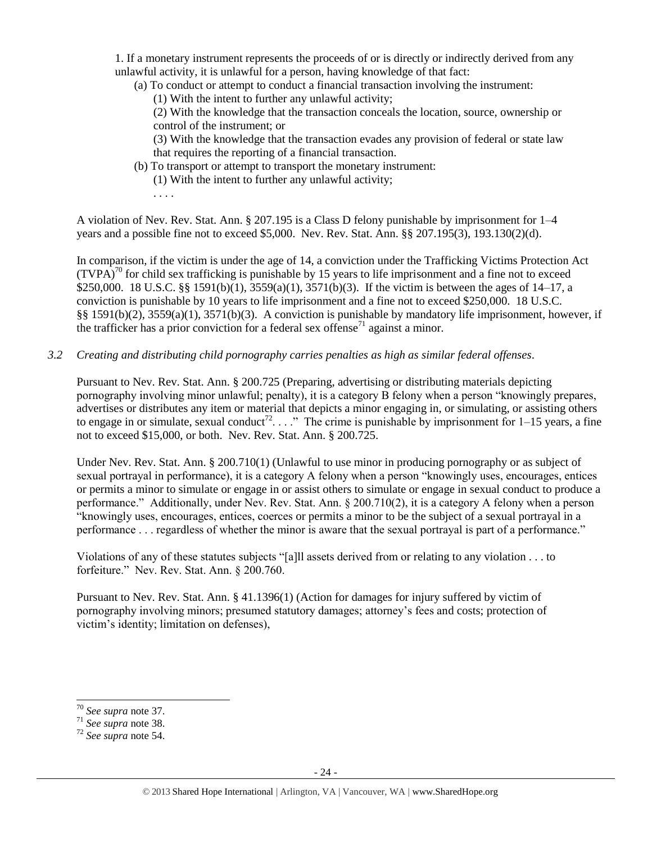1. If a monetary instrument represents the proceeds of or is directly or indirectly derived from any unlawful activity, it is unlawful for a person, having knowledge of that fact:

(a) To conduct or attempt to conduct a financial transaction involving the instrument:

(1) With the intent to further any unlawful activity;

(2) With the knowledge that the transaction conceals the location, source, ownership or control of the instrument; or

(3) With the knowledge that the transaction evades any provision of federal or state law that requires the reporting of a financial transaction.

(b) To transport or attempt to transport the monetary instrument:

(1) With the intent to further any unlawful activity;

. . . .

A violation of Nev. Rev. Stat. Ann. § 207.195 is a Class D felony punishable by imprisonment for 1–4 years and a possible fine not to exceed \$5,000. Nev. Rev. Stat. Ann. §§ 207.195(3), 193.130(2)(d).

In comparison, if the victim is under the age of 14, a conviction under the Trafficking Victims Protection Act  $(TVPA)<sup>70</sup>$  for child sex trafficking is punishable by 15 years to life imprisonment and a fine not to exceed \$250,000. 18 U.S.C. §§ 1591(b)(1), 3559(a)(1), 3571(b)(3). If the victim is between the ages of 14–17, a conviction is punishable by 10 years to life imprisonment and a fine not to exceed \$250,000. 18 U.S.C. §§ 1591(b)(2), 3559(a)(1), 3571(b)(3). A conviction is punishable by mandatory life imprisonment, however, if the trafficker has a prior conviction for a federal sex offense<sup> $71$ </sup> against a minor.

*3.2 Creating and distributing child pornography carries penalties as high as similar federal offenses*.

Pursuant to Nev. Rev. Stat. Ann. § 200.725 (Preparing, advertising or distributing materials depicting pornography involving minor unlawful; penalty), it is a category B felony when a person "knowingly prepares, advertises or distributes any item or material that depicts a minor engaging in, or simulating, or assisting others to engage in or simulate, sexual conduct<sup>72</sup>. . . ." The crime is punishable by imprisonment for  $1-15$  years, a fine not to exceed \$15,000, or both. Nev. Rev. Stat. Ann. § 200.725.

Under Nev. Rev. Stat. Ann. § 200.710(1) (Unlawful to use minor in producing pornography or as subject of sexual portrayal in performance), it is a category A felony when a person "knowingly uses, encourages, entices or permits a minor to simulate or engage in or assist others to simulate or engage in sexual conduct to produce a performance." Additionally, under Nev. Rev. Stat. Ann. § 200.710(2), it is a category A felony when a person "knowingly uses, encourages, entices, coerces or permits a minor to be the subject of a sexual portrayal in a performance . . . regardless of whether the minor is aware that the sexual portrayal is part of a performance."

Violations of any of these statutes subjects "[a]ll assets derived from or relating to any violation . . . to forfeiture." Nev. Rev. Stat. Ann. § 200.760.

Pursuant to Nev. Rev. Stat. Ann. § 41.1396(1) (Action for damages for injury suffered by victim of pornography involving minors; presumed statutory damages; attorney's fees and costs; protection of victim's identity; limitation on defenses),

l

<sup>70</sup> *See supra* note 37.

<sup>71</sup> *See supra* note [38.](#page-11-1)

<sup>72</sup> *See supra* note [54.](#page-16-0)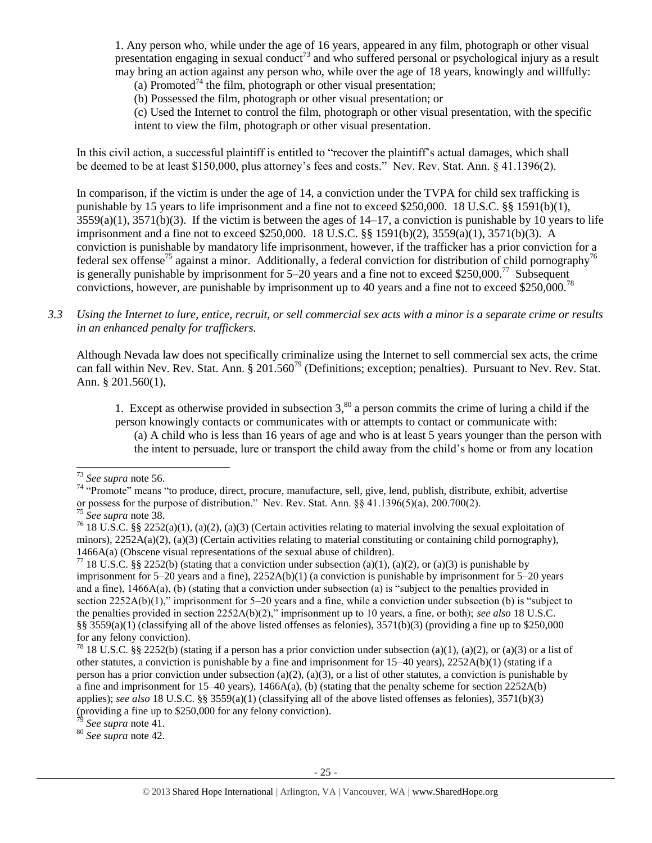1. Any person who, while under the age of 16 years, appeared in any film, photograph or other visual presentation engaging in sexual conduct<sup>73</sup> and who suffered personal or psychological injury as a result may bring an action against any person who, while over the age of 18 years, knowingly and willfully:

(a) Promoted<sup>74</sup> the film, photograph or other visual presentation;

(b) Possessed the film, photograph or other visual presentation; or

(c) Used the Internet to control the film, photograph or other visual presentation, with the specific intent to view the film, photograph or other visual presentation.

In this civil action, a successful plaintiff is entitled to "recover the plaintiff's actual damages, which shall be deemed to be at least \$150,000, plus attorney's fees and costs." Nev. Rev. Stat. Ann. § 41.1396(2).

In comparison, if the victim is under the age of 14, a conviction under the TVPA for child sex trafficking is punishable by 15 years to life imprisonment and a fine not to exceed \$250,000. 18 U.S.C. §§ 1591(b)(1),  $3559(a)(1)$ ,  $3571(b)(3)$ . If the victim is between the ages of  $14-17$ , a conviction is punishable by 10 years to life imprisonment and a fine not to exceed \$250,000. 18 U.S.C. §§ 1591(b)(2), 3559(a)(1), 3571(b)(3). A conviction is punishable by mandatory life imprisonment, however, if the trafficker has a prior conviction for a federal sex offense<sup>75</sup> against a minor. Additionally, a federal conviction for distribution of child pornography<sup>76</sup> is generally punishable by imprisonment for 5–20 years and a fine not to exceed \$250,000.<sup>77</sup> Subsequent convictions, however, are punishable by imprisonment up to 40 years and a fine not to exceed \$250,000.<sup>78</sup>

*3.3 Using the Internet to lure, entice, recruit, or sell commercial sex acts with a minor is a separate crime or results in an enhanced penalty for traffickers.*

Although Nevada law does not specifically criminalize using the Internet to sell commercial sex acts, the crime can fall within Nev. Rev. Stat. Ann. § 201.560<sup>79</sup> (Definitions; exception; penalties). Pursuant to Nev. Rev. Stat. Ann. § 201.560(1),

1. Except as otherwise provided in subsection  $3$ ,  $80$  a person commits the crime of luring a child if the person knowingly contacts or communicates with or attempts to contact or communicate with: (a) A child who is less than 16 years of age and who is at least 5 years younger than the person with the intent to persuade, lure or transport the child away from the child's home or from any location

 $\overline{\phantom{a}}$ 

<sup>79</sup> *See supra* note [41.](#page-12-0)

<sup>80</sup> *See supra* note [42.](#page-12-1)

<sup>73</sup> *See supra* note [56.](#page-17-0)

<sup>&</sup>lt;sup>74</sup> "Promote" means "to produce, direct, procure, manufacture, sell, give, lend, publish, distribute, exhibit, advertise or possess for the purpose of distribution." Nev. Rev. Stat. Ann. §§ 41.1396(5)(a), 200.700(2).

<sup>75</sup> *See supra* note [38.](#page-11-1)

<sup>&</sup>lt;sup>76</sup> 18 U.S.C. §§ 2252(a)(1), (a)(2), (a)(3) (Certain activities relating to material involving the sexual exploitation of minors),  $2252A(a)(2)$ , (a)(3) (Certain activities relating to material constituting or containing child pornography), 1466A(a) (Obscene visual representations of the sexual abuse of children).

<sup>&</sup>lt;sup>77</sup> 18 U.S.C. §§ 2252(b) (stating that a conviction under subsection (a)(1), (a)(2), or (a)(3) is punishable by imprisonment for 5–20 years and a fine), 2252A(b)(1) (a conviction is punishable by imprisonment for 5–20 years and a fine), 1466A(a), (b) (stating that a conviction under subsection (a) is "subject to the penalties provided in section 2252A(b)(1)," imprisonment for 5–20 years and a fine, while a conviction under subsection (b) is "subject to the penalties provided in section 2252A(b)(2)," imprisonment up to 10 years, a fine, or both); *see also* 18 U.S.C. §§ 3559(a)(1) (classifying all of the above listed offenses as felonies),  $3571(b)(3)$  (providing a fine up to \$250,000 for any felony conviction).

<sup>&</sup>lt;sup>78</sup> 18 U.S.C. §§ 2252(b) (stating if a person has a prior conviction under subsection (a)(1), (a)(2), or (a)(3) or a list of other statutes, a conviction is punishable by a fine and imprisonment for 15–40 years), 2252A(b)(1) (stating if a person has a prior conviction under subsection (a)(2), (a)(3), or a list of other statutes, a conviction is punishable by a fine and imprisonment for  $15-40$  years),  $1466A(a)$ , (b) (stating that the penalty scheme for section  $2252A(b)$ applies); *see also* 18 U.S.C. §§ 3559(a)(1) (classifying all of the above listed offenses as felonies), 3571(b)(3) (providing a fine up to \$250,000 for any felony conviction).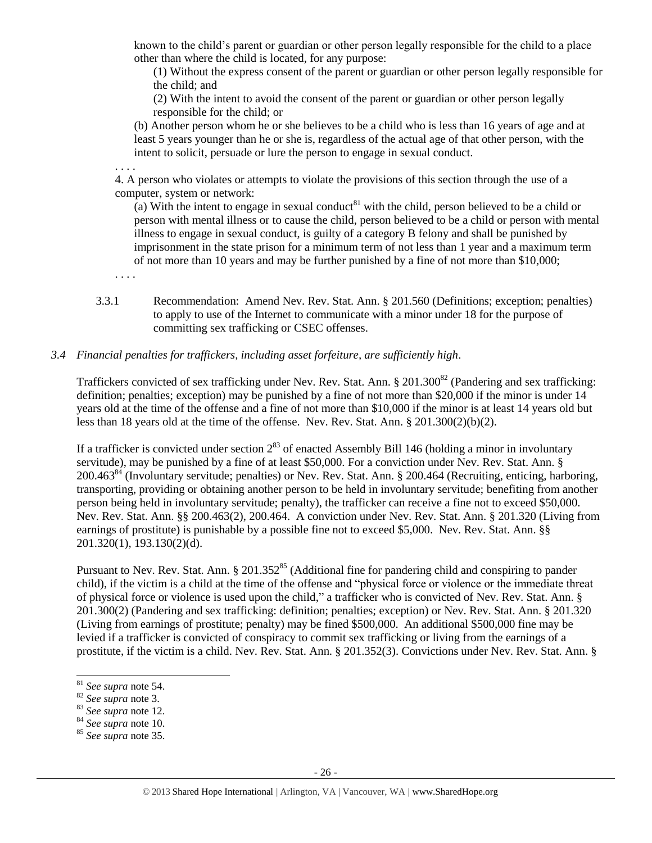known to the child's parent or guardian or other person legally responsible for the child to a place other than where the child is located, for any purpose:

(1) Without the express consent of the parent or guardian or other person legally responsible for the child; and

(2) With the intent to avoid the consent of the parent or guardian or other person legally responsible for the child; or

(b) Another person whom he or she believes to be a child who is less than 16 years of age and at least 5 years younger than he or she is, regardless of the actual age of that other person, with the intent to solicit, persuade or lure the person to engage in sexual conduct.

. . . .

4. A person who violates or attempts to violate the provisions of this section through the use of a computer, system or network:

(a) With the intent to engage in sexual conduct<sup>81</sup> with the child, person believed to be a child or person with mental illness or to cause the child, person believed to be a child or person with mental illness to engage in sexual conduct, is guilty of a category B felony and shall be punished by imprisonment in the state prison for a minimum term of not less than 1 year and a maximum term of not more than 10 years and may be further punished by a fine of not more than \$10,000;

- . . . .
- 3.3.1 Recommendation: Amend Nev. Rev. Stat. Ann. § 201.560 (Definitions; exception; penalties) to apply to use of the Internet to communicate with a minor under 18 for the purpose of committing sex trafficking or CSEC offenses.

## *3.4 Financial penalties for traffickers, including asset forfeiture, are sufficiently high*.

Traffickers convicted of sex trafficking under Nev. Rev. Stat. Ann.  $\S 201.300^{82}$  (Pandering and sex trafficking: definition; penalties; exception) may be punished by a fine of not more than \$20,000 if the minor is under 14 years old at the time of the offense and a fine of not more than \$10,000 if the minor is at least 14 years old but less than 18 years old at the time of the offense. Nev. Rev. Stat. Ann. § 201.300(2)(b)(2).

If a trafficker is convicted under section  $2^{83}$  of enacted Assembly Bill 146 (holding a minor in involuntary servitude), may be punished by a fine of at least \$50,000. For a conviction under Nev. Rev. Stat. Ann. § 200.463<sup>84</sup> (Involuntary servitude; penalties) or Nev. Rev. Stat. Ann. § 200.464 (Recruiting, enticing, harboring, transporting, providing or obtaining another person to be held in involuntary servitude; benefiting from another person being held in involuntary servitude; penalty), the trafficker can receive a fine not to exceed \$50,000. Nev. Rev. Stat. Ann. §§ 200.463(2), 200.464. A conviction under Nev. Rev. Stat. Ann. § 201.320 (Living from earnings of prostitute) is punishable by a possible fine not to exceed \$5,000. Nev. Rev. Stat. Ann. §§ 201.320(1), 193.130(2)(d).

Pursuant to Nev. Rev. Stat. Ann. § 201.352<sup>85</sup> (Additional fine for pandering child and conspiring to pander child), if the victim is a child at the time of the offense and "physical force or violence or the immediate threat of physical force or violence is used upon the child," a trafficker who is convicted of Nev. Rev. Stat. Ann. § 201.300(2) (Pandering and sex trafficking: definition; penalties; exception) or Nev. Rev. Stat. Ann. § 201.320 (Living from earnings of prostitute; penalty) may be fined \$500,000. An additional \$500,000 fine may be levied if a trafficker is convicted of conspiracy to commit sex trafficking or living from the earnings of a prostitute, if the victim is a child. Nev. Rev. Stat. Ann. § 201.352(3). Convictions under Nev. Rev. Stat. Ann. §

 $\overline{a}$ 

<sup>83</sup> *See supra* note [12.](#page-2-1)

<sup>81</sup> *See supra* note [54.](#page-16-0)

<sup>82</sup> *See supra* note [3.](#page-0-0)

<sup>84</sup> *See supra* note [10.](#page-2-0)

<sup>85</sup> *See supra* note [35.](#page-11-0)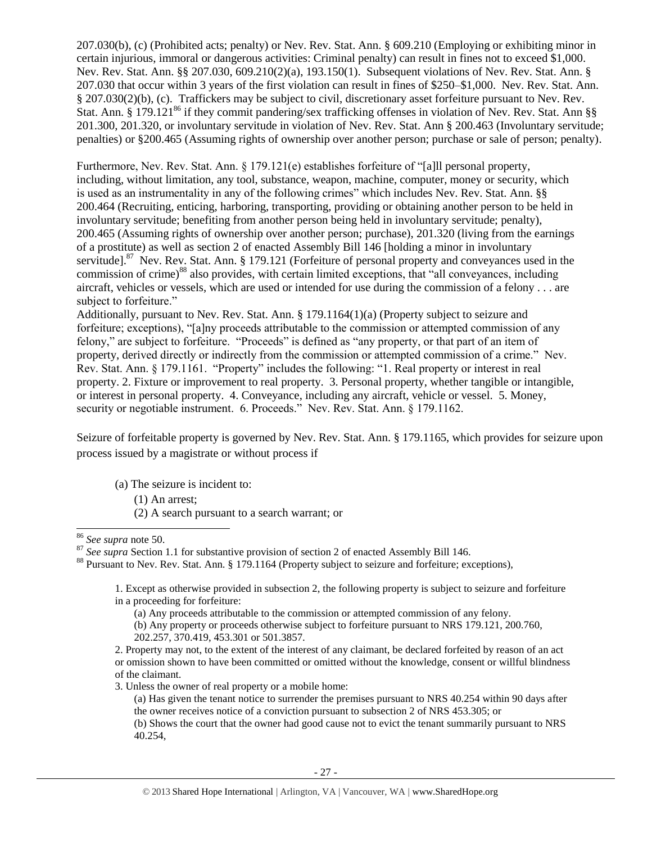207.030(b), (c) (Prohibited acts; penalty) or Nev. Rev. Stat. Ann. § 609.210 (Employing or exhibiting minor in certain injurious, immoral or dangerous activities: Criminal penalty) can result in fines not to exceed \$1,000. Nev. Rev. Stat. Ann. §§ 207.030, 609.210(2)(a), 193.150(1). Subsequent violations of Nev. Rev. Stat. Ann. § 207.030 that occur within 3 years of the first violation can result in fines of \$250–\$1,000. Nev. Rev. Stat. Ann. § 207.030(2)(b), (c). Traffickers may be subject to civil, discretionary asset forfeiture pursuant to Nev. Rev. Stat. Ann. § 179.121<sup>86</sup> if they commit pandering/sex trafficking offenses in violation of Nev. Rev. Stat. Ann §§ 201.300, 201.320, or involuntary servitude in violation of Nev. Rev. Stat. Ann § 200.463 (Involuntary servitude; penalties) or §200.465 (Assuming rights of ownership over another person; purchase or sale of person; penalty).

Furthermore, Nev. Rev. Stat. Ann. § 179.121(e) establishes for feiture of "[a] l personal property, including, without limitation, any tool, substance, weapon, machine, computer, money or security, which is used as an instrumentality in any of the following crimes" which includes Nev. Rev. Stat. Ann. §§ 200.464 (Recruiting, enticing, harboring, transporting, providing or obtaining another person to be held in involuntary servitude; benefiting from another person being held in involuntary servitude; penalty), 200.465 (Assuming rights of ownership over another person; purchase), 201.320 (living from the earnings of a prostitute) as well as section 2 of enacted Assembly Bill 146 [holding a minor in involuntary servitude].<sup>87</sup> Nev. Rev. Stat. Ann. § 179.121 (Forfeiture of personal property and conveyances used in the commission of crime)<sup>88</sup> also provides, with certain limited exceptions, that "all conveyances, including aircraft, vehicles or vessels, which are used or intended for use during the commission of a felony . . . are subject to forfeiture."

Additionally, pursuant to Nev. Rev. Stat. Ann. § 179.1164(1)(a) (Property subject to seizure and forfeiture; exceptions), "[a]ny proceeds attributable to the commission or attempted commission of any felony," are subject to forfeiture. "Proceeds" is defined as "any property, or that part of an item of property, derived directly or indirectly from the commission or attempted commission of a crime." Nev. Rev. Stat. Ann. § 179.1161. "Property" includes the following: "1. Real property or interest in real property. 2. Fixture or improvement to real property. 3. Personal property, whether tangible or intangible, or interest in personal property. 4. Conveyance, including any aircraft, vehicle or vessel. 5. Money, security or negotiable instrument. 6. Proceeds." Nev. Rev. Stat. Ann. § 179.1162.

Seizure of forfeitable property is governed by Nev. Rev. Stat. Ann. § 179.1165, which provides for seizure upon process issued by a magistrate or without process if

- (a) The seizure is incident to:
	- (1) An arrest;
	- (2) A search pursuant to a search warrant; or

 $\overline{a}$ 

3. Unless the owner of real property or a mobile home:

<sup>86</sup> *See supra* note [50.](#page-15-0)

<sup>&</sup>lt;sup>87</sup> See supra Section 1.1 for substantive provision of section 2 of enacted Assembly Bill 146.

<sup>88</sup> Pursuant to Nev. Rev. Stat. Ann. § 179.1164 (Property subject to seizure and forfeiture; exceptions),

<sup>1.</sup> Except as otherwise provided in subsection 2, the following property is subject to seizure and forfeiture in a proceeding for forfeiture:

<sup>(</sup>a) Any proceeds attributable to the commission or attempted commission of any felony.

<sup>(</sup>b) Any property or proceeds otherwise subject to forfeiture pursuant to NRS 179.121, 200.760, 202.257, 370.419, 453.301 or 501.3857.

<sup>2.</sup> Property may not, to the extent of the interest of any claimant, be declared forfeited by reason of an act or omission shown to have been committed or omitted without the knowledge, consent or willful blindness of the claimant.

<sup>(</sup>a) Has given the tenant notice to surrender the premises pursuant to NRS 40.254 within 90 days after the owner receives notice of a conviction pursuant to subsection 2 of NRS 453.305; or

<sup>(</sup>b) Shows the court that the owner had good cause not to evict the tenant summarily pursuant to NRS 40.254,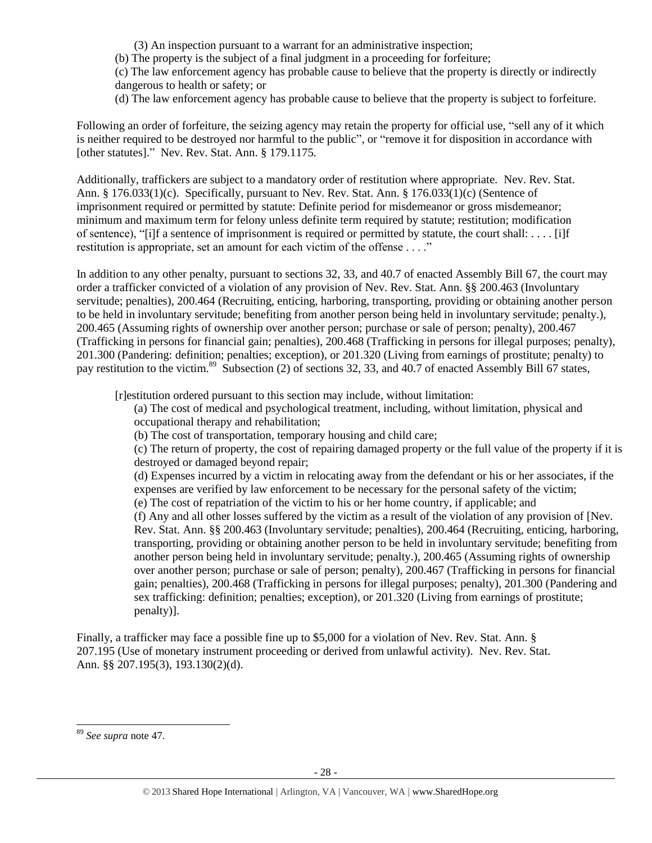(3) An inspection pursuant to a warrant for an administrative inspection;

(b) The property is the subject of a final judgment in a proceeding for forfeiture;

(c) The law enforcement agency has probable cause to believe that the property is directly or indirectly dangerous to health or safety; or

(d) The law enforcement agency has probable cause to believe that the property is subject to forfeiture.

Following an order of forfeiture, the seizing agency may retain the property for official use, "sell any of it which is neither required to be destroyed nor harmful to the public", or "remove it for disposition in accordance with [other statutes]." Nev. Rev. Stat. Ann. § 179.1175.

Additionally, traffickers are subject to a mandatory order of restitution where appropriate. Nev. Rev. Stat. Ann. § 176.033(1)(c). Specifically, pursuant to Nev. Rev. Stat. Ann. § 176.033(1)(c) (Sentence of imprisonment required or permitted by statute: Definite period for misdemeanor or gross misdemeanor; minimum and maximum term for felony unless definite term required by statute; restitution; modification of sentence), "[i]f a sentence of imprisonment is required or permitted by statute, the court shall: . . . . [i]f restitution is appropriate, set an amount for each victim of the offense . . . ."

In addition to any other penalty, pursuant to sections 32, 33, and 40.7 of enacted Assembly Bill 67, the court may order a trafficker convicted of a violation of any provision of Nev. Rev. Stat. Ann. §§ 200.463 (Involuntary servitude; penalties), 200.464 (Recruiting, enticing, harboring, transporting, providing or obtaining another person to be held in involuntary servitude; benefiting from another person being held in involuntary servitude; penalty.), 200.465 (Assuming rights of ownership over another person; purchase or sale of person; penalty), 200.467 (Trafficking in persons for financial gain; penalties), 200.468 (Trafficking in persons for illegal purposes; penalty), 201.300 (Pandering: definition; penalties; exception), or 201.320 (Living from earnings of prostitute; penalty) to pay restitution to the victim.<sup>89</sup> Subsection (2) of sections 32, 33, and 40.7 of enacted Assembly Bill 67 states,

[r]estitution ordered pursuant to this section may include, without limitation:

(a) The cost of medical and psychological treatment, including, without limitation, physical and occupational therapy and rehabilitation;

(b) The cost of transportation, temporary housing and child care;

(c) The return of property, the cost of repairing damaged property or the full value of the property if it is destroyed or damaged beyond repair;

(d) Expenses incurred by a victim in relocating away from the defendant or his or her associates, if the expenses are verified by law enforcement to be necessary for the personal safety of the victim; (e) The cost of repatriation of the victim to his or her home country, if applicable; and

(f) Any and all other losses suffered by the victim as a result of the violation of any provision of [Nev. Rev. Stat. Ann. §§ 200.463 (Involuntary servitude; penalties), 200.464 (Recruiting, enticing, harboring, transporting, providing or obtaining another person to be held in involuntary servitude; benefiting from another person being held in involuntary servitude; penalty.), 200.465 (Assuming rights of ownership over another person; purchase or sale of person; penalty), 200.467 (Trafficking in persons for financial gain; penalties), 200.468 (Trafficking in persons for illegal purposes; penalty), 201.300 (Pandering and sex trafficking: definition; penalties; exception), or 201.320 (Living from earnings of prostitute; penalty)].

Finally, a trafficker may face a possible fine up to \$5,000 for a violation of Nev. Rev. Stat. Ann. § 207.195 (Use of monetary instrument proceeding or derived from unlawful activity). Nev. Rev. Stat. Ann. §§ 207.195(3), 193.130(2)(d).

 $\overline{\phantom{a}}$ 

<sup>89</sup> *See supra* note [47.](#page-15-1)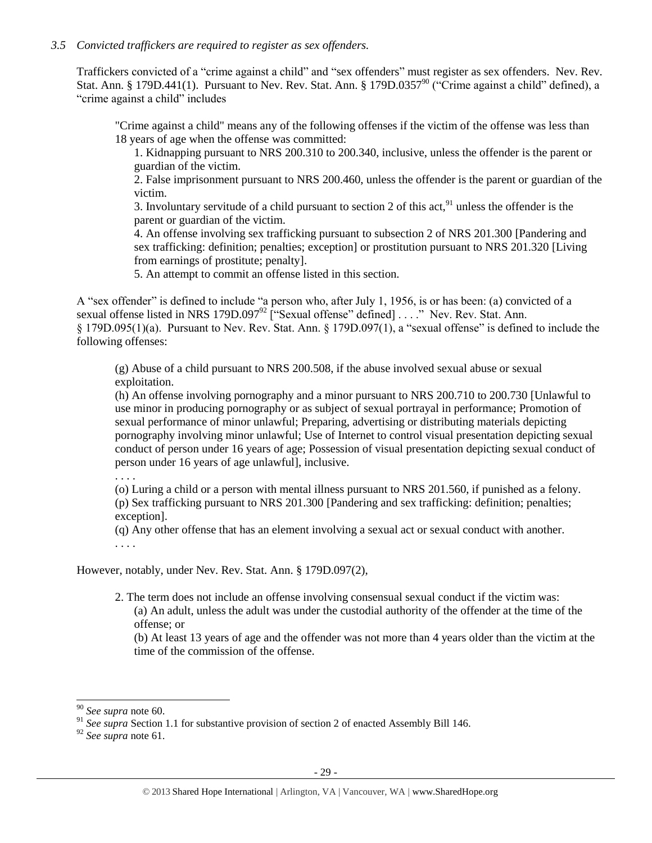## *3.5 Convicted traffickers are required to register as sex offenders.*

Traffickers convicted of a "crime against a child" and "sex offenders" must register as sex offenders. Nev. Rev. Stat. Ann. § 179D.441(1). Pursuant to Nev. Rev. Stat. Ann. § 179D.0357<sup>90</sup> ("Crime against a child" defined), a "crime against a child" includes

"Crime against a child" means any of the following offenses if the victim of the offense was less than 18 years of age when the offense was committed:

1. Kidnapping pursuant to NRS 200.310 to 200.340, inclusive, unless the offender is the parent or guardian of the victim.

2. False imprisonment pursuant to NRS 200.460, unless the offender is the parent or guardian of the victim.

3. Involuntary servitude of a child pursuant to section 2 of this act,  $91$  unless the offender is the parent or guardian of the victim.

4. An offense involving sex trafficking pursuant to subsection 2 of NRS 201.300 [Pandering and sex trafficking: definition; penalties; exception] or prostitution pursuant to NRS 201.320 [Living from earnings of prostitute; penalty].

5. An attempt to commit an offense listed in this section.

A "sex offender" is defined to include "a person who, after July 1, 1956, is or has been: (a) convicted of a sexual offense listed in NRS 179D.097<sup>92</sup> ["Sexual offense" defined] . . . ." Nev. Rev. Stat. Ann. § 179D.095(1)(a). Pursuant to Nev. Rev. Stat. Ann. § 179D.097(1), a "sexual offense" is defined to include the following offenses:

(g) Abuse of a child pursuant to NRS 200.508, if the abuse involved sexual abuse or sexual exploitation.

(h) An offense involving pornography and a minor pursuant to NRS 200.710 to 200.730 [Unlawful to use minor in producing pornography or as subject of sexual portrayal in performance; Promotion of sexual performance of minor unlawful; Preparing, advertising or distributing materials depicting pornography involving minor unlawful; Use of Internet to control visual presentation depicting sexual conduct of person under 16 years of age; Possession of visual presentation depicting sexual conduct of person under 16 years of age unlawful], inclusive.

. . . .

(o) Luring a child or a person with mental illness pursuant to NRS 201.560, if punished as a felony. (p) Sex trafficking pursuant to NRS 201.300 [Pandering and sex trafficking: definition; penalties; exception].

(q) Any other offense that has an element involving a sexual act or sexual conduct with another. . . . .

However, notably, under Nev. Rev. Stat. Ann. § 179D.097(2),

2. The term does not include an offense involving consensual sexual conduct if the victim was: (a) An adult, unless the adult was under the custodial authority of the offender at the time of the offense; or

(b) At least 13 years of age and the offender was not more than 4 years older than the victim at the time of the commission of the offense.

l

<sup>90</sup> *See supra* note [60.](#page-18-0)

<sup>&</sup>lt;sup>91</sup> See supra Section 1.1 for substantive provision of section 2 of enacted Assembly Bill 146.

<sup>92</sup> *See supra* note [61.](#page-18-1)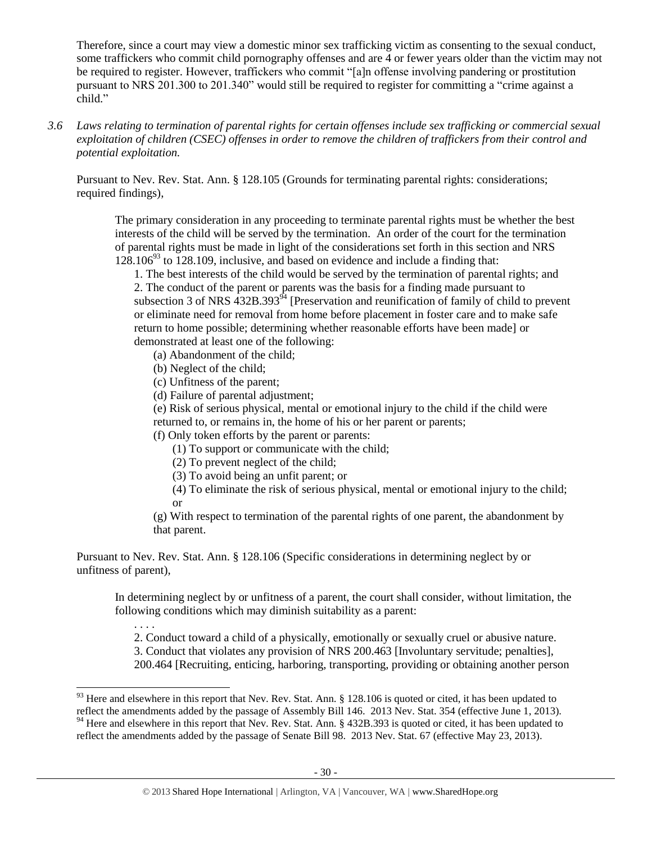Therefore, since a court may view a domestic minor sex trafficking victim as consenting to the sexual conduct, some traffickers who commit child pornography offenses and are 4 or fewer years older than the victim may not be required to register. However, traffickers who commit "[a]n offense involving pandering or prostitution pursuant to NRS 201.300 to 201.340" would still be required to register for committing a "crime against a child."

*3.6 Laws relating to termination of parental rights for certain offenses include sex trafficking or commercial sexual exploitation of children (CSEC) offenses in order to remove the children of traffickers from their control and potential exploitation.* 

Pursuant to Nev. Rev. Stat. Ann. § 128.105 (Grounds for terminating parental rights: considerations; required findings),

The primary consideration in any proceeding to terminate parental rights must be whether the best interests of the child will be served by the termination. An order of the court for the termination of parental rights must be made in light of the considerations set forth in this section and NRS  $128.106<sup>93</sup>$  to 128.109, inclusive, and based on evidence and include a finding that:

1. The best interests of the child would be served by the termination of parental rights; and 2. The conduct of the parent or parents was the basis for a finding made pursuant to subsection 3 of NRS  $432B.393<sup>94</sup>$  [Preservation and reunification of family of child to prevent or eliminate need for removal from home before placement in foster care and to make safe return to home possible; determining whether reasonable efforts have been made] or demonstrated at least one of the following:

- (a) Abandonment of the child;
- (b) Neglect of the child;

 $\overline{\phantom{a}}$ 

- (c) Unfitness of the parent;
- (d) Failure of parental adjustment;

(e) Risk of serious physical, mental or emotional injury to the child if the child were returned to, or remains in, the home of his or her parent or parents;

(f) Only token efforts by the parent or parents:

- (1) To support or communicate with the child;
- (2) To prevent neglect of the child;
- (3) To avoid being an unfit parent; or

(4) To eliminate the risk of serious physical, mental or emotional injury to the child; or

(g) With respect to termination of the parental rights of one parent, the abandonment by that parent.

Pursuant to Nev. Rev. Stat. Ann. § 128.106 (Specific considerations in determining neglect by or unfitness of parent),

In determining neglect by or unfitness of a parent, the court shall consider, without limitation, the following conditions which may diminish suitability as a parent:

. . . . 2. Conduct toward a child of a physically, emotionally or sexually cruel or abusive nature.

3. Conduct that violates any provision of NRS 200.463 [Involuntary servitude; penalties],

200.464 [Recruiting, enticing, harboring, transporting, providing or obtaining another person

 $93$  Here and elsewhere in this report that Nev. Rev. Stat. Ann. § 128.106 is quoted or cited, it has been updated to reflect the amendments added by the passage of Assembly Bill 146. 2013 Nev. Stat. 354 (effective June 1, 2013).

<sup>&</sup>lt;sup>94</sup> Here and elsewhere in this report that Nev. Rev. Stat. Ann. § 432B.393 is quoted or cited, it has been updated to reflect the amendments added by the passage of Senate Bill 98. 2013 Nev. Stat. 67 (effective May 23, 2013).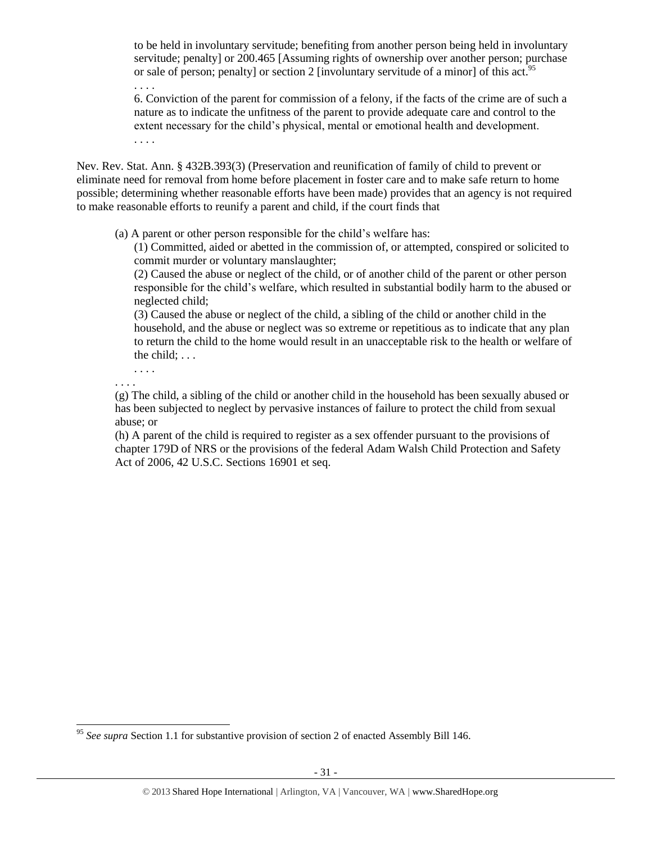to be held in involuntary servitude; benefiting from another person being held in involuntary servitude; penalty] or 200.465 [Assuming rights of ownership over another person; purchase or sale of person; penalty] or section 2 [involuntary servitude of a minor] of this act.<sup>95</sup> . . . .

6. Conviction of the parent for commission of a felony, if the facts of the crime are of such a nature as to indicate the unfitness of the parent to provide adequate care and control to the extent necessary for the child's physical, mental or emotional health and development. . . . .

Nev. Rev. Stat. Ann. § 432B.393(3) (Preservation and reunification of family of child to prevent or eliminate need for removal from home before placement in foster care and to make safe return to home possible; determining whether reasonable efforts have been made) provides that an agency is not required to make reasonable efforts to reunify a parent and child, if the court finds that

(a) A parent or other person responsible for the child's welfare has:

(1) Committed, aided or abetted in the commission of, or attempted, conspired or solicited to commit murder or voluntary manslaughter;

(2) Caused the abuse or neglect of the child, or of another child of the parent or other person responsible for the child's welfare, which resulted in substantial bodily harm to the abused or neglected child;

(3) Caused the abuse or neglect of the child, a sibling of the child or another child in the household, and the abuse or neglect was so extreme or repetitious as to indicate that any plan to return the child to the home would result in an unacceptable risk to the health or welfare of the child; . . .

. . . . . . . .

 $\overline{\phantom{a}}$ 

(g) The child, a sibling of the child or another child in the household has been sexually abused or has been subjected to neglect by pervasive instances of failure to protect the child from sexual abuse; or

(h) A parent of the child is required to register as a sex offender pursuant to the provisions of chapter 179D of NRS or the provisions of the federal Adam Walsh Child Protection and Safety Act of 2006, 42 U.S.C. Sections 16901 et seq.

<sup>95</sup> *See supra* Section 1.1 for substantive provision of section 2 of enacted Assembly Bill 146.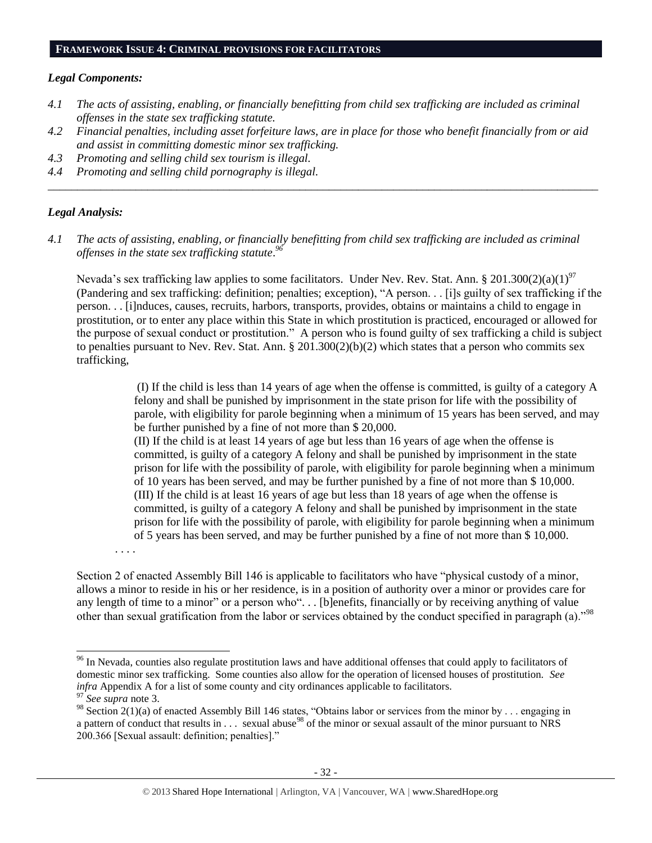#### **FRAMEWORK ISSUE 4: CRIMINAL PROVISIONS FOR FACILITATORS**

#### *Legal Components:*

- *4.1 The acts of assisting, enabling, or financially benefitting from child sex trafficking are included as criminal offenses in the state sex trafficking statute.*
- *4.2 Financial penalties, including asset forfeiture laws, are in place for those who benefit financially from or aid and assist in committing domestic minor sex trafficking.*

*\_\_\_\_\_\_\_\_\_\_\_\_\_\_\_\_\_\_\_\_\_\_\_\_\_\_\_\_\_\_\_\_\_\_\_\_\_\_\_\_\_\_\_\_\_\_\_\_\_\_\_\_\_\_\_\_\_\_\_\_\_\_\_\_\_\_\_\_\_\_\_\_\_\_\_\_\_\_\_\_\_\_\_\_\_\_\_\_\_\_\_\_\_\_*

- *4.3 Promoting and selling child sex tourism is illegal.*
- *4.4 Promoting and selling child pornography is illegal.*

#### *Legal Analysis:*

*4.1 The acts of assisting, enabling, or financially benefitting from child sex trafficking are included as criminal offenses in the state sex trafficking statute*. *96*

Nevada's sex trafficking law applies to some facilitators. Under Nev. Rev. Stat. Ann. § 201.300(2)(a)(1)<sup>97</sup> (Pandering and sex trafficking: definition; penalties; exception), "A person. . . [i]s guilty of sex trafficking if the person. . . [i]nduces, causes, recruits, harbors, transports, provides, obtains or maintains a child to engage in prostitution, or to enter any place within this State in which prostitution is practiced, encouraged or allowed for the purpose of sexual conduct or prostitution." A person who is found guilty of sex trafficking a child is subject to penalties pursuant to Nev. Rev. Stat. Ann.  $\S 201.300(2)(b)(2)$  which states that a person who commits sex trafficking,

> (I) If the child is less than 14 years of age when the offense is committed, is guilty of a category A felony and shall be punished by imprisonment in the state prison for life with the possibility of parole, with eligibility for parole beginning when a minimum of 15 years has been served, and may be further punished by a fine of not more than \$ 20,000.

> (II) If the child is at least 14 years of age but less than 16 years of age when the offense is committed, is guilty of a category A felony and shall be punished by imprisonment in the state prison for life with the possibility of parole, with eligibility for parole beginning when a minimum of 10 years has been served, and may be further punished by a fine of not more than \$ 10,000. (III) If the child is at least 16 years of age but less than 18 years of age when the offense is committed, is guilty of a category A felony and shall be punished by imprisonment in the state prison for life with the possibility of parole, with eligibility for parole beginning when a minimum of 5 years has been served, and may be further punished by a fine of not more than \$ 10,000.

. . . .

Section 2 of enacted Assembly Bill 146 is applicable to facilitators who have "physical custody of a minor, allows a minor to reside in his or her residence, is in a position of authority over a minor or provides care for any length of time to a minor" or a person who". . . [b]enefits, financially or by receiving anything of value other than sexual gratification from the labor or services obtained by the conduct specified in paragraph (a)."<sup>98</sup>

 $\overline{\phantom{a}}$ 

<sup>&</sup>lt;sup>96</sup> In Nevada, counties also regulate prostitution laws and have additional offenses that could apply to facilitators of domestic minor sex trafficking. Some counties also allow for the operation of licensed houses of prostitution. *See infra* Appendix A for a list of some county and city ordinances applicable to facilitators.

<sup>97</sup> *See supra* note [3.](#page-0-0)

<sup>&</sup>lt;sup>98</sup> Section 2(1)(a) of enacted Assembly Bill 146 states, "Obtains labor or services from the minor by . . . engaging in a pattern of conduct that results in  $\ldots$  sexual abuse<sup>98</sup> of the minor or sexual assault of the minor pursuant to NRS 200.366 [Sexual assault: definition; penalties]."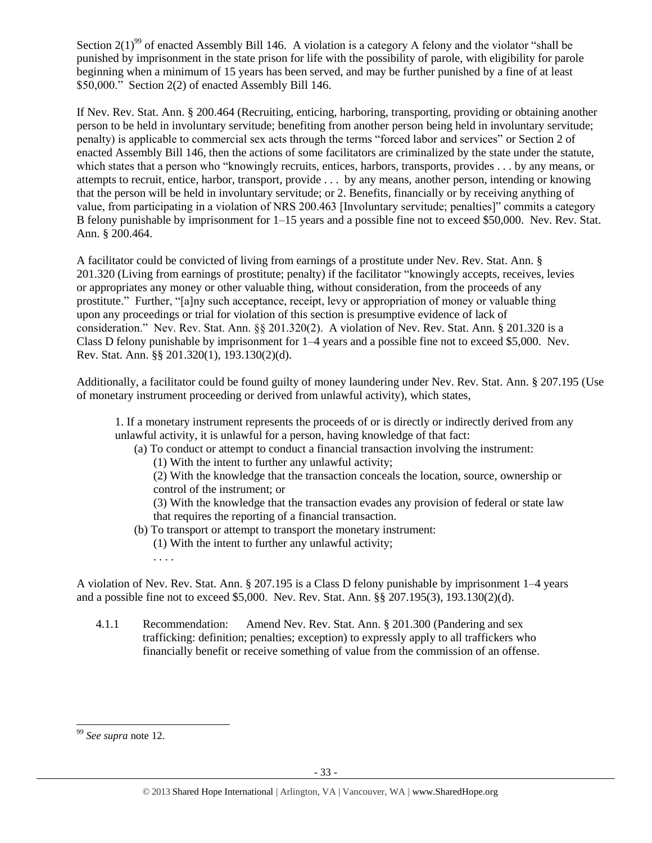Section 2(1)<sup>99</sup> of enacted Assembly Bill 146. A violation is a category A felony and the violator "shall be punished by imprisonment in the state prison for life with the possibility of parole, with eligibility for parole beginning when a minimum of 15 years has been served, and may be further punished by a fine of at least \$50,000." Section 2(2) of enacted Assembly Bill 146.

If Nev. Rev. Stat. Ann. § 200.464 (Recruiting, enticing, harboring, transporting, providing or obtaining another person to be held in involuntary servitude; benefiting from another person being held in involuntary servitude; penalty) is applicable to commercial sex acts through the terms "forced labor and services" or Section 2 of enacted Assembly Bill 146, then the actions of some facilitators are criminalized by the state under the statute, which states that a person who "knowingly recruits, entices, harbors, transports, provides . . . by any means, or attempts to recruit, entice, harbor, transport, provide . . . by any means, another person, intending or knowing that the person will be held in involuntary servitude; or 2. Benefits, financially or by receiving anything of value, from participating in a violation of NRS 200.463 [Involuntary servitude; penalties]" commits a category B felony punishable by imprisonment for 1–15 years and a possible fine not to exceed \$50,000. Nev. Rev. Stat. Ann. § 200.464.

A facilitator could be convicted of living from earnings of a prostitute under Nev. Rev. Stat. Ann. § 201.320 (Living from earnings of prostitute; penalty) if the facilitator "knowingly accepts, receives, levies or appropriates any money or other valuable thing, without consideration, from the proceeds of any prostitute." Further, "[a]ny such acceptance, receipt, levy or appropriation of money or valuable thing upon any proceedings or trial for violation of this section is presumptive evidence of lack of consideration." Nev. Rev. Stat. Ann. §§ 201.320(2). A violation of Nev. Rev. Stat. Ann. § 201.320 is a Class D felony punishable by imprisonment for 1–4 years and a possible fine not to exceed \$5,000. Nev. Rev. Stat. Ann. §§ 201.320(1), 193.130(2)(d).

Additionally, a facilitator could be found guilty of money laundering under Nev. Rev. Stat. Ann. § 207.195 (Use of monetary instrument proceeding or derived from unlawful activity), which states,

1. If a monetary instrument represents the proceeds of or is directly or indirectly derived from any unlawful activity, it is unlawful for a person, having knowledge of that fact:

- (a) To conduct or attempt to conduct a financial transaction involving the instrument:
	- (1) With the intent to further any unlawful activity;

(2) With the knowledge that the transaction conceals the location, source, ownership or control of the instrument; or

(3) With the knowledge that the transaction evades any provision of federal or state law that requires the reporting of a financial transaction.

- (b) To transport or attempt to transport the monetary instrument: (1) With the intent to further any unlawful activity;
	- . . . .

A violation of Nev. Rev. Stat. Ann. § 207.195 is a Class D felony punishable by imprisonment 1–4 years and a possible fine not to exceed \$5,000. Nev. Rev. Stat. Ann. §§ 207.195(3), 193.130(2)(d).

4.1.1 Recommendation: Amend Nev. Rev. Stat. Ann. § 201.300 (Pandering and sex trafficking: definition; penalties; exception) to expressly apply to all traffickers who financially benefit or receive something of value from the commission of an offense.

 $\overline{\phantom{a}}$ 

<sup>99</sup> *See supra* note [12.](#page-2-1)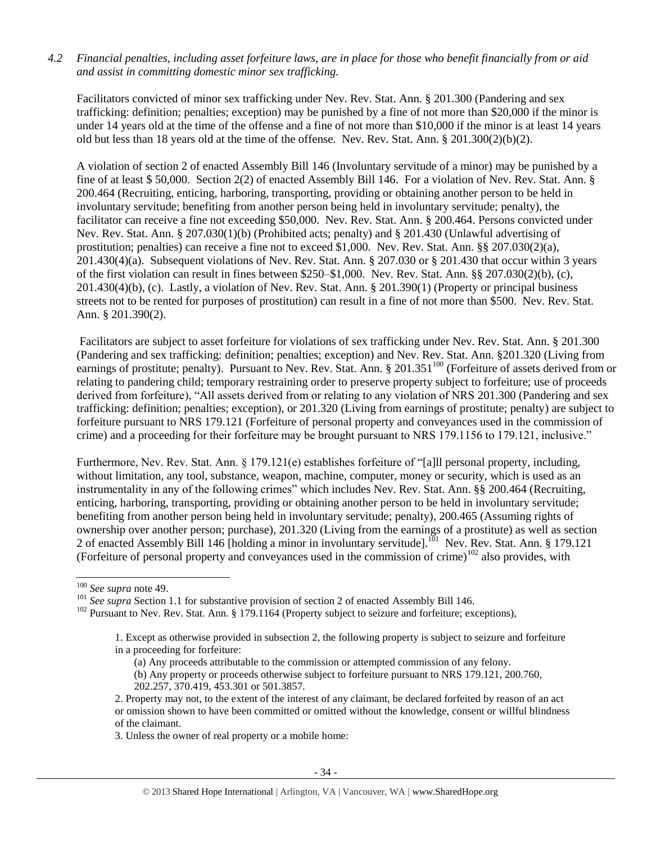## *4.2 Financial penalties, including asset forfeiture laws, are in place for those who benefit financially from or aid and assist in committing domestic minor sex trafficking.*

Facilitators convicted of minor sex trafficking under Nev. Rev. Stat. Ann. § 201.300 (Pandering and sex trafficking: definition; penalties; exception) may be punished by a fine of not more than \$20,000 if the minor is under 14 years old at the time of the offense and a fine of not more than \$10,000 if the minor is at least 14 years old but less than 18 years old at the time of the offense. Nev. Rev. Stat. Ann. § 201.300(2)(b)(2).

A violation of section 2 of enacted Assembly Bill 146 (Involuntary servitude of a minor) may be punished by a fine of at least \$ 50,000. Section 2(2) of enacted Assembly Bill 146. For a violation of Nev. Rev. Stat. Ann. § 200.464 (Recruiting, enticing, harboring, transporting, providing or obtaining another person to be held in involuntary servitude; benefiting from another person being held in involuntary servitude; penalty), the facilitator can receive a fine not exceeding \$50,000. Nev. Rev. Stat. Ann. § 200.464. Persons convicted under Nev. Rev. Stat. Ann. § 207.030(1)(b) (Prohibited acts; penalty) and § 201.430 (Unlawful advertising of prostitution; penalties) can receive a fine not to exceed \$1,000. Nev. Rev. Stat. Ann. §§ 207.030(2)(a), 201.430(4)(a). Subsequent violations of Nev. Rev. Stat. Ann. § 207.030 or § 201.430 that occur within 3 years of the first violation can result in fines between \$250–\$1,000. Nev. Rev. Stat. Ann. §§ 207.030(2)(b), (c), 201.430(4)(b), (c). Lastly, a violation of Nev. Rev. Stat. Ann. § 201.390(1) (Property or principal business streets not to be rented for purposes of prostitution) can result in a fine of not more than \$500. Nev. Rev. Stat. Ann. § 201.390(2).

Facilitators are subject to asset forfeiture for violations of sex trafficking under Nev. Rev. Stat. Ann. § 201.300 (Pandering and sex trafficking: definition; penalties; exception) and Nev. Rev. Stat. Ann. §201.320 (Living from earnings of prostitute; penalty). Pursuant to Nev. Rev. Stat. Ann. § 201.351<sup>100</sup> (Forfeiture of assets derived from or relating to pandering child; temporary restraining order to preserve property subject to forfeiture; use of proceeds derived from forfeiture), "All assets derived from or relating to any violation of NRS 201.300 (Pandering and sex trafficking: definition; penalties; exception), or 201.320 (Living from earnings of prostitute; penalty) are subject to forfeiture pursuant to NRS 179.121 (Forfeiture of personal property and conveyances used in the commission of crime) and a proceeding for their forfeiture may be brought pursuant to NRS 179.1156 to 179.121, inclusive."

Furthermore, Nev. Rev. Stat. Ann. § 179.121(e) establishes forfeiture of "[a]ll personal property, including, without limitation, any tool, substance, weapon, machine, computer, money or security, which is used as an instrumentality in any of the following crimes" which includes Nev. Rev. Stat. Ann. §§ 200.464 (Recruiting, enticing, harboring, transporting, providing or obtaining another person to be held in involuntary servitude; benefiting from another person being held in involuntary servitude; penalty), 200.465 (Assuming rights of ownership over another person; purchase), 201.320 (Living from the earnings of a prostitute) as well as section 2 of enacted Assembly Bill 146 [holding a minor in involuntary servitude].<sup>101</sup> Nev. Rev. Stat. Ann. § 179.121 (Forfeiture of personal property and conveyances used in the commission of crime)<sup>102</sup> also provides, with

 $\overline{\phantom{a}}$ 

3. Unless the owner of real property or a mobile home:

<sup>100</sup> *See supra* not[e 49.](#page-15-2)

<sup>&</sup>lt;sup>101</sup> See supra Section 1.1 for substantive provision of section 2 of enacted Assembly Bill 146.

<sup>&</sup>lt;sup>102</sup> Pursuant to Nev. Rev. Stat. Ann. § 179.1164 (Property subject to seizure and forfeiture; exceptions),

<sup>1.</sup> Except as otherwise provided in subsection 2, the following property is subject to seizure and forfeiture in a proceeding for forfeiture:

<sup>(</sup>a) Any proceeds attributable to the commission or attempted commission of any felony.

<sup>(</sup>b) Any property or proceeds otherwise subject to forfeiture pursuant to NRS 179.121, 200.760, 202.257, 370.419, 453.301 or 501.3857.

<sup>2.</sup> Property may not, to the extent of the interest of any claimant, be declared forfeited by reason of an act or omission shown to have been committed or omitted without the knowledge, consent or willful blindness of the claimant.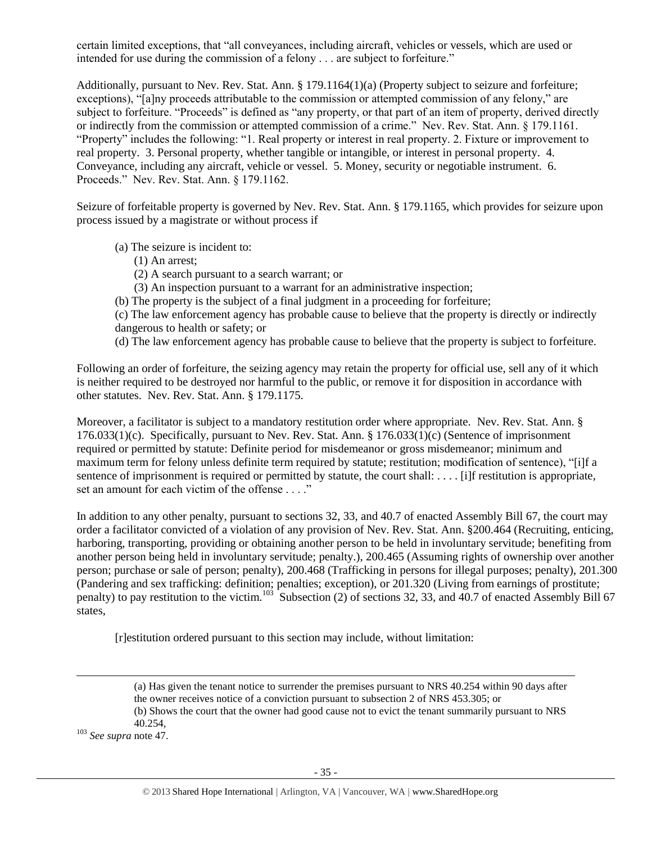certain limited exceptions, that "all conveyances, including aircraft, vehicles or vessels, which are used or intended for use during the commission of a felony . . . are subject to forfeiture."

Additionally, pursuant to Nev. Rev. Stat. Ann. § 179.1164(1)(a) (Property subject to seizure and forfeiture; exceptions), "[a]ny proceeds attributable to the commission or attempted commission of any felony," are subject to forfeiture. "Proceeds" is defined as "any property, or that part of an item of property, derived directly or indirectly from the commission or attempted commission of a crime." Nev. Rev. Stat. Ann. § 179.1161. "Property" includes the following: "1. Real property or interest in real property. 2. Fixture or improvement to real property. 3. Personal property, whether tangible or intangible, or interest in personal property. 4. Conveyance, including any aircraft, vehicle or vessel. 5. Money, security or negotiable instrument. 6. Proceeds." Nev. Rev. Stat. Ann. § 179.1162.

Seizure of forfeitable property is governed by Nev. Rev. Stat. Ann. § 179.1165, which provides for seizure upon process issued by a magistrate or without process if

- (a) The seizure is incident to:
	- (1) An arrest;
	- (2) A search pursuant to a search warrant; or
	- (3) An inspection pursuant to a warrant for an administrative inspection;
- (b) The property is the subject of a final judgment in a proceeding for forfeiture;

(c) The law enforcement agency has probable cause to believe that the property is directly or indirectly dangerous to health or safety; or

(d) The law enforcement agency has probable cause to believe that the property is subject to forfeiture.

Following an order of forfeiture, the seizing agency may retain the property for official use, sell any of it which is neither required to be destroyed nor harmful to the public, or remove it for disposition in accordance with other statutes. Nev. Rev. Stat. Ann. § 179.1175.

Moreover, a facilitator is subject to a mandatory restitution order where appropriate. Nev. Rev. Stat. Ann. § 176.033(1)(c). Specifically, pursuant to Nev. Rev. Stat. Ann. § 176.033(1)(c) (Sentence of imprisonment required or permitted by statute: Definite period for misdemeanor or gross misdemeanor; minimum and maximum term for felony unless definite term required by statute; restitution; modification of sentence), "[i]f a sentence of imprisonment is required or permitted by statute, the court shall: . . . . [i]f restitution is appropriate, set an amount for each victim of the offense . . . ."

In addition to any other penalty, pursuant to sections 32, 33, and 40.7 of enacted Assembly Bill 67, the court may order a facilitator convicted of a violation of any provision of Nev. Rev. Stat. Ann. §200.464 (Recruiting, enticing, harboring, transporting, providing or obtaining another person to be held in involuntary servitude; benefiting from another person being held in involuntary servitude; penalty.), 200.465 (Assuming rights of ownership over another person; purchase or sale of person; penalty), 200.468 (Trafficking in persons for illegal purposes; penalty), 201.300 (Pandering and sex trafficking: definition; penalties; exception), or 201.320 (Living from earnings of prostitute; penalty) to pay restitution to the victim.<sup>103</sup> Subsection (2) of sections 32, 33, and 40.7 of enacted Assembly Bill 67 states,

[r]estitution ordered pursuant to this section may include, without limitation:

 $\overline{a}$ 

<sup>(</sup>a) Has given the tenant notice to surrender the premises pursuant to NRS 40.254 within 90 days after the owner receives notice of a conviction pursuant to subsection 2 of NRS 453.305; or

<sup>(</sup>b) Shows the court that the owner had good cause not to evict the tenant summarily pursuant to NRS

<sup>40.254,</sup>

<sup>103</sup> *See supra* not[e 47.](#page-15-1)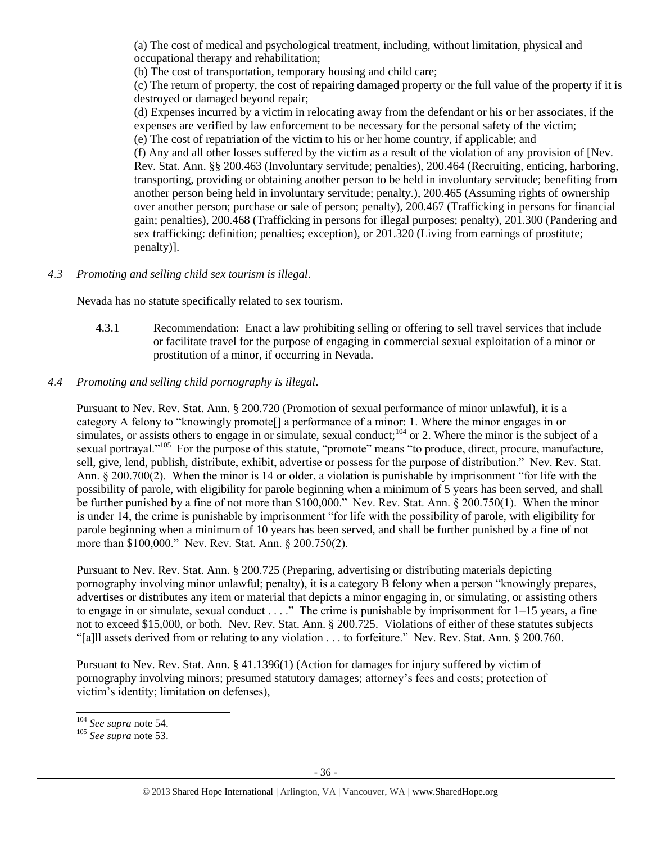(a) The cost of medical and psychological treatment, including, without limitation, physical and occupational therapy and rehabilitation;

(b) The cost of transportation, temporary housing and child care;

(c) The return of property, the cost of repairing damaged property or the full value of the property if it is destroyed or damaged beyond repair;

(d) Expenses incurred by a victim in relocating away from the defendant or his or her associates, if the expenses are verified by law enforcement to be necessary for the personal safety of the victim; (e) The cost of repatriation of the victim to his or her home country, if applicable; and

(f) Any and all other losses suffered by the victim as a result of the violation of any provision of [Nev. Rev. Stat. Ann. §§ 200.463 (Involuntary servitude; penalties), 200.464 (Recruiting, enticing, harboring, transporting, providing or obtaining another person to be held in involuntary servitude; benefiting from another person being held in involuntary servitude; penalty.), 200.465 (Assuming rights of ownership over another person; purchase or sale of person; penalty), 200.467 (Trafficking in persons for financial gain; penalties), 200.468 (Trafficking in persons for illegal purposes; penalty), 201.300 (Pandering and sex trafficking: definition; penalties; exception), or 201.320 (Living from earnings of prostitute; penalty)].

## *4.3 Promoting and selling child sex tourism is illegal*.

Nevada has no statute specifically related to sex tourism.

4.3.1 Recommendation: Enact a law prohibiting selling or offering to sell travel services that include or facilitate travel for the purpose of engaging in commercial sexual exploitation of a minor or prostitution of a minor, if occurring in Nevada.

## *4.4 Promoting and selling child pornography is illegal*.

Pursuant to Nev. Rev. Stat. Ann. § 200.720 (Promotion of sexual performance of minor unlawful), it is a category A felony to "knowingly promote[] a performance of a minor: 1. Where the minor engages in or simulates, or assists others to engage in or simulate, sexual conduct;<sup>104</sup> or 2. Where the minor is the subject of a sexual portrayal."<sup>105</sup> For the purpose of this statute, "promote" means "to produce, direct, procure, manufacture, sell, give, lend, publish, distribute, exhibit, advertise or possess for the purpose of distribution." Nev. Rev. Stat. Ann. § 200.700(2). When the minor is 14 or older, a violation is punishable by imprisonment "for life with the possibility of parole, with eligibility for parole beginning when a minimum of 5 years has been served, and shall be further punished by a fine of not more than \$100,000." Nev. Rev. Stat. Ann. § 200.750(1). When the minor is under 14, the crime is punishable by imprisonment "for life with the possibility of parole, with eligibility for parole beginning when a minimum of 10 years has been served, and shall be further punished by a fine of not more than \$100,000." Nev. Rev. Stat. Ann. § 200.750(2).

Pursuant to Nev. Rev. Stat. Ann. § 200.725 (Preparing, advertising or distributing materials depicting pornography involving minor unlawful; penalty), it is a category B felony when a person "knowingly prepares, advertises or distributes any item or material that depicts a minor engaging in, or simulating, or assisting others to engage in or simulate, sexual conduct . . . ." The crime is punishable by imprisonment for 1–15 years, a fine not to exceed \$15,000, or both. Nev. Rev. Stat. Ann. § 200.725. Violations of either of these statutes subjects "[a]ll assets derived from or relating to any violation . . . to forfeiture." Nev. Rev. Stat. Ann. § 200.760.

Pursuant to Nev. Rev. Stat. Ann. § 41.1396(1) (Action for damages for injury suffered by victim of pornography involving minors; presumed statutory damages; attorney's fees and costs; protection of victim's identity; limitation on defenses),

 $\overline{\phantom{a}}$ <sup>104</sup> *See supra* note [54.](#page-16-0)

<sup>105</sup> *See supra* note [53.](#page-16-1)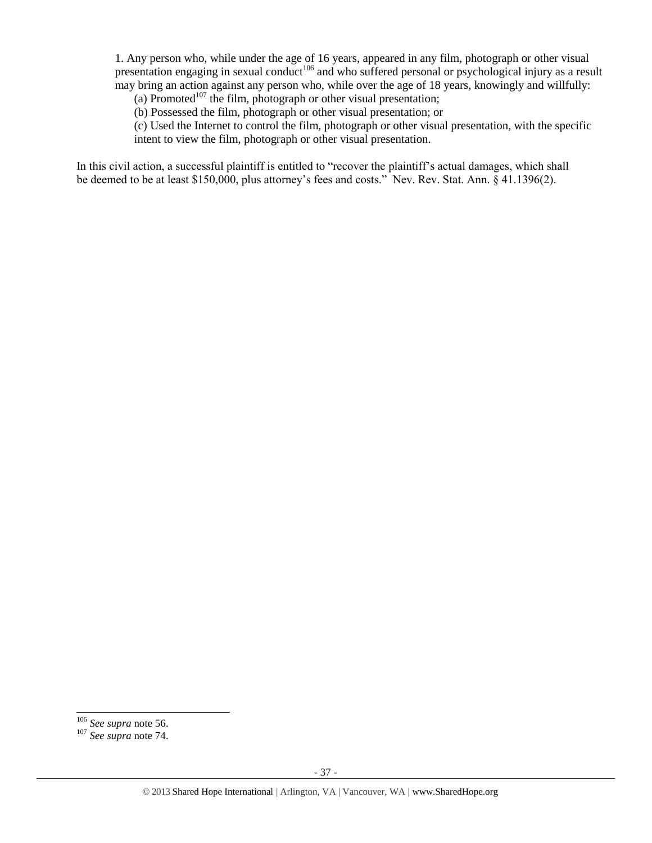1. Any person who, while under the age of 16 years, appeared in any film, photograph or other visual presentation engaging in sexual conduct<sup>106</sup> and who suffered personal or psychological injury as a result may bring an action against any person who, while over the age of 18 years, knowingly and willfully:

(a) Promoted<sup>107</sup> the film, photograph or other visual presentation;

(b) Possessed the film, photograph or other visual presentation; or

(c) Used the Internet to control the film, photograph or other visual presentation, with the specific intent to view the film, photograph or other visual presentation.

In this civil action, a successful plaintiff is entitled to "recover the plaintiff's actual damages, which shall be deemed to be at least \$150,000, plus attorney's fees and costs." Nev. Rev. Stat. Ann. § 41.1396(2).

<sup>106</sup> *See supra* not[e 56.](#page-17-0)

<sup>107</sup> *See supra* not[e 74.](#page-24-0)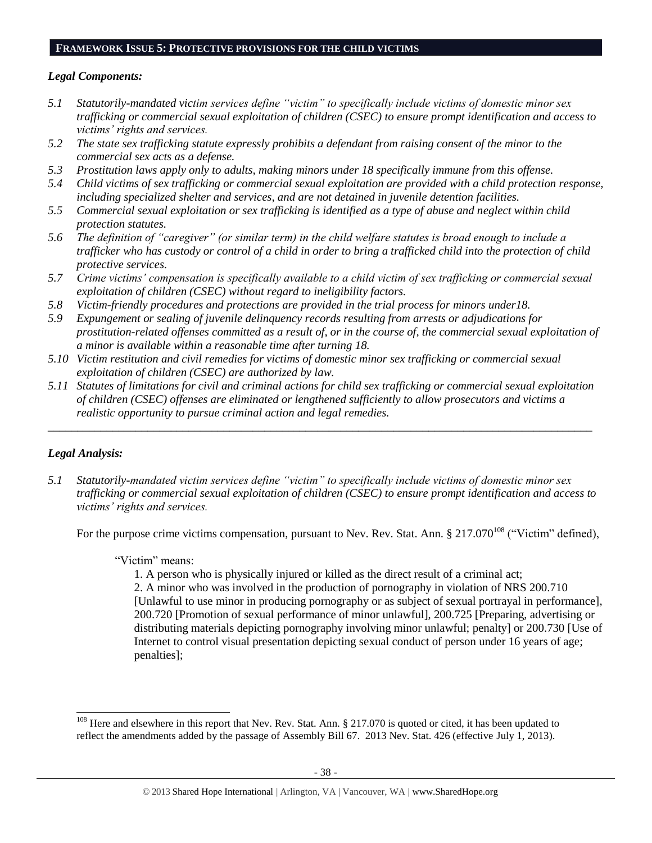### **FRAMEWORK ISSUE 5: PROTECTIVE PROVISIONS FOR THE CHILD VICTIMS**

### *Legal Components:*

- *5.1 Statutorily-mandated victim services define "victim" to specifically include victims of domestic minor sex trafficking or commercial sexual exploitation of children (CSEC) to ensure prompt identification and access to victims' rights and services.*
- *5.2 The state sex trafficking statute expressly prohibits a defendant from raising consent of the minor to the commercial sex acts as a defense.*
- *5.3 Prostitution laws apply only to adults, making minors under 18 specifically immune from this offense.*
- *5.4 Child victims of sex trafficking or commercial sexual exploitation are provided with a child protection response, including specialized shelter and services, and are not detained in juvenile detention facilities.*
- *5.5 Commercial sexual exploitation or sex trafficking is identified as a type of abuse and neglect within child protection statutes.*
- *5.6 The definition of "caregiver" (or similar term) in the child welfare statutes is broad enough to include a trafficker who has custody or control of a child in order to bring a trafficked child into the protection of child protective services.*
- *5.7 Crime victims' compensation is specifically available to a child victim of sex trafficking or commercial sexual exploitation of children (CSEC) without regard to ineligibility factors.*
- *5.8 Victim-friendly procedures and protections are provided in the trial process for minors under18.*
- *5.9 Expungement or sealing of juvenile delinquency records resulting from arrests or adjudications for prostitution-related offenses committed as a result of, or in the course of, the commercial sexual exploitation of a minor is available within a reasonable time after turning 18.*
- *5.10 Victim restitution and civil remedies for victims of domestic minor sex trafficking or commercial sexual exploitation of children (CSEC) are authorized by law.*
- *5.11 Statutes of limitations for civil and criminal actions for child sex trafficking or commercial sexual exploitation of children (CSEC) offenses are eliminated or lengthened sufficiently to allow prosecutors and victims a realistic opportunity to pursue criminal action and legal remedies.*

*\_\_\_\_\_\_\_\_\_\_\_\_\_\_\_\_\_\_\_\_\_\_\_\_\_\_\_\_\_\_\_\_\_\_\_\_\_\_\_\_\_\_\_\_\_\_\_\_\_\_\_\_\_\_\_\_\_\_\_\_\_\_\_\_\_\_\_\_\_\_\_\_\_\_\_\_\_\_\_\_\_\_\_\_\_\_\_\_\_\_\_\_\_*

### *Legal Analysis:*

 $\overline{a}$ 

*5.1 Statutorily-mandated victim services define "victim" to specifically include victims of domestic minor sex trafficking or commercial sexual exploitation of children (CSEC) to ensure prompt identification and access to victims' rights and services.*

For the purpose crime victims compensation, pursuant to Nev. Rev. Stat. Ann. § 217.070<sup>108</sup> ("Victim" defined),

#### "Victim" means:

<span id="page-37-0"></span>1. A person who is physically injured or killed as the direct result of a criminal act;

2. A minor who was involved in the production of pornography in violation of NRS 200.710 [Unlawful to use minor in producing pornography or as subject of sexual portrayal in performance], 200.720 [Promotion of sexual performance of minor unlawful], 200.725 [Preparing, advertising or distributing materials depicting pornography involving minor unlawful; penalty] or 200.730 [Use of Internet to control visual presentation depicting sexual conduct of person under 16 years of age; penalties];

<sup>&</sup>lt;sup>108</sup> Here and elsewhere in this report that Nev. Rev. Stat. Ann. § 217.070 is quoted or cited, it has been updated to reflect the amendments added by the passage of Assembly Bill 67. 2013 Nev. Stat. 426 (effective July 1, 2013).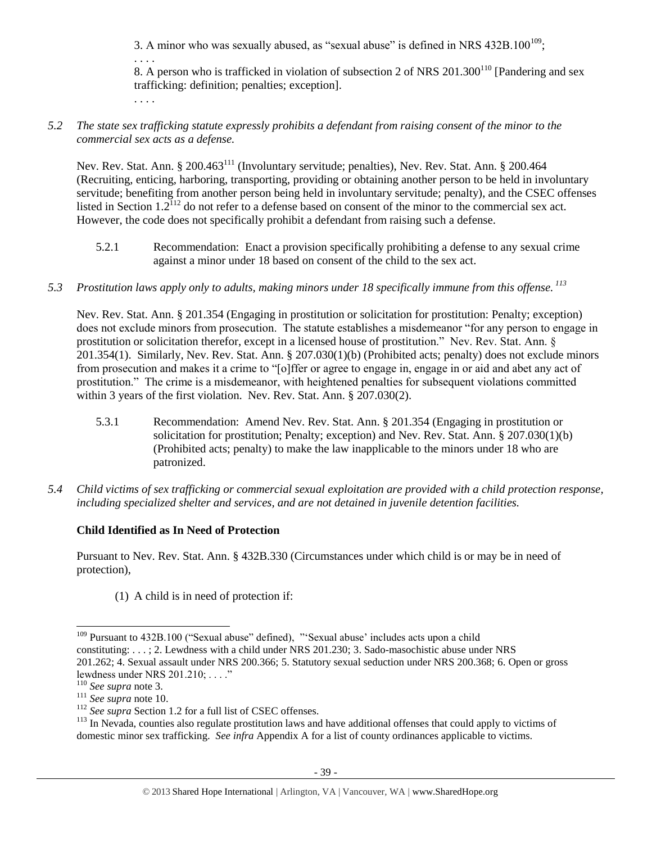3. A minor who was sexually abused, as "sexual abuse" is defined in NRS  $432B.100^{109}$ ;

<span id="page-38-0"></span>. . . .

8. A person who is trafficked in violation of subsection 2 of NRS  $201.300^{110}$  [Pandering and sex trafficking: definition; penalties; exception].

. . . .

*5.2 The state sex trafficking statute expressly prohibits a defendant from raising consent of the minor to the commercial sex acts as a defense.*

Nev. Rev. Stat. Ann. § 200.463<sup>111</sup> (Involuntary servitude; penalties), Nev. Rev. Stat. Ann. § 200.464 (Recruiting, enticing, harboring, transporting, providing or obtaining another person to be held in involuntary servitude; benefiting from another person being held in involuntary servitude; penalty), and the CSEC offenses listed in Section  $1.2^{112}$  do not refer to a defense based on consent of the minor to the commercial sex act. However, the code does not specifically prohibit a defendant from raising such a defense.

- 5.2.1 Recommendation: Enact a provision specifically prohibiting a defense to any sexual crime against a minor under 18 based on consent of the child to the sex act.
- *5.3 Prostitution laws apply only to adults, making minors under 18 specifically immune from this offense. <sup>113</sup>*

Nev. Rev. Stat. Ann. § 201.354 (Engaging in prostitution or solicitation for prostitution: Penalty; exception) does not exclude minors from prosecution. The statute establishes a misdemeanor "for any person to engage in prostitution or solicitation therefor, except in a licensed house of prostitution." Nev. Rev. Stat. Ann. § 201.354(1). Similarly, Nev. Rev. Stat. Ann. § 207.030(1)(b) (Prohibited acts; penalty) does not exclude minors from prosecution and makes it a crime to "[o]ffer or agree to engage in, engage in or aid and abet any act of prostitution." The crime is a misdemeanor, with heightened penalties for subsequent violations committed within 3 years of the first violation. Nev. Rev. Stat. Ann. § 207.030(2).

- 5.3.1 Recommendation: Amend Nev. Rev. Stat. Ann. § 201.354 (Engaging in prostitution or solicitation for prostitution; Penalty; exception) and Nev. Rev. Stat. Ann. § 207.030(1)(b) (Prohibited acts; penalty) to make the law inapplicable to the minors under 18 who are patronized.
- *5.4 Child victims of sex trafficking or commercial sexual exploitation are provided with a child protection response, including specialized shelter and services, and are not detained in juvenile detention facilities.*

## **Child Identified as In Need of Protection**

Pursuant to Nev. Rev. Stat. Ann. § 432B.330 (Circumstances under which child is or may be in need of protection),

(1) A child is in need of protection if:

 $\overline{a}$ <sup>109</sup> Pursuant to 432B.100 ("Sexual abuse" defined), "'Sexual abuse' includes acts upon a child constituting: . . . ; 2. Lewdness with a child under NRS 201.230; 3. Sado-masochistic abuse under NRS 201.262; 4. Sexual assault under NRS 200.366; 5. Statutory sexual seduction under NRS 200.368; 6. Open or gross lewdness under NRS 201.210; . . . ."

<sup>110</sup> *See supra* not[e 3.](#page-0-0)

<sup>111</sup> *See supra* not[e 10.](#page-2-0)

<sup>&</sup>lt;sup>112</sup> *See supra* Section 1.2 for a full list of CSEC offenses.

<sup>&</sup>lt;sup>113</sup> In Nevada, counties also regulate prostitution laws and have additional offenses that could apply to victims of domestic minor sex trafficking. *See infra* Appendix A for a list of county ordinances applicable to victims.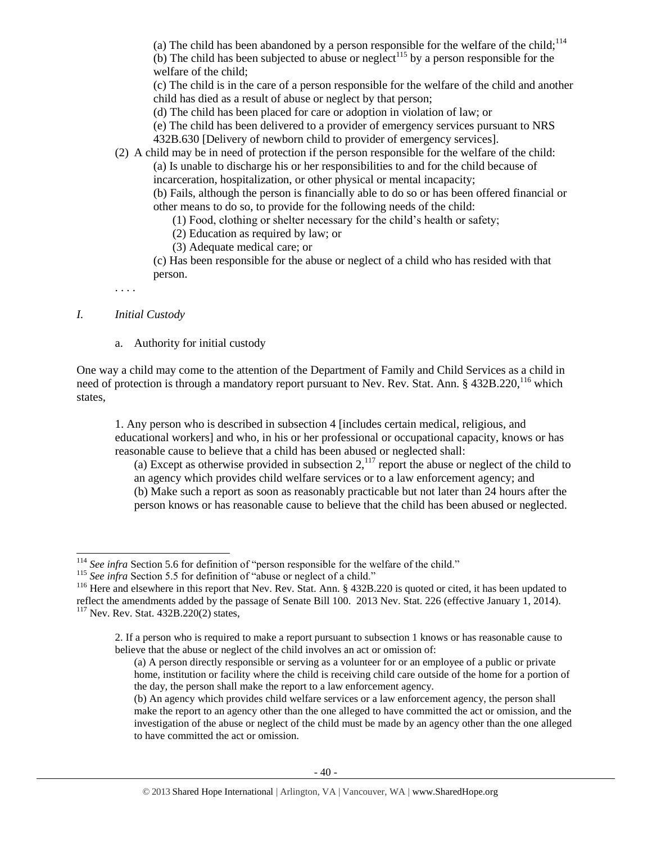(a) The child has been abandoned by a person responsible for the welfare of the child;<sup>114</sup> (b) The child has been subjected to abuse or neglect<sup>115</sup> by a person responsible for the welfare of the child;

(c) The child is in the care of a person responsible for the welfare of the child and another child has died as a result of abuse or neglect by that person;

(d) The child has been placed for care or adoption in violation of law; or

(e) The child has been delivered to a provider of emergency services pursuant to NRS

432B.630 [Delivery of newborn child to provider of emergency services].

(2) A child may be in need of protection if the person responsible for the welfare of the child: (a) Is unable to discharge his or her responsibilities to and for the child because of incarceration, hospitalization, or other physical or mental incapacity;

(b) Fails, although the person is financially able to do so or has been offered financial or other means to do so, to provide for the following needs of the child:

(1) Food, clothing or shelter necessary for the child's health or safety;

(2) Education as required by law; or

(3) Adequate medical care; or

(c) Has been responsible for the abuse or neglect of a child who has resided with that person.

. . . .

### *I. Initial Custody*

a. Authority for initial custody

One way a child may come to the attention of the Department of Family and Child Services as a child in need of protection is through a mandatory report pursuant to Nev. Rev. Stat. Ann. § 432B.220,<sup>116</sup> which states,

1. Any person who is described in subsection 4 [includes certain medical, religious, and educational workers] and who, in his or her professional or occupational capacity, knows or has reasonable cause to believe that a child has been abused or neglected shall:

(a) Except as otherwise provided in subsection  $2<sup>117</sup>$  report the abuse or neglect of the child to an agency which provides child welfare services or to a law enforcement agency; and (b) Make such a report as soon as reasonably practicable but not later than 24 hours after the person knows or has reasonable cause to believe that the child has been abused or neglected.

 $\overline{a}$ <sup>114</sup> See infra Section 5.6 for definition of "person responsible for the welfare of the child."

<sup>&</sup>lt;sup>115</sup> See infra Section 5.5 for definition of "abuse or neglect of a child."

<sup>&</sup>lt;sup>116</sup> Here and elsewhere in this report that Nev. Rev. Stat. Ann. § 432B.220 is quoted or cited, it has been updated to reflect the amendments added by the passage of Senate Bill 100. 2013 Nev. Stat. 226 (effective January 1, 2014). <sup>117</sup> Nev. Rev. Stat. 432B.220(2) states,

<sup>2.</sup> If a person who is required to make a report pursuant to subsection 1 knows or has reasonable cause to believe that the abuse or neglect of the child involves an act or omission of:

<sup>(</sup>a) A person directly responsible or serving as a volunteer for or an employee of a public or private home, institution or facility where the child is receiving child care outside of the home for a portion of the day, the person shall make the report to a law enforcement agency.

<sup>(</sup>b) An agency which provides child welfare services or a law enforcement agency, the person shall make the report to an agency other than the one alleged to have committed the act or omission, and the investigation of the abuse or neglect of the child must be made by an agency other than the one alleged to have committed the act or omission.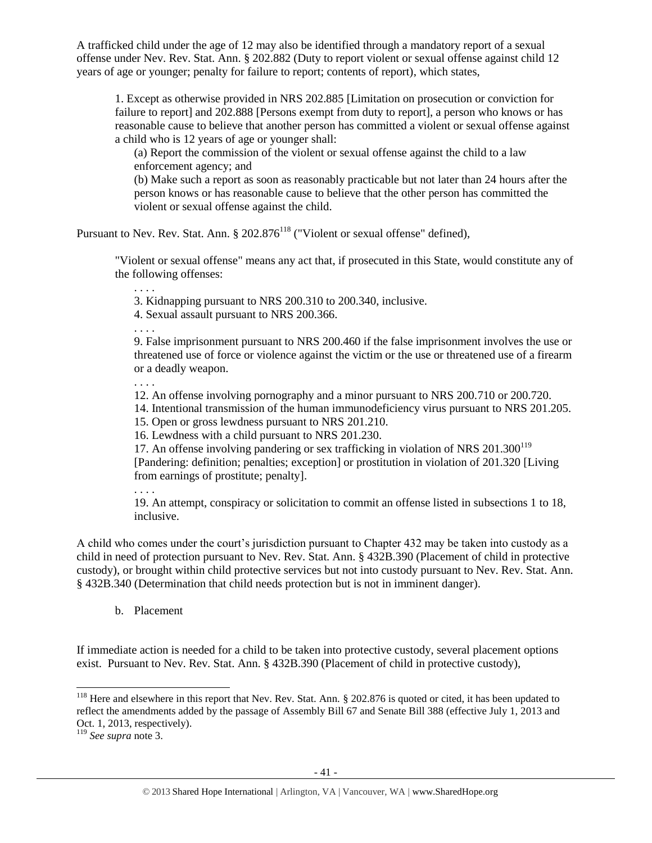A trafficked child under the age of 12 may also be identified through a mandatory report of a sexual offense under Nev. Rev. Stat. Ann. § 202.882 (Duty to report violent or sexual offense against child 12 years of age or younger; penalty for failure to report; contents of report), which states,

1. Except as otherwise provided in NRS 202.885 [Limitation on prosecution or conviction for failure to report] and 202.888 [Persons exempt from duty to report], a person who knows or has reasonable cause to believe that another person has committed a violent or sexual offense against a child who is 12 years of age or younger shall:

(a) Report the commission of the violent or sexual offense against the child to a law enforcement agency; and

(b) Make such a report as soon as reasonably practicable but not later than 24 hours after the person knows or has reasonable cause to believe that the other person has committed the violent or sexual offense against the child.

Pursuant to Nev. Rev. Stat. Ann. § 202.876<sup>118</sup> ("Violent or sexual offense" defined),

"Violent or sexual offense" means any act that, if prosecuted in this State, would constitute any of the following offenses:

3. Kidnapping pursuant to NRS 200.310 to 200.340, inclusive.

4. Sexual assault pursuant to NRS 200.366.

. . . .

. . . .

9. False imprisonment pursuant to NRS 200.460 if the false imprisonment involves the use or threatened use of force or violence against the victim or the use or threatened use of a firearm or a deadly weapon.

. . . .

12. An offense involving pornography and a minor pursuant to NRS 200.710 or 200.720.

14. Intentional transmission of the human immunodeficiency virus pursuant to NRS 201.205.

15. Open or gross lewdness pursuant to NRS 201.210.

16. Lewdness with a child pursuant to NRS 201.230.

17. An offense involving pandering or sex trafficking in violation of NRS  $201.300^{119}$ [Pandering: definition; penalties; exception] or prostitution in violation of 201.320 [Living from earnings of prostitute; penalty].

. . . .

19. An attempt, conspiracy or solicitation to commit an offense listed in subsections 1 to 18, inclusive.

A child who comes under the court's jurisdiction pursuant to Chapter 432 may be taken into custody as a child in need of protection pursuant to Nev. Rev. Stat. Ann. § 432B.390 (Placement of child in protective custody), or brought within child protective services but not into custody pursuant to Nev. Rev. Stat. Ann. § 432B.340 (Determination that child needs protection but is not in imminent danger).

b. Placement

If immediate action is needed for a child to be taken into protective custody, several placement options exist. Pursuant to Nev. Rev. Stat. Ann. § 432B.390 (Placement of child in protective custody),

<sup>&</sup>lt;sup>118</sup> Here and elsewhere in this report that Nev. Rev. Stat. Ann.  $\S$  202.876 is quoted or cited, it has been updated to reflect the amendments added by the passage of Assembly Bill 67 and Senate Bill 388 (effective July 1, 2013 and Oct. 1, 2013, respectively).

<sup>119</sup> *See supra* not[e 3.](#page-0-0)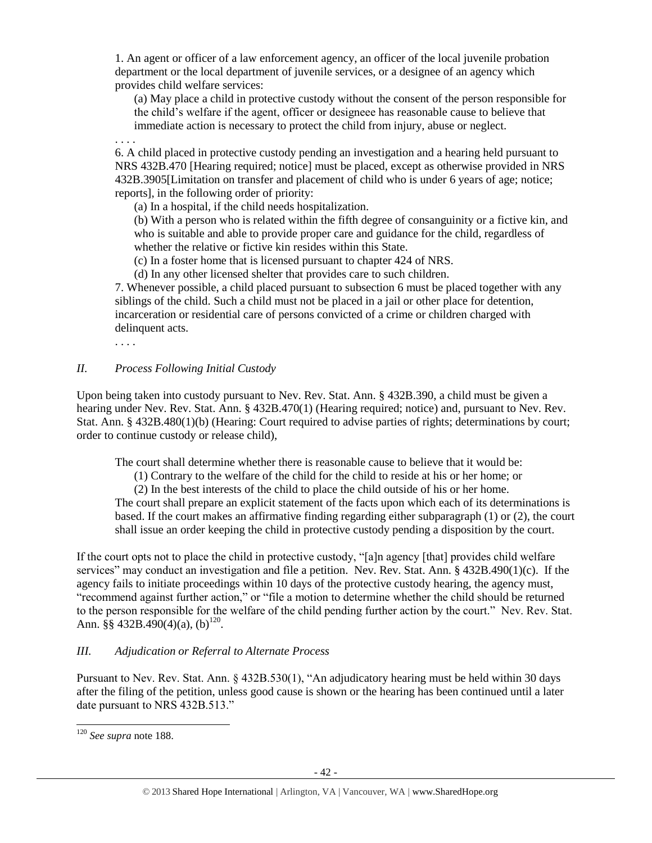1. An agent or officer of a law enforcement agency, an officer of the local juvenile probation department or the local department of juvenile services, or a designee of an agency which provides child welfare services:

(a) May place a child in protective custody without the consent of the person responsible for the child's welfare if the agent, officer or designeee has reasonable cause to believe that immediate action is necessary to protect the child from injury, abuse or neglect.

. . . .

6. A child placed in protective custody pending an investigation and a hearing held pursuant to NRS 432B.470 [Hearing required; notice] must be placed, except as otherwise provided in NRS 432B.3905[Limitation on transfer and placement of child who is under 6 years of age; notice; reports], in the following order of priority:

(a) In a hospital, if the child needs hospitalization.

(b) With a person who is related within the fifth degree of consanguinity or a fictive kin, and who is suitable and able to provide proper care and guidance for the child, regardless of whether the relative or fictive kin resides within this State.

(c) In a foster home that is licensed pursuant to chapter 424 of NRS.

(d) In any other licensed shelter that provides care to such children.

7. Whenever possible, a child placed pursuant to subsection 6 must be placed together with any siblings of the child. Such a child must not be placed in a jail or other place for detention, incarceration or residential care of persons convicted of a crime or children charged with delinquent acts.

. . . .

## *II. Process Following Initial Custody*

Upon being taken into custody pursuant to Nev. Rev. Stat. Ann. § 432B.390, a child must be given a hearing under Nev. Rev. Stat. Ann. § 432B.470(1) (Hearing required; notice) and, pursuant to Nev. Rev. Stat. Ann. § 432B.480(1)(b) (Hearing: Court required to advise parties of rights; determinations by court; order to continue custody or release child),

The court shall determine whether there is reasonable cause to believe that it would be:

(1) Contrary to the welfare of the child for the child to reside at his or her home; or

(2) In the best interests of the child to place the child outside of his or her home.

The court shall prepare an explicit statement of the facts upon which each of its determinations is based. If the court makes an affirmative finding regarding either subparagraph (1) or (2), the court shall issue an order keeping the child in protective custody pending a disposition by the court.

If the court opts not to place the child in protective custody, "[a]n agency [that] provides child welfare services" may conduct an investigation and file a petition. Nev. Rev. Stat. Ann. § 432B.490(1)(c). If the agency fails to initiate proceedings within 10 days of the protective custody hearing, the agency must, "recommend against further action," or "file a motion to determine whether the child should be returned to the person responsible for the welfare of the child pending further action by the court." Nev. Rev. Stat. Ann.  $\S$ § 432B.490(4)(a), (b)<sup>120</sup>.

## *III. Adjudication or Referral to Alternate Process*

Pursuant to Nev. Rev. Stat. Ann. § 432B.530(1), "An adjudicatory hearing must be held within 30 days after the filing of the petition, unless good cause is shown or the hearing has been continued until a later date pursuant to NRS 432B.513."

<sup>120</sup> *See supra* note 188.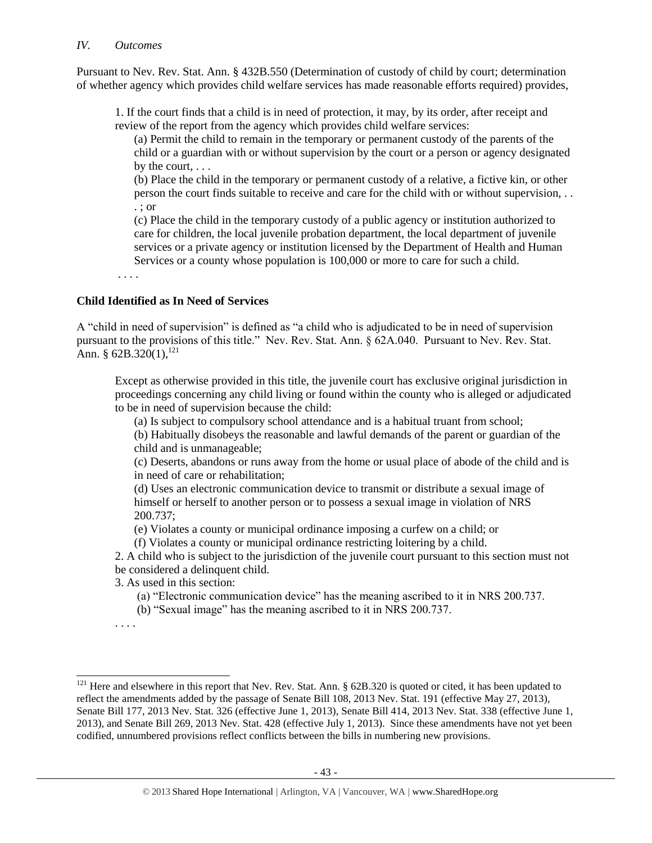### *IV. Outcomes*

Pursuant to Nev. Rev. Stat. Ann. § 432B.550 (Determination of custody of child by court; determination of whether agency which provides child welfare services has made reasonable efforts required) provides,

1. If the court finds that a child is in need of protection, it may, by its order, after receipt and review of the report from the agency which provides child welfare services:

(a) Permit the child to remain in the temporary or permanent custody of the parents of the child or a guardian with or without supervision by the court or a person or agency designated by the court, . . .

(b) Place the child in the temporary or permanent custody of a relative, a fictive kin, or other person the court finds suitable to receive and care for the child with or without supervision, . . . ; or

(c) Place the child in the temporary custody of a public agency or institution authorized to care for children, the local juvenile probation department, the local department of juvenile services or a private agency or institution licensed by the Department of Health and Human Services or a county whose population is 100,000 or more to care for such a child.

. . . .

### **Child Identified as In Need of Services**

A "child in need of supervision" is defined as "a child who is adjudicated to be in need of supervision pursuant to the provisions of this title." Nev. Rev. Stat. Ann. § 62A.040. Pursuant to Nev. Rev. Stat. Ann. § 62B.320(1),<sup>121</sup>

Except as otherwise provided in this title, the juvenile court has exclusive original jurisdiction in proceedings concerning any child living or found within the county who is alleged or adjudicated to be in need of supervision because the child:

(a) Is subject to compulsory school attendance and is a habitual truant from school;

(b) Habitually disobeys the reasonable and lawful demands of the parent or guardian of the child and is unmanageable;

(c) Deserts, abandons or runs away from the home or usual place of abode of the child and is in need of care or rehabilitation;

(d) Uses an electronic communication device to transmit or distribute a sexual image of himself or herself to another person or to possess a sexual image in violation of NRS 200.737;

(e) Violates a county or municipal ordinance imposing a curfew on a child; or

(f) Violates a county or municipal ordinance restricting loitering by a child.

2. A child who is subject to the jurisdiction of the juvenile court pursuant to this section must not be considered a delinquent child.

3. As used in this section:

(a) "Electronic communication device" has the meaning ascribed to it in NRS 200.737.

(b) "Sexual image" has the meaning ascribed to it in NRS 200.737.

. . . .

 $121$  Here and elsewhere in this report that Nev. Rev. Stat. Ann. § 62B.320 is quoted or cited, it has been updated to reflect the amendments added by the passage of Senate Bill 108, 2013 Nev. Stat. 191 (effective May 27, 2013), Senate Bill 177, 2013 Nev. Stat. 326 (effective June 1, 2013), Senate Bill 414, 2013 Nev. Stat. 338 (effective June 1, 2013), and Senate Bill 269, 2013 Nev. Stat. 428 (effective July 1, 2013). Since these amendments have not yet been codified, unnumbered provisions reflect conflicts between the bills in numbering new provisions.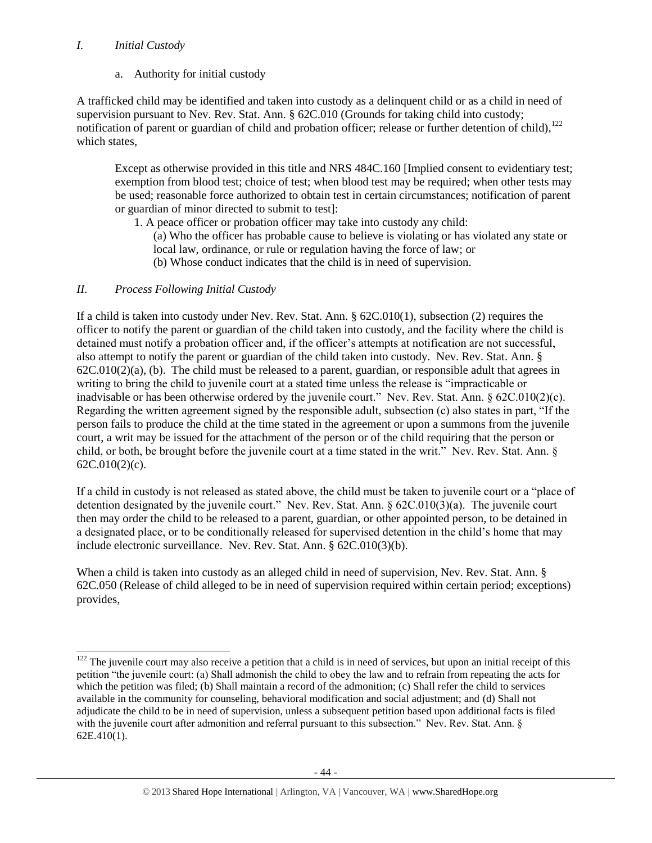## *I. Initial Custody*

a. Authority for initial custody

A trafficked child may be identified and taken into custody as a delinquent child or as a child in need of supervision pursuant to Nev. Rev. Stat. Ann. § 62C.010 (Grounds for taking child into custody; notification of parent or guardian of child and probation officer; release or further detention of child),<sup>122</sup> which states,

Except as otherwise provided in this title and NRS 484C.160 [Implied consent to evidentiary test; exemption from blood test; choice of test; when blood test may be required; when other tests may be used; reasonable force authorized to obtain test in certain circumstances; notification of parent or guardian of minor directed to submit to test]:

1. A peace officer or probation officer may take into custody any child:

- (a) Who the officer has probable cause to believe is violating or has violated any state or local law, ordinance, or rule or regulation having the force of law; or
- (b) Whose conduct indicates that the child is in need of supervision.

## *II. Process Following Initial Custody*

 $\overline{a}$ 

If a child is taken into custody under Nev. Rev. Stat. Ann. § 62C.010(1), subsection (2) requires the officer to notify the parent or guardian of the child taken into custody, and the facility where the child is detained must notify a probation officer and, if the officer's attempts at notification are not successful, also attempt to notify the parent or guardian of the child taken into custody. Nev. Rev. Stat. Ann. §  $62C.010(2)(a)$ , (b). The child must be released to a parent, guardian, or responsible adult that agrees in writing to bring the child to juvenile court at a stated time unless the release is "impracticable or inadvisable or has been otherwise ordered by the juvenile court." Nev. Rev. Stat. Ann. § 62C.010(2)(c). Regarding the written agreement signed by the responsible adult, subsection (c) also states in part, "If the person fails to produce the child at the time stated in the agreement or upon a summons from the juvenile court, a writ may be issued for the attachment of the person or of the child requiring that the person or child, or both, be brought before the juvenile court at a time stated in the writ." Nev. Rev. Stat. Ann. § 62C.010(2)(c).

If a child in custody is not released as stated above, the child must be taken to juvenile court or a "place of detention designated by the juvenile court." Nev. Rev. Stat. Ann. § 62C.010(3)(a). The juvenile court then may order the child to be released to a parent, guardian, or other appointed person, to be detained in a designated place, or to be conditionally released for supervised detention in the child's home that may include electronic surveillance. Nev. Rev. Stat. Ann. § 62C.010(3)(b).

When a child is taken into custody as an alleged child in need of supervision, Nev. Rev. Stat. Ann. § 62C.050 (Release of child alleged to be in need of supervision required within certain period; exceptions) provides,

 $122$  The juvenile court may also receive a petition that a child is in need of services, but upon an initial receipt of this petition "the juvenile court: (a) Shall admonish the child to obey the law and to refrain from repeating the acts for which the petition was filed; (b) Shall maintain a record of the admonition; (c) Shall refer the child to services available in the community for counseling, behavioral modification and social adjustment; and (d) Shall not adjudicate the child to be in need of supervision, unless a subsequent petition based upon additional facts is filed with the juvenile court after admonition and referral pursuant to this subsection." Nev. Rev. Stat. Ann. § 62E.410(1).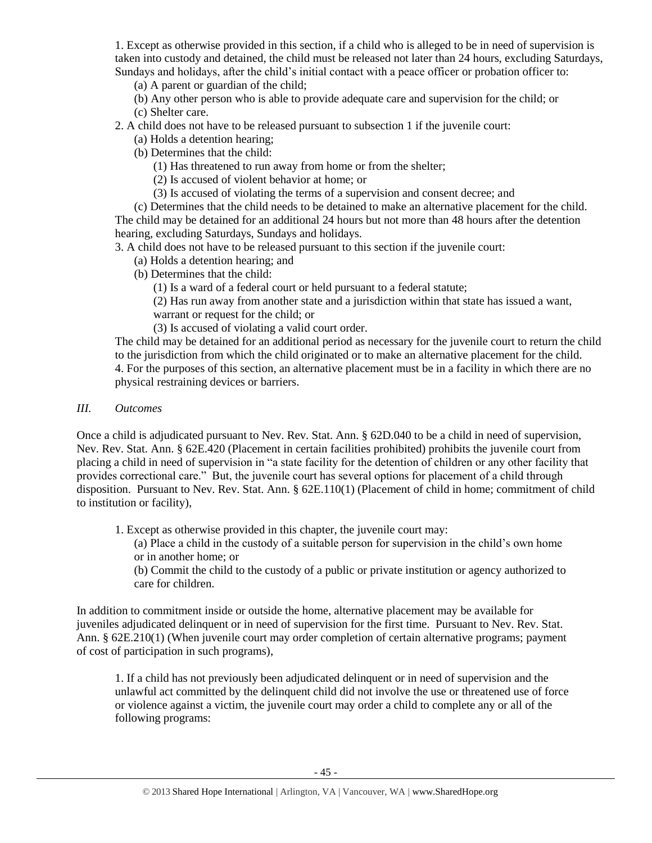1. Except as otherwise provided in this section, if a child who is alleged to be in need of supervision is taken into custody and detained, the child must be released not later than 24 hours, excluding Saturdays, Sundays and holidays, after the child's initial contact with a peace officer or probation officer to:

(a) A parent or guardian of the child;

(b) Any other person who is able to provide adequate care and supervision for the child; or (c) Shelter care.

2. A child does not have to be released pursuant to subsection 1 if the juvenile court:

- (a) Holds a detention hearing;
- (b) Determines that the child:

(1) Has threatened to run away from home or from the shelter;

- (2) Is accused of violent behavior at home; or
- (3) Is accused of violating the terms of a supervision and consent decree; and

(c) Determines that the child needs to be detained to make an alternative placement for the child. The child may be detained for an additional 24 hours but not more than 48 hours after the detention hearing, excluding Saturdays, Sundays and holidays.

3. A child does not have to be released pursuant to this section if the juvenile court:

- (a) Holds a detention hearing; and
- (b) Determines that the child:

(1) Is a ward of a federal court or held pursuant to a federal statute;

(2) Has run away from another state and a jurisdiction within that state has issued a want,

warrant or request for the child; or

(3) Is accused of violating a valid court order.

The child may be detained for an additional period as necessary for the juvenile court to return the child to the jurisdiction from which the child originated or to make an alternative placement for the child. 4. For the purposes of this section, an alternative placement must be in a facility in which there are no physical restraining devices or barriers.

### *III. Outcomes*

Once a child is adjudicated pursuant to Nev. Rev. Stat. Ann. § 62D.040 to be a child in need of supervision, Nev. Rev. Stat. Ann. § 62E.420 (Placement in certain facilities prohibited) prohibits the juvenile court from placing a child in need of supervision in "a state facility for the detention of children or any other facility that provides correctional care." But, the juvenile court has several options for placement of a child through disposition. Pursuant to Nev. Rev. Stat. Ann. § 62E.110(1) (Placement of child in home; commitment of child to institution or facility),

1. Except as otherwise provided in this chapter, the juvenile court may:

(a) Place a child in the custody of a suitable person for supervision in the child's own home or in another home; or

(b) Commit the child to the custody of a public or private institution or agency authorized to care for children.

In addition to commitment inside or outside the home, alternative placement may be available for juveniles adjudicated delinquent or in need of supervision for the first time. Pursuant to Nev. Rev. Stat. Ann. § 62E.210(1) (When juvenile court may order completion of certain alternative programs; payment of cost of participation in such programs),

1. If a child has not previously been adjudicated delinquent or in need of supervision and the unlawful act committed by the delinquent child did not involve the use or threatened use of force or violence against a victim, the juvenile court may order a child to complete any or all of the following programs: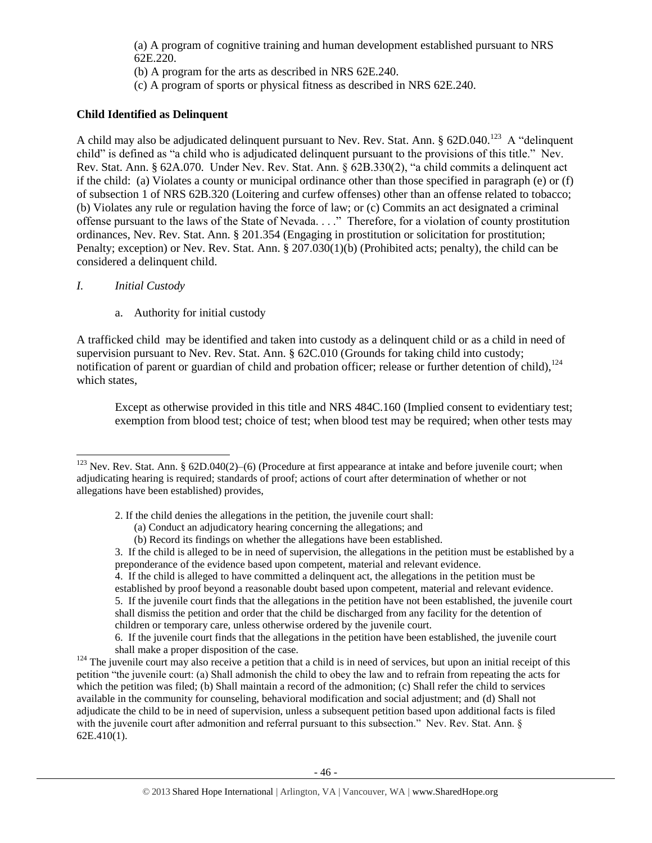(a) A program of cognitive training and human development established pursuant to NRS 62E.220.

- (b) A program for the arts as described in NRS 62E.240.
- (c) A program of sports or physical fitness as described in NRS 62E.240.

## **Child Identified as Delinquent**

A child may also be adjudicated delinquent pursuant to Nev. Rev. Stat. Ann.  $\S$  62D.040.<sup>123</sup> A "delinquent" child" is defined as "a child who is adjudicated delinquent pursuant to the provisions of this title." Nev. Rev. Stat. Ann. § 62A.070. Under Nev. Rev. Stat. Ann. § 62B.330(2), "a child commits a delinquent act if the child: (a) Violates a county or municipal ordinance other than those specified in paragraph (e) or (f) of subsection 1 of NRS 62B.320 (Loitering and curfew offenses) other than an offense related to tobacco; (b) Violates any rule or regulation having the force of law; or (c) Commits an act designated a criminal offense pursuant to the laws of the State of Nevada. . . ." Therefore, for a violation of county prostitution ordinances, Nev. Rev. Stat. Ann. § 201.354 (Engaging in prostitution or solicitation for prostitution; Penalty; exception) or Nev. Rev. Stat. Ann. § 207.030(1)(b) (Prohibited acts; penalty), the child can be considered a delinquent child.

## *I. Initial Custody*

 $\overline{a}$ 

a. Authority for initial custody

A trafficked child may be identified and taken into custody as a delinquent child or as a child in need of supervision pursuant to Nev. Rev. Stat. Ann. § 62C.010 (Grounds for taking child into custody; notification of parent or guardian of child and probation officer; release or further detention of child),<sup>124</sup> which states,

Except as otherwise provided in this title and NRS 484C.160 (Implied consent to evidentiary test; exemption from blood test; choice of test; when blood test may be required; when other tests may

4. If the child is alleged to have committed a delinquent act, the allegations in the petition must be established by proof beyond a reasonable doubt based upon competent, material and relevant evidence. 5. If the juvenile court finds that the allegations in the petition have not been established, the juvenile court shall dismiss the petition and order that the child be discharged from any facility for the detention of children or temporary care, unless otherwise ordered by the juvenile court.

 $123$  Nev. Rev. Stat. Ann. § 62D.040(2)–(6) (Procedure at first appearance at intake and before juvenile court; when adjudicating hearing is required; standards of proof; actions of court after determination of whether or not allegations have been established) provides,

<sup>2.</sup> If the child denies the allegations in the petition, the juvenile court shall:

<sup>(</sup>a) Conduct an adjudicatory hearing concerning the allegations; and

<sup>(</sup>b) Record its findings on whether the allegations have been established.

<sup>3.</sup> If the child is alleged to be in need of supervision, the allegations in the petition must be established by a preponderance of the evidence based upon competent, material and relevant evidence.

<sup>6.</sup> If the juvenile court finds that the allegations in the petition have been established, the juvenile court shall make a proper disposition of the case.

 $124$  The juvenile court may also receive a petition that a child is in need of services, but upon an initial receipt of this petition "the juvenile court: (a) Shall admonish the child to obey the law and to refrain from repeating the acts for which the petition was filed; (b) Shall maintain a record of the admonition; (c) Shall refer the child to services available in the community for counseling, behavioral modification and social adjustment; and (d) Shall not adjudicate the child to be in need of supervision, unless a subsequent petition based upon additional facts is filed with the juvenile court after admonition and referral pursuant to this subsection." Nev. Rev. Stat. Ann. § 62E.410(1).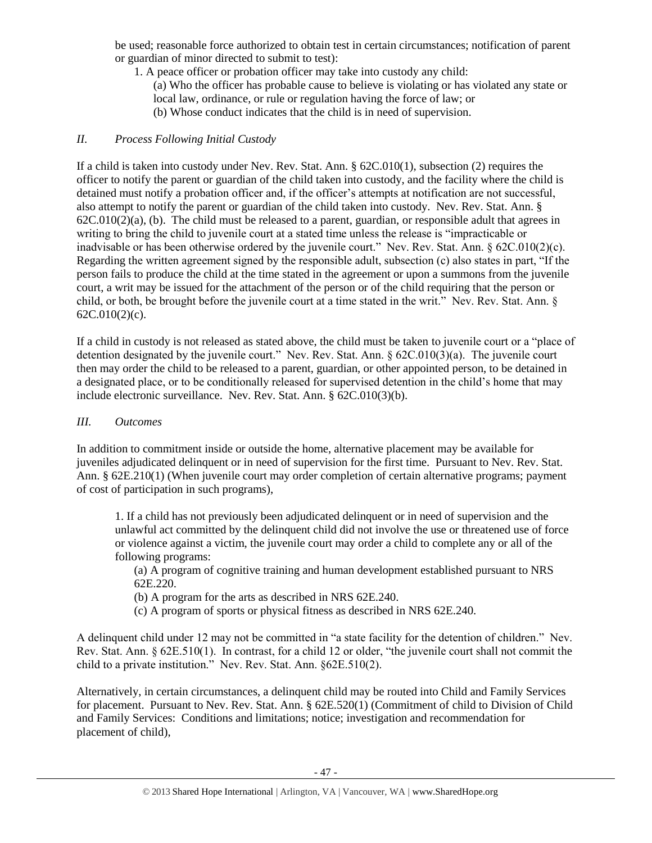be used; reasonable force authorized to obtain test in certain circumstances; notification of parent or guardian of minor directed to submit to test):

- 1. A peace officer or probation officer may take into custody any child:
	- (a) Who the officer has probable cause to believe is violating or has violated any state or local law, ordinance, or rule or regulation having the force of law; or
	- (b) Whose conduct indicates that the child is in need of supervision.

## *II. Process Following Initial Custody*

If a child is taken into custody under Nev. Rev. Stat. Ann. § 62C.010(1), subsection (2) requires the officer to notify the parent or guardian of the child taken into custody, and the facility where the child is detained must notify a probation officer and, if the officer's attempts at notification are not successful, also attempt to notify the parent or guardian of the child taken into custody. Nev. Rev. Stat. Ann. §  $62C.010(2)(a)$ , (b). The child must be released to a parent, guardian, or responsible adult that agrees in writing to bring the child to juvenile court at a stated time unless the release is "impracticable or inadvisable or has been otherwise ordered by the juvenile court." Nev. Rev. Stat. Ann. § 62C.010(2)(c). Regarding the written agreement signed by the responsible adult, subsection (c) also states in part, "If the person fails to produce the child at the time stated in the agreement or upon a summons from the juvenile court, a writ may be issued for the attachment of the person or of the child requiring that the person or child, or both, be brought before the juvenile court at a time stated in the writ." Nev. Rev. Stat. Ann. §  $62C.010(2)(c)$ .

If a child in custody is not released as stated above, the child must be taken to juvenile court or a "place of detention designated by the juvenile court." Nev. Rev. Stat. Ann. § 62C.010(3)(a). The juvenile court then may order the child to be released to a parent, guardian, or other appointed person, to be detained in a designated place, or to be conditionally released for supervised detention in the child's home that may include electronic surveillance. Nev. Rev. Stat. Ann. § 62C.010(3)(b).

### *III. Outcomes*

In addition to commitment inside or outside the home, alternative placement may be available for juveniles adjudicated delinquent or in need of supervision for the first time. Pursuant to Nev. Rev. Stat. Ann. § 62E.210(1) (When juvenile court may order completion of certain alternative programs; payment of cost of participation in such programs),

1. If a child has not previously been adjudicated delinquent or in need of supervision and the unlawful act committed by the delinquent child did not involve the use or threatened use of force or violence against a victim, the juvenile court may order a child to complete any or all of the following programs:

(a) A program of cognitive training and human development established pursuant to NRS 62E.220.

- (b) A program for the arts as described in NRS 62E.240.
- (c) A program of sports or physical fitness as described in NRS 62E.240.

A delinquent child under 12 may not be committed in "a state facility for the detention of children." Nev. Rev. Stat. Ann. § 62E.510(1). In contrast, for a child 12 or older, "the juvenile court shall not commit the child to a private institution." Nev. Rev. Stat. Ann. §62E.510(2).

Alternatively, in certain circumstances, a delinquent child may be routed into Child and Family Services for placement. Pursuant to Nev. Rev. Stat. Ann. § 62E.520(1) (Commitment of child to Division of Child and Family Services: Conditions and limitations; notice; investigation and recommendation for placement of child),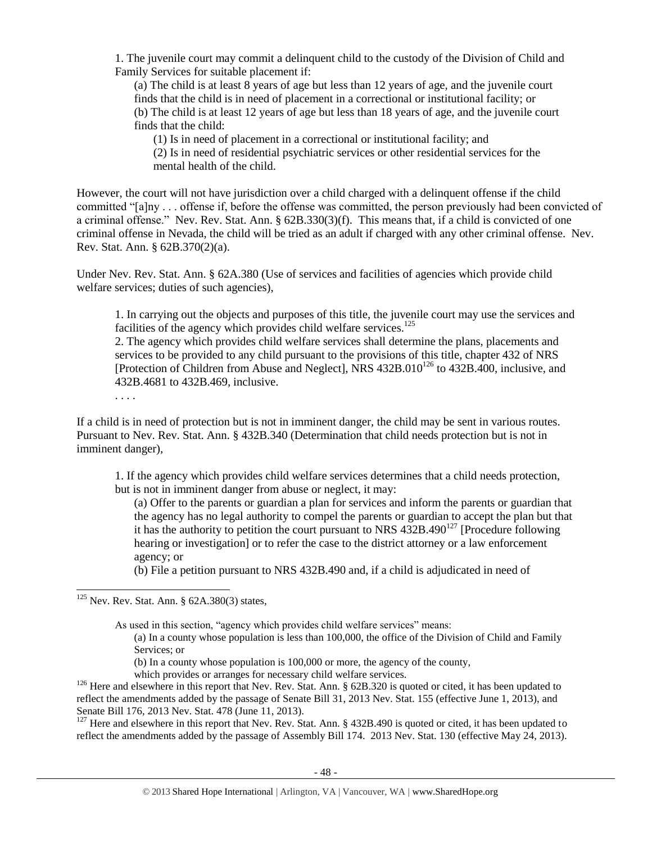1. The juvenile court may commit a delinquent child to the custody of the Division of Child and Family Services for suitable placement if:

(a) The child is at least 8 years of age but less than 12 years of age, and the juvenile court finds that the child is in need of placement in a correctional or institutional facility; or (b) The child is at least 12 years of age but less than 18 years of age, and the juvenile court finds that the child:

(1) Is in need of placement in a correctional or institutional facility; and

(2) Is in need of residential psychiatric services or other residential services for the mental health of the child.

However, the court will not have jurisdiction over a child charged with a delinquent offense if the child committed "[a]ny . . . offense if, before the offense was committed, the person previously had been convicted of a criminal offense." Nev. Rev. Stat. Ann. § 62B.330(3)(f). This means that, if a child is convicted of one criminal offense in Nevada, the child will be tried as an adult if charged with any other criminal offense. Nev. Rev. Stat. Ann. § 62B.370(2)(a).

Under Nev. Rev. Stat. Ann. § 62A.380 (Use of services and facilities of agencies which provide child welfare services; duties of such agencies),

1. In carrying out the objects and purposes of this title, the juvenile court may use the services and facilities of the agency which provides child welfare services.<sup>125</sup>

2. The agency which provides child welfare services shall determine the plans, placements and services to be provided to any child pursuant to the provisions of this title, chapter 432 of NRS [Protection of Children from Abuse and Neglect], NRS  $432B.010^{126}$  to  $432B.400$ , inclusive, and 432B.4681 to 432B.469, inclusive.

. . . .

l

If a child is in need of protection but is not in imminent danger, the child may be sent in various routes. Pursuant to Nev. Rev. Stat. Ann. § 432B.340 (Determination that child needs protection but is not in imminent danger),

1. If the agency which provides child welfare services determines that a child needs protection, but is not in imminent danger from abuse or neglect, it may:

(a) Offer to the parents or guardian a plan for services and inform the parents or guardian that the agency has no legal authority to compel the parents or guardian to accept the plan but that it has the authority to petition the court pursuant to NRS  $432B.490^{127}$  [Procedure following hearing or investigation] or to refer the case to the district attorney or a law enforcement agency; or

(b) File a petition pursuant to NRS 432B.490 and, if a child is adjudicated in need of

As used in this section, "agency which provides child welfare services" means:

(a) In a county whose population is less than 100,000, the office of the Division of Child and Family Services; or

(b) In a county whose population is 100,000 or more, the agency of the county,

which provides or arranges for necessary child welfare services.

<sup>126</sup> Here and elsewhere in this report that Nev. Rev. Stat. Ann. § 62B.320 is quoted or cited, it has been updated to reflect the amendments added by the passage of Senate Bill 31, 2013 Nev. Stat. 155 (effective June 1, 2013), and Senate Bill 176, 2013 Nev. Stat. 478 (June 11, 2013).

 $127$  Here and elsewhere in this report that Nev. Rev. Stat. Ann. § 432B.490 is quoted or cited, it has been updated to reflect the amendments added by the passage of Assembly Bill 174. 2013 Nev. Stat. 130 (effective May 24, 2013).

 $125$  Nev. Rev. Stat. Ann. § 62A.380(3) states,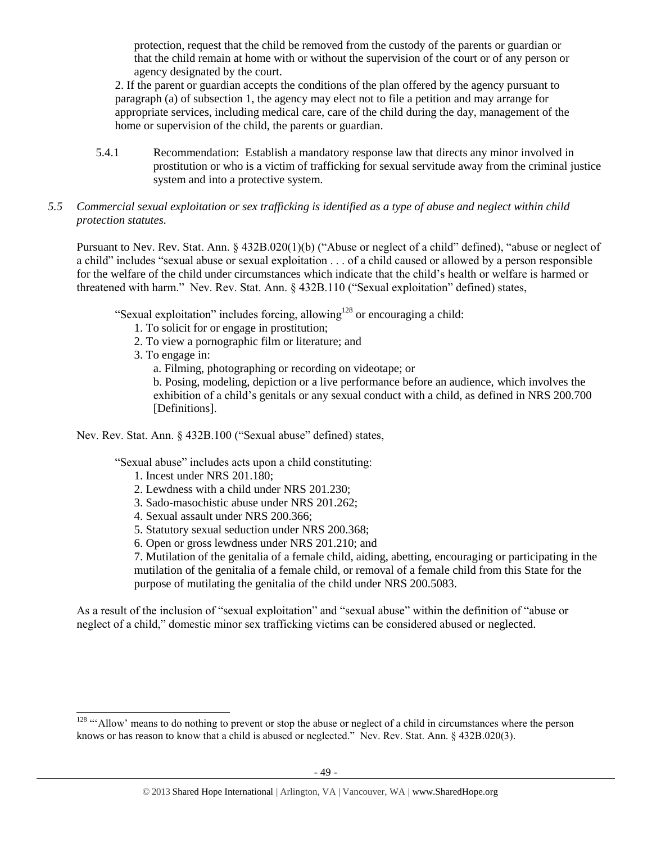protection, request that the child be removed from the custody of the parents or guardian or that the child remain at home with or without the supervision of the court or of any person or agency designated by the court.

2. If the parent or guardian accepts the conditions of the plan offered by the agency pursuant to paragraph (a) of subsection 1, the agency may elect not to file a petition and may arrange for appropriate services, including medical care, care of the child during the day, management of the home or supervision of the child, the parents or guardian.

- 5.4.1 Recommendation: Establish a mandatory response law that directs any minor involved in prostitution or who is a victim of trafficking for sexual servitude away from the criminal justice system and into a protective system.
- *5.5 Commercial sexual exploitation or sex trafficking is identified as a type of abuse and neglect within child protection statutes.*

Pursuant to Nev. Rev. Stat. Ann. § 432B.020(1)(b) ("Abuse or neglect of a child" defined), "abuse or neglect of a child" includes "sexual abuse or sexual exploitation . . . of a child caused or allowed by a person responsible for the welfare of the child under circumstances which indicate that the child's health or welfare is harmed or threatened with harm." Nev. Rev. Stat. Ann. § 432B.110 ("Sexual exploitation" defined) states,

"Sexual exploitation" includes forcing, allowing<sup>128</sup> or encouraging a child:

- 1. To solicit for or engage in prostitution;
- 2. To view a pornographic film or literature; and
- 3. To engage in:

 $\overline{a}$ 

a. Filming, photographing or recording on videotape; or

b. Posing, modeling, depiction or a live performance before an audience, which involves the exhibition of a child's genitals or any sexual conduct with a child, as defined in NRS 200.700 [Definitions].

Nev. Rev. Stat. Ann. § 432B.100 ("Sexual abuse" defined) states,

"Sexual abuse" includes acts upon a child constituting:

- 1. Incest under [NRS 201.180;](https://www.lexis.com/research/buttonTFLink?_m=fe0e253fef8054e6df958287d1c2023f&_xfercite=%3ccite%20cc%3d%22USA%22%3e%3c%21%5bCDATA%5bNev.%20Rev.%20Stat.%20Ann.%20%a7%20432B.100%5d%5d%3e%3c%2fcite%3e&_butType=4&_butStat=0&_butNum=7&_butInline=1&_butinfo=NVCODE%20201.180&_fmtstr=FULL&docnum=1&_startdoc=1&wchp=dGLbVzk-zSkAl&_md5=521de425ee50a2f38dc31926d7407ef4)
- 2. Lewdness with a child under [NRS 201.230;](https://www.lexis.com/research/buttonTFLink?_m=fe0e253fef8054e6df958287d1c2023f&_xfercite=%3ccite%20cc%3d%22USA%22%3e%3c%21%5bCDATA%5bNev.%20Rev.%20Stat.%20Ann.%20%a7%20432B.100%5d%5d%3e%3c%2fcite%3e&_butType=4&_butStat=0&_butNum=8&_butInline=1&_butinfo=NVCODE%20201.230&_fmtstr=FULL&docnum=1&_startdoc=1&wchp=dGLbVzk-zSkAl&_md5=b8e636b13f6ac9e4dfce2c0a4046c5db)
- 3. Sado-masochistic abuse under [NRS 201.262;](https://www.lexis.com/research/buttonTFLink?_m=fe0e253fef8054e6df958287d1c2023f&_xfercite=%3ccite%20cc%3d%22USA%22%3e%3c%21%5bCDATA%5bNev.%20Rev.%20Stat.%20Ann.%20%a7%20432B.100%5d%5d%3e%3c%2fcite%3e&_butType=4&_butStat=0&_butNum=9&_butInline=1&_butinfo=NVCODE%20201.262&_fmtstr=FULL&docnum=1&_startdoc=1&wchp=dGLbVzk-zSkAl&_md5=9bae698f6a96442b570787a5a23920e1)
- 4. Sexual assault under [NRS 200.366;](https://www.lexis.com/research/buttonTFLink?_m=fe0e253fef8054e6df958287d1c2023f&_xfercite=%3ccite%20cc%3d%22USA%22%3e%3c%21%5bCDATA%5bNev.%20Rev.%20Stat.%20Ann.%20%a7%20432B.100%5d%5d%3e%3c%2fcite%3e&_butType=4&_butStat=0&_butNum=10&_butInline=1&_butinfo=NVCODE%20200.366&_fmtstr=FULL&docnum=1&_startdoc=1&wchp=dGLbVzk-zSkAl&_md5=87e677fd2e973e9d2743de8b37355866)
- 5. Statutory sexual seduction under [NRS 200.368;](https://www.lexis.com/research/buttonTFLink?_m=fe0e253fef8054e6df958287d1c2023f&_xfercite=%3ccite%20cc%3d%22USA%22%3e%3c%21%5bCDATA%5bNev.%20Rev.%20Stat.%20Ann.%20%a7%20432B.100%5d%5d%3e%3c%2fcite%3e&_butType=4&_butStat=0&_butNum=11&_butInline=1&_butinfo=NVCODE%20200.368&_fmtstr=FULL&docnum=1&_startdoc=1&wchp=dGLbVzk-zSkAl&_md5=166fc503e7368f40e596cfbe8906bbd9)
- 6. Open or gross lewdness under [NRS 201.210;](https://www.lexis.com/research/buttonTFLink?_m=fe0e253fef8054e6df958287d1c2023f&_xfercite=%3ccite%20cc%3d%22USA%22%3e%3c%21%5bCDATA%5bNev.%20Rev.%20Stat.%20Ann.%20%a7%20432B.100%5d%5d%3e%3c%2fcite%3e&_butType=4&_butStat=0&_butNum=12&_butInline=1&_butinfo=NVCODE%20201.210&_fmtstr=FULL&docnum=1&_startdoc=1&wchp=dGLbVzk-zSkAl&_md5=f731e1cbdaa2feb2d0bfeba63eb0368b) and

7. Mutilation of the genitalia of a female child, aiding, abetting, encouraging or participating in the mutilation of the genitalia of a female child, or removal of a female child from this State for the purpose of mutilating the genitalia of the child under [NRS 200.5083.](https://www.lexis.com/research/buttonTFLink?_m=fe0e253fef8054e6df958287d1c2023f&_xfercite=%3ccite%20cc%3d%22USA%22%3e%3c%21%5bCDATA%5bNev.%20Rev.%20Stat.%20Ann.%20%a7%20432B.100%5d%5d%3e%3c%2fcite%3e&_butType=4&_butStat=0&_butNum=13&_butInline=1&_butinfo=NVCODE%20200.5083&_fmtstr=FULL&docnum=1&_startdoc=1&wchp=dGLbVzk-zSkAl&_md5=04f6301ef5e56530c30064465c75f84d)

As a result of the inclusion of "sexual exploitation" and "sexual abuse" within the definition of "abuse or neglect of a child," domestic minor sex trafficking victims can be considered abused or neglected.

<sup>&</sup>lt;sup>128</sup> "'Allow' means to do nothing to prevent or stop the abuse or neglect of a child in circumstances where the person knows or has reason to know that a child is abused or neglected." Nev. Rev. Stat. Ann. § 432B.020(3).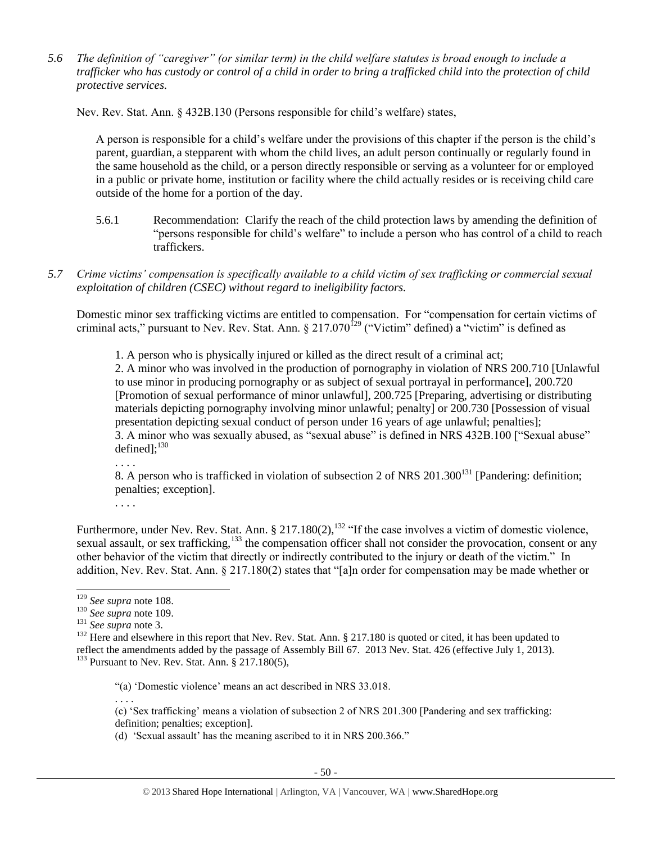*5.6 The definition of "caregiver" (or similar term) in the child welfare statutes is broad enough to include a trafficker who has custody or control of a child in order to bring a trafficked child into the protection of child protective services.*

Nev. Rev. Stat. Ann. § 432B.130 (Persons responsible for child's welfare) states,

A person is responsible for a child's welfare under the provisions of this chapter if the person is the child's parent, guardian, a stepparent with whom the child lives, an adult person continually or regularly found in the same household as the child, or a person directly responsible or serving as a volunteer for or employed in a public or private home, institution or facility where the child actually resides or is receiving child care outside of the home for a portion of the day.

- 5.6.1 Recommendation: Clarify the reach of the child protection laws by amending the definition of "persons responsible for child's welfare" to include a person who has control of a child to reach traffickers.
- *5.7 Crime victims' compensation is specifically available to a child victim of sex trafficking or commercial sexual exploitation of children (CSEC) without regard to ineligibility factors.*

Domestic minor sex trafficking victims are entitled to compensation. For "compensation for certain victims of criminal acts," pursuant to Nev. Rev. Stat. Ann.  $\S 217.070^{129}$  ("Victim" defined) a "victim" is defined as

1. A person who is physically injured or killed as the direct result of a criminal act;

2. A minor who was involved in the production of pornography in violation of [NRS 200.710](https://www.lexis.com/research/buttonTFLink?_m=f5902906e94dddf97b4cb3a70ffa9d86&_xfercite=%3ccite%20cc%3d%22USA%22%3e%3c%21%5bCDATA%5bNev.%20Rev.%20Stat.%20Ann.%20%a7%20217.070%5d%5d%3e%3c%2fcite%3e&_butType=4&_butStat=0&_butNum=2&_butInline=1&_butinfo=NVCODE%20200.710&_fmtstr=FULL&docnum=1&_startdoc=1&wchp=dGLbVzz-zSkAz&_md5=047fa86c7eef0d1ca5baed8357cd932c) [Unlawful to use minor in producing pornography or as subject of sexual portrayal in performance], 200.720 [Promotion of sexual performance of minor unlawful], 200.725 [Preparing, advertising or distributing materials depicting pornography involving minor unlawful; penalty] or 200.730 [Possession of visual presentation depicting sexual conduct of person under 16 years of age unlawful; penalties]; 3. A minor who was sexually abused, as "sexual abuse" is defined in NRS 432B.100 ["Sexual abuse" defined]; $^{130}$ 

. . . .

. . . .

8. A person who is trafficked in violation of subsection 2 of NRS 201.300<sup>131</sup> [Pandering: definition; penalties; exception].

Furthermore, under Nev. Rev. Stat. Ann. § 217.180(2), $^{132}$  "If the case involves a victim of domestic violence, sexual assault, or sex trafficking,<sup>133</sup> the compensation officer shall not consider the provocation, consent or any other behavior of the victim that directly or indirectly contributed to the injury or death of the victim." In addition, Nev. Rev. Stat. Ann. § 217.180(2) states that "[a]n order for compensation may be made whether or

l

. . . .

 $132$  Here and elsewhere in this report that Nev. Rev. Stat. Ann. § 217.180 is quoted or cited, it has been updated to reflect the amendments added by the passage of Assembly Bill 67. 2013 Nev. Stat. 426 (effective July 1, 2013).  $133$  Pursuant to Nev. Rev. Stat. Ann. § 217.180(5),

"(a) 'Domestic violence' means an act described in NRS 33.018.

(c) 'Sex trafficking' means a violation of subsection 2 of NRS 201.300 [Pandering and sex trafficking: definition; penalties; exception].

<sup>129</sup> *See supra* not[e 108.](#page-37-0)

<sup>130</sup> *See supra* note [109.](#page-38-0)

<sup>131</sup> *See supra* not[e 3.](#page-0-0)

<sup>(</sup>d) 'Sexual assault' has the meaning ascribed to it in NRS 200.366."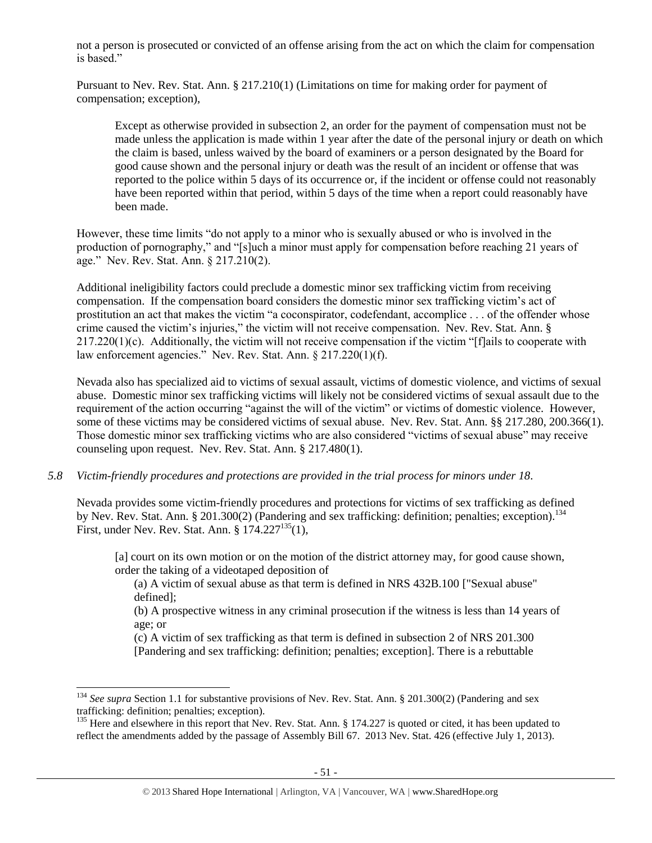not a person is prosecuted or convicted of an offense arising from the act on which the claim for compensation is based."

Pursuant to Nev. Rev. Stat. Ann. § 217.210(1) (Limitations on time for making order for payment of compensation; exception),

Except as otherwise provided in subsection 2, an order for the payment of compensation must not be made unless the application is made within 1 year after the date of the personal injury or death on which the claim is based, unless waived by the board of examiners or a person designated by the Board for good cause shown and the personal injury or death was the result of an incident or offense that was reported to the police within 5 days of its occurrence or, if the incident or offense could not reasonably have been reported within that period, within 5 days of the time when a report could reasonably have been made.

However, these time limits "do not apply to a minor who is sexually abused or who is involved in the production of pornography," and "[s]uch a minor must apply for compensation before reaching 21 years of age." Nev. Rev. Stat. Ann. § 217.210(2).

Additional ineligibility factors could preclude a domestic minor sex trafficking victim from receiving compensation. If the compensation board considers the domestic minor sex trafficking victim's act of prostitution an act that makes the victim "a coconspirator, codefendant, accomplice . . . of the offender whose crime caused the victim's injuries," the victim will not receive compensation. Nev. Rev. Stat. Ann. § 217.220(1)(c). Additionally, the victim will not receive compensation if the victim "[f]ails to cooperate with law enforcement agencies." Nev. Rev. Stat. Ann. § 217.220(1)(f).

Nevada also has specialized aid to victims of sexual assault, victims of domestic violence, and victims of sexual abuse. Domestic minor sex trafficking victims will likely not be considered victims of sexual assault due to the requirement of the action occurring "against the will of the victim" or victims of domestic violence. However, some of these victims may be considered victims of sexual abuse. Nev. Rev. Stat. Ann. §§ 217.280, 200.366(1). Those domestic minor sex trafficking victims who are also considered "victims of sexual abuse" may receive counseling upon request. Nev. Rev. Stat. Ann. § 217.480(1).

### *5.8 Victim-friendly procedures and protections are provided in the trial process for minors under 18.*

Nevada provides some victim-friendly procedures and protections for victims of sex trafficking as defined by Nev. Rev. Stat. Ann. § 201.300(2) (Pandering and sex trafficking: definition; penalties; exception).<sup>134</sup> First, under Nev. Rev. Stat. Ann. § 174.227<sup>135</sup>(1),

[a] court on its own motion or on the motion of the district attorney may, for good cause shown, order the taking of a videotaped deposition of

(a) A victim of sexual abuse as that term is defined in NRS 432B.100 ["Sexual abuse" defined];

(b) A prospective witness in any criminal prosecution if the witness is less than 14 years of age; or

(c) A victim of sex trafficking as that term is defined in subsection 2 of NRS 201.300 [Pandering and sex trafficking: definition; penalties; exception]. There is a rebuttable

<sup>&</sup>lt;sup>134</sup> See supra Section 1.1 for substantive provisions of Nev. Rev. Stat. Ann. § 201.300(2) (Pandering and sex trafficking: definition; penalties; exception).

<sup>&</sup>lt;sup>135</sup> Here and elsewhere in this report that Nev. Rev. Stat. Ann. § 174.227 is quoted or cited, it has been updated to reflect the amendments added by the passage of Assembly Bill 67. 2013 Nev. Stat. 426 (effective July 1, 2013).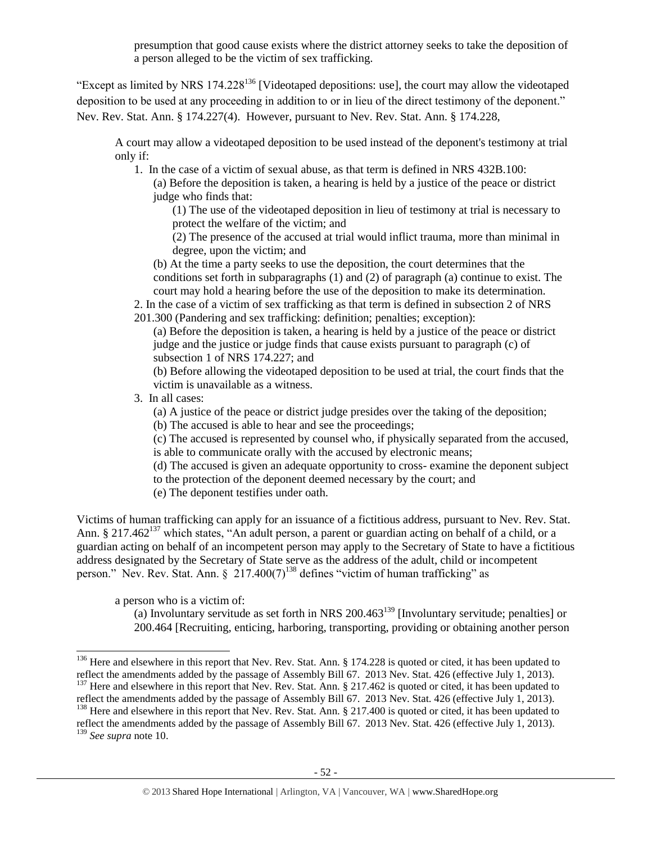presumption that good cause exists where the district attorney seeks to take the deposition of a person alleged to be the victim of sex trafficking.

"Except as limited by NRS 174.228<sup>136</sup> [Videotaped depositions: use], the court may allow the videotaped deposition to be used at any proceeding in addition to or in lieu of the direct testimony of the deponent." Nev. Rev. Stat. Ann. § 174.227(4). However, pursuant to Nev. Rev. Stat. Ann. § 174.228,

A court may allow a videotaped deposition to be used instead of the deponent's testimony at trial only if:

- 1. In the case of a victim of sexual abuse, as that term is defined in NRS 432B.100:
	- (a) Before the deposition is taken, a hearing is held by a justice of the peace or district judge who finds that:

(1) The use of the videotaped deposition in lieu of testimony at trial is necessary to protect the welfare of the victim; and

(2) The presence of the accused at trial would inflict trauma, more than minimal in degree, upon the victim; and

(b) At the time a party seeks to use the deposition, the court determines that the conditions set forth in subparagraphs (1) and (2) of paragraph (a) continue to exist. The court may hold a hearing before the use of the deposition to make its determination.

2. In the case of a victim of sex trafficking as that term is defined in subsection 2 of NRS 201.300 (Pandering and sex trafficking: definition; penalties; exception):

(a) Before the deposition is taken, a hearing is held by a justice of the peace or district judge and the justice or judge finds that cause exists pursuant to paragraph (c) of subsection 1 of NRS 174.227; and

(b) Before allowing the videotaped deposition to be used at trial, the court finds that the victim is unavailable as a witness.

3. In all cases:

(a) A justice of the peace or district judge presides over the taking of the deposition;

(b) The accused is able to hear and see the proceedings;

(c) The accused is represented by counsel who, if physically separated from the accused, is able to communicate orally with the accused by electronic means;

(d) The accused is given an adequate opportunity to cross- examine the deponent subject to the protection of the deponent deemed necessary by the court; and

(e) The deponent testifies under oath.

Victims of human trafficking can apply for an issuance of a fictitious address, pursuant to Nev. Rev. Stat. Ann. § 217.462<sup>137</sup> which states, "An adult person, a parent or guardian acting on behalf of a child, or a guardian acting on behalf of an incompetent person may apply to the Secretary of State to have a fictitious address designated by the Secretary of State serve as the address of the adult, child or incompetent person." Nev. Rev. Stat. Ann.  $\S$  217.400(7)<sup>138</sup> defines "victim of human trafficking" as

a person who is a victim of:

(a) Involuntary servitude as set forth in NRS  $200.463^{139}$  [Involuntary servitude; penalties] or 200.464 [Recruiting, enticing, harboring, transporting, providing or obtaining another person

<sup>&</sup>lt;sup>136</sup> Here and elsewhere in this report that Nev. Rev. Stat. Ann. § 174.228 is quoted or cited, it has been updated to reflect the amendments added by the passage of Assembly Bill 67. 2013 Nev. Stat. 426 (effective July 1, 2013).

<sup>&</sup>lt;sup>137</sup> Here and elsewhere in this report that Nev. Rev. Stat. Ann. § 217.462 is quoted or cited, it has been updated to reflect the amendments added by the passage of Assembly Bill 67. 2013 Nev. Stat. 426 (effective July 1, 2013).

<sup>&</sup>lt;sup>138</sup> Here and elsewhere in this report that Nev. Rev. Stat. Ann. § 217.400 is quoted or cited, it has been updated to reflect the amendments added by the passage of Assembly Bill 67. 2013 Nev. Stat. 426 (effective July 1, 2013).

<sup>139</sup> *See supra* not[e 10.](#page-2-0)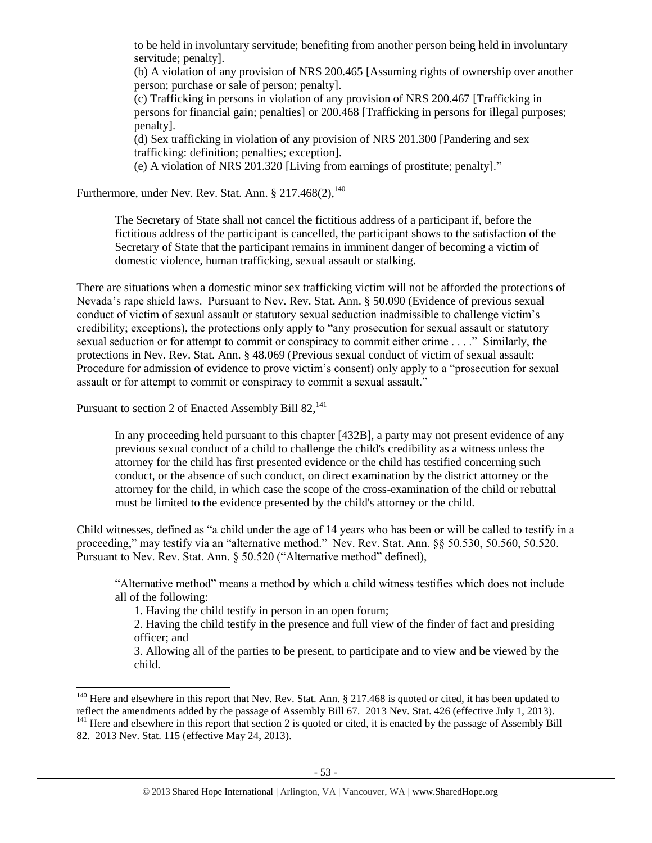to be held in involuntary servitude; benefiting from another person being held in involuntary servitude; penalty].

(b) A violation of any provision of NRS 200.465 [Assuming rights of ownership over another person; purchase or sale of person; penalty].

(c) Trafficking in persons in violation of any provision of NRS 200.467 [Trafficking in persons for financial gain; penalties] or 200.468 [Trafficking in persons for illegal purposes; penalty].

(d) Sex trafficking in violation of any provision of NRS 201.300 [Pandering and sex trafficking: definition; penalties; exception].

(e) A violation of NRS 201.320 [Living from earnings of prostitute; penalty]."

Furthermore, under Nev. Rev. Stat. Ann. §  $217.468(2)$ ,  $^{140}$ 

The Secretary of State shall not cancel the fictitious address of a participant if, before the fictitious address of the participant is cancelled, the participant shows to the satisfaction of the Secretary of State that the participant remains in imminent danger of becoming a victim of domestic violence, human trafficking, sexual assault or stalking.

There are situations when a domestic minor sex trafficking victim will not be afforded the protections of Nevada's rape shield laws. Pursuant to Nev. Rev. Stat. Ann. § 50.090 (Evidence of previous sexual conduct of victim of sexual assault or statutory sexual seduction inadmissible to challenge victim's credibility; exceptions), the protections only apply to "any prosecution for sexual assault or statutory sexual seduction or for attempt to commit or conspiracy to commit either crime . . . ." Similarly, the protections in Nev. Rev. Stat. Ann. § 48.069 (Previous sexual conduct of victim of sexual assault: Procedure for admission of evidence to prove victim's consent) only apply to a "prosecution for sexual assault or for attempt to commit or conspiracy to commit a sexual assault."

Pursuant to section 2 of Enacted Assembly Bill  $82$ ,<sup>141</sup>

 $\overline{a}$ 

In any proceeding held pursuant to this chapter [432B], a party may not present evidence of any previous sexual conduct of a child to challenge the child's credibility as a witness unless the attorney for the child has first presented evidence or the child has testified concerning such conduct, or the absence of such conduct, on direct examination by the district attorney or the attorney for the child, in which case the scope of the cross-examination of the child or rebuttal must be limited to the evidence presented by the child's attorney or the child.

Child witnesses, defined as "a child under the age of 14 years who has been or will be called to testify in a proceeding," may testify via an "alternative method." Nev. Rev. Stat. Ann. §§ 50.530, 50.560, 50.520. Pursuant to Nev. Rev. Stat. Ann. § 50.520 ("Alternative method" defined),

"Alternative method" means a method by which a child witness testifies which does not include all of the following:

1. Having the child testify in person in an open forum;

2. Having the child testify in the presence and full view of the finder of fact and presiding officer; and

3. Allowing all of the parties to be present, to participate and to view and be viewed by the child.

<sup>&</sup>lt;sup>140</sup> Here and elsewhere in this report that Nev. Rev. Stat. Ann. § 217.468 is quoted or cited, it has been updated to reflect the amendments added by the passage of Assembly Bill 67. 2013 Nev. Stat. 426 (effective July 1, 2013).

<sup>&</sup>lt;sup>141</sup> Here and elsewhere in this report that section 2 is quoted or cited, it is enacted by the passage of Assembly Bill 82. 2013 Nev. Stat. 115 (effective May 24, 2013).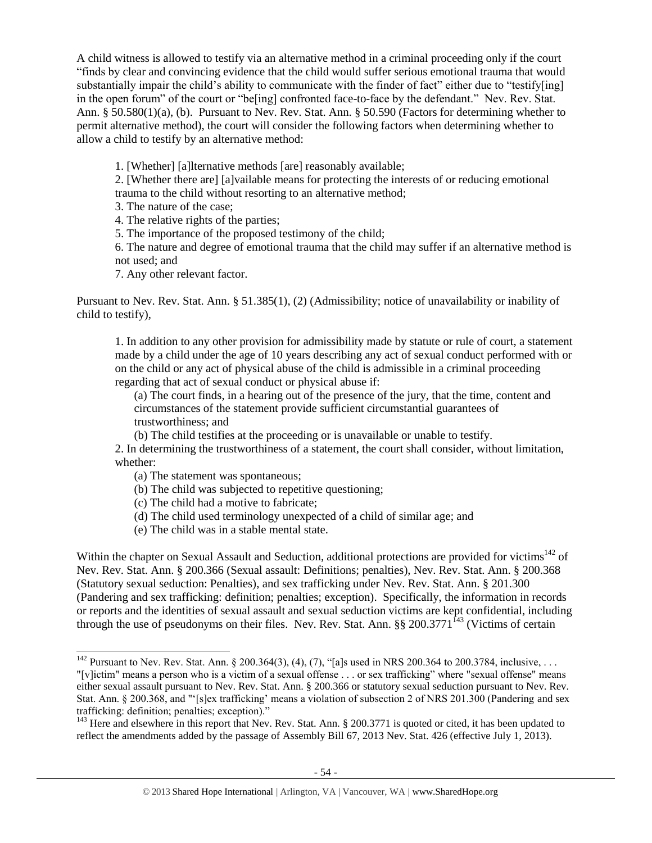A child witness is allowed to testify via an alternative method in a criminal proceeding only if the court "finds by clear and convincing evidence that the child would suffer serious emotional trauma that would substantially impair the child's ability to communicate with the finder of fact" either due to "testify[ing] in the open forum" of the court or "be[ing] confronted face-to-face by the defendant." Nev. Rev. Stat. Ann. § 50.580(1)(a), (b). Pursuant to Nev. Rev. Stat. Ann. § 50.590 (Factors for determining whether to permit alternative method), the court will consider the following factors when determining whether to allow a child to testify by an alternative method:

1. [Whether] [a]lternative methods [are] reasonably available;

2. [Whether there are] [a]vailable means for protecting the interests of or reducing emotional trauma to the child without resorting to an alternative method;

3. The nature of the case;

4. The relative rights of the parties;

5. The importance of the proposed testimony of the child;

6. The nature and degree of emotional trauma that the child may suffer if an alternative method is not used; and

7. Any other relevant factor.

Pursuant to Nev. Rev. Stat. Ann. § 51.385(1), (2) (Admissibility; notice of unavailability or inability of child to testify),

1. In addition to any other provision for admissibility made by statute or rule of court, a statement made by a child under the age of 10 years describing any act of sexual conduct performed with or on the child or any act of physical abuse of the child is admissible in a criminal proceeding regarding that act of sexual conduct or physical abuse if:

(a) The court finds, in a hearing out of the presence of the jury, that the time, content and circumstances of the statement provide sufficient circumstantial guarantees of trustworthiness; and

(b) The child testifies at the proceeding or is unavailable or unable to testify.

2. In determining the trustworthiness of a statement, the court shall consider, without limitation, whether:

(a) The statement was spontaneous;

 $\overline{a}$ 

- (b) The child was subjected to repetitive questioning;
- (c) The child had a motive to fabricate;
- (d) The child used terminology unexpected of a child of similar age; and
- (e) The child was in a stable mental state.

Within the chapter on Sexual Assault and Seduction, additional protections are provided for victims<sup>142</sup> of Nev. Rev. Stat. Ann. § 200.366 (Sexual assault: Definitions; penalties), Nev. Rev. Stat. Ann. § 200.368 (Statutory sexual seduction: Penalties), and sex trafficking under Nev. Rev. Stat. Ann. § 201.300 (Pandering and sex trafficking: definition; penalties; exception). Specifically, the information in records or reports and the identities of sexual assault and sexual seduction victims are kept confidential, including through the use of pseudonyms on their files. Nev. Rev. Stat. Ann.  $\S\S 200.3771^{143}$  (Victims of certain

<sup>&</sup>lt;sup>142</sup> Pursuant to Nev. Rev. Stat. Ann. § 200.364(3), (4), (7), "[a]s used in NRS 200.364 to 200.3784, inclusive, ...

<sup>&</sup>quot;[v]ictim" means a person who is a victim of a sexual offense . . . or sex trafficking" where "sexual offense" means either sexual assault pursuant to Nev. Rev. Stat. Ann. § 200.366 or statutory sexual seduction pursuant to Nev. Rev. Stat. Ann. § 200.368, and "'[s]ex trafficking' means a violation of subsection 2 of NRS 201.300 (Pandering and sex trafficking: definition; penalties; exception)."

<sup>&</sup>lt;sup>143</sup> Here and elsewhere in this report that Nev. Rev. Stat. Ann. § 200.3771 is quoted or cited, it has been updated to reflect the amendments added by the passage of Assembly Bill 67, 2013 Nev. Stat. 426 (effective July 1, 2013).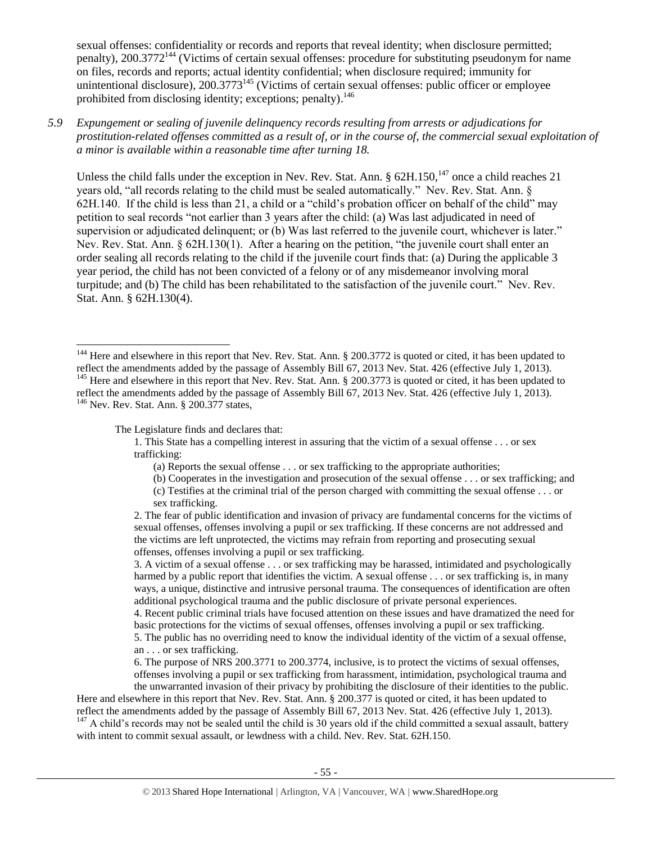sexual offenses: confidentiality or records and reports that reveal identity; when disclosure permitted; penalty), 200.3772<sup>144</sup> (Victims of certain sexual offenses: procedure for substituting pseudonym for name on files, records and reports; actual identity confidential; when disclosure required; immunity for unintentional disclosure),  $200.3773^{145}$  (Victims of certain sexual offenses: public officer or employee prohibited from disclosing identity; exceptions; penalty).<sup>146</sup>

*5.9 Expungement or sealing of juvenile delinquency records resulting from arrests or adjudications for prostitution-related offenses committed as a result of, or in the course of, the commercial sexual exploitation of a minor is available within a reasonable time after turning 18.*

Unless the child falls under the exception in Nev. Rev. Stat. Ann.  $\S 62H.150$ ,  $147$  once a child reaches 21 years old, "all records relating to the child must be sealed automatically." Nev. Rev. Stat. Ann. § 62H.140. If the child is less than 21, a child or a "child's probation officer on behalf of the child" may petition to seal records "not earlier than 3 years after the child: (a) Was last adjudicated in need of supervision or adjudicated delinquent; or (b) Was last referred to the juvenile court, whichever is later." Nev. Rev. Stat. Ann. § 62H.130(1). After a hearing on the petition, "the juvenile court shall enter an order sealing all records relating to the child if the juvenile court finds that: (a) During the applicable 3 year period, the child has not been convicted of a felony or of any misdemeanor involving moral turpitude; and (b) The child has been rehabilitated to the satisfaction of the juvenile court." Nev. Rev. Stat. Ann. § 62H.130(4).

 $\overline{a}$ 

The Legislature finds and declares that:

- 1. This State has a compelling interest in assuring that the victim of a sexual offense . . . or sex trafficking:
	- (a) Reports the sexual offense . . . or sex trafficking to the appropriate authorities;
	- (b) Cooperates in the investigation and prosecution of the sexual offense . . . or sex trafficking; and (c) Testifies at the criminal trial of the person charged with committing the sexual offense . . . or
	- sex trafficking.

4. Recent public criminal trials have focused attention on these issues and have dramatized the need for basic protections for the victims of sexual offenses, offenses involving a pupil or sex trafficking.

5. The public has no overriding need to know the individual identity of the victim of a sexual offense, an . . . or sex trafficking.

6. The purpose of NRS 200.3771 to 200.3774, inclusive, is to protect the victims of sexual offenses, offenses involving a pupil or sex trafficking from harassment, intimidation, psychological trauma and the unwarranted invasion of their privacy by prohibiting the disclosure of their identities to the public.

Here and elsewhere in this report that Nev. Rev. Stat. Ann. § 200.377 is quoted or cited, it has been updated to reflect the amendments added by the passage of Assembly Bill 67, 2013 Nev. Stat. 426 (effective July 1, 2013). <sup>147</sup> A child's records may not be sealed until the child is 30 years old if the child committed a sexual assault, battery with intent to commit sexual assault, or lewdness with a child. Nev. Rev. Stat. 62H.150.

<sup>&</sup>lt;sup>144</sup> Here and elsewhere in this report that Nev. Rev. Stat. Ann. § 200.3772 is quoted or cited, it has been updated to reflect the amendments added by the passage of Assembly Bill 67, 2013 Nev. Stat. 426 (effective July 1, 2013).

<sup>&</sup>lt;sup>145</sup> Here and elsewhere in this report that Nev. Rev. Stat. Ann. § 200.3773 is quoted or cited, it has been updated to reflect the amendments added by the passage of Assembly Bill 67, 2013 Nev. Stat. 426 (effective July 1, 2013). <sup>146</sup> Nev. Rev. Stat. Ann. § 200.377 states,

<sup>2.</sup> The fear of public identification and invasion of privacy are fundamental concerns for the victims of sexual offenses, offenses involving a pupil or sex trafficking. If these concerns are not addressed and the victims are left unprotected, the victims may refrain from reporting and prosecuting sexual offenses, offenses involving a pupil or sex trafficking.

<sup>3.</sup> A victim of a sexual offense . . . or sex trafficking may be harassed, intimidated and psychologically harmed by a public report that identifies the victim. A sexual offense . . . or sex trafficking is, in many ways, a unique, distinctive and intrusive personal trauma. The consequences of identification are often additional psychological trauma and the public disclosure of private personal experiences.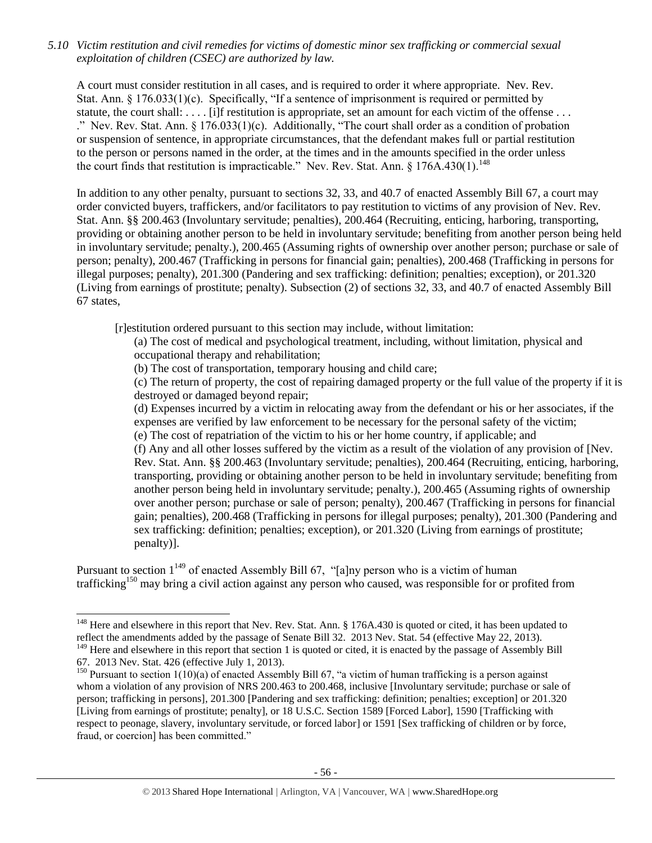*5.10 Victim restitution and civil remedies for victims of domestic minor sex trafficking or commercial sexual exploitation of children (CSEC) are authorized by law.* 

A court must consider restitution in all cases, and is required to order it where appropriate. Nev. Rev. Stat. Ann. § 176.033(1)(c). Specifically, "If a sentence of imprisonment is required or permitted by statute, the court shall: . . . . [i]f restitution is appropriate, set an amount for each victim of the offense . . . ." Nev. Rev. Stat. Ann. § 176.033(1)(c). Additionally, "The court shall order as a condition of probation or suspension of sentence, in appropriate circumstances, that the defendant makes full or partial restitution to the person or persons named in the order, at the times and in the amounts specified in the order unless the court finds that restitution is impracticable." Nev. Rev. Stat. Ann.  $\frac{8}{176A.430(1)}$ .<sup>148</sup>

In addition to any other penalty, pursuant to sections 32, 33, and 40.7 of enacted Assembly Bill 67, a court may order convicted buyers, traffickers, and/or facilitators to pay restitution to victims of any provision of Nev. Rev. Stat. Ann. §§ 200.463 (Involuntary servitude; penalties), 200.464 (Recruiting, enticing, harboring, transporting, providing or obtaining another person to be held in involuntary servitude; benefiting from another person being held in involuntary servitude; penalty.), 200.465 (Assuming rights of ownership over another person; purchase or sale of person; penalty), 200.467 (Trafficking in persons for financial gain; penalties), 200.468 (Trafficking in persons for illegal purposes; penalty), 201.300 (Pandering and sex trafficking: definition; penalties; exception), or 201.320 (Living from earnings of prostitute; penalty). Subsection (2) of sections 32, 33, and 40.7 of enacted Assembly Bill 67 states,

[r]estitution ordered pursuant to this section may include, without limitation:

(a) The cost of medical and psychological treatment, including, without limitation, physical and occupational therapy and rehabilitation;

(b) The cost of transportation, temporary housing and child care;

(c) The return of property, the cost of repairing damaged property or the full value of the property if it is destroyed or damaged beyond repair;

(d) Expenses incurred by a victim in relocating away from the defendant or his or her associates, if the expenses are verified by law enforcement to be necessary for the personal safety of the victim; (e) The cost of repatriation of the victim to his or her home country, if applicable; and

(f) Any and all other losses suffered by the victim as a result of the violation of any provision of [Nev. Rev. Stat. Ann. §§ 200.463 (Involuntary servitude; penalties), 200.464 (Recruiting, enticing, harboring, transporting, providing or obtaining another person to be held in involuntary servitude; benefiting from another person being held in involuntary servitude; penalty.), 200.465 (Assuming rights of ownership over another person; purchase or sale of person; penalty), 200.467 (Trafficking in persons for financial gain; penalties), 200.468 (Trafficking in persons for illegal purposes; penalty), 201.300 (Pandering and sex trafficking: definition; penalties; exception), or 201.320 (Living from earnings of prostitute; penalty)].

Pursuant to section  $1^{149}$  of enacted Assembly Bill 67, "[a]ny person who is a victim of human trafficking<sup>150</sup> may bring a civil action against any person who caused, was responsible for or profited from

<sup>&</sup>lt;sup>148</sup> Here and elsewhere in this report that Nev. Rev. Stat. Ann. § 176A.430 is quoted or cited, it has been updated to reflect the amendments added by the passage of Senate Bill 32. 2013 Nev. Stat. 54 (effective May 22, 2013).

<sup>&</sup>lt;sup>149</sup> Here and elsewhere in this report that section 1 is quoted or cited, it is enacted by the passage of Assembly Bill 67. 2013 Nev. Stat. 426 (effective July 1, 2013).

<sup>&</sup>lt;sup>150</sup> Pursuant to section 1(10)(a) of enacted Assembly Bill 67, "a victim of human trafficking is a person against whom a violation of any provision of NRS 200.463 to 200.468, inclusive [Involuntary servitude; purchase or sale of person; trafficking in persons], 201.300 [Pandering and sex trafficking: definition; penalties; exception] or 201.320 [Living from earnings of prostitute; penalty], or 18 U.S.C. Section 1589 [Forced Labor], 1590 [Trafficking with respect to peonage, slavery, involuntary servitude, or forced labor] or 1591 [Sex trafficking of children or by force, fraud, or coercion] has been committed."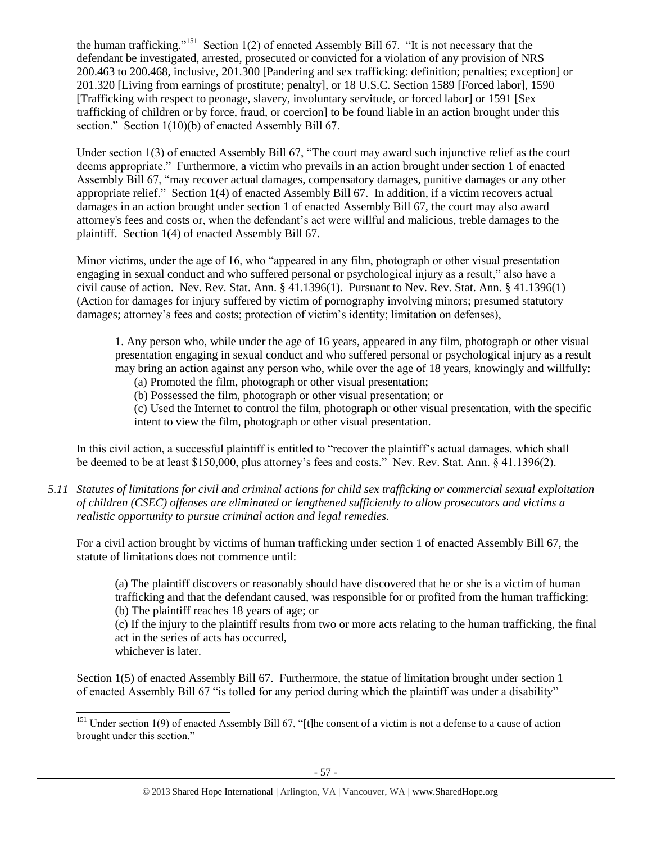the human trafficking."<sup>151</sup> Section 1(2) of enacted Assembly Bill 67. "It is not necessary that the defendant be investigated, arrested, prosecuted or convicted for a violation of any provision of NRS 200.463 to 200.468, inclusive, 201.300 [Pandering and sex trafficking: definition; penalties; exception] or 201.320 [Living from earnings of prostitute; penalty], or 18 U.S.C. Section 1589 [Forced labor], 1590 [Trafficking with respect to peonage, slavery, involuntary servitude, or forced labor] or 1591 [Sex trafficking of children or by force, fraud, or coercion] to be found liable in an action brought under this section." Section 1(10)(b) of enacted Assembly Bill 67.

Under section 1(3) of enacted Assembly Bill 67, "The court may award such injunctive relief as the court deems appropriate." Furthermore, a victim who prevails in an action brought under section 1 of enacted Assembly Bill 67, "may recover actual damages, compensatory damages, punitive damages or any other appropriate relief." Section 1(4) of enacted Assembly Bill 67. In addition, if a victim recovers actual damages in an action brought under section 1 of enacted Assembly Bill 67, the court may also award attorney's fees and costs or, when the defendant's act were willful and malicious, treble damages to the plaintiff. Section 1(4) of enacted Assembly Bill 67.

Minor victims, under the age of 16, who "appeared in any film, photograph or other visual presentation engaging in sexual conduct and who suffered personal or psychological injury as a result," also have a civil cause of action. Nev. Rev. Stat. Ann. § 41.1396(1). Pursuant to Nev. Rev. Stat. Ann. § 41.1396(1) (Action for damages for injury suffered by victim of pornography involving minors; presumed statutory damages; attorney's fees and costs; protection of victim's identity; limitation on defenses),

1. Any person who, while under the age of 16 years, appeared in any film, photograph or other visual presentation engaging in sexual conduct and who suffered personal or psychological injury as a result may bring an action against any person who, while over the age of 18 years, knowingly and willfully:

(a) Promoted the film, photograph or other visual presentation;

(b) Possessed the film, photograph or other visual presentation; or

(c) Used the Internet to control the film, photograph or other visual presentation, with the specific intent to view the film, photograph or other visual presentation.

In this civil action, a successful plaintiff is entitled to "recover the plaintiff's actual damages, which shall be deemed to be at least \$150,000, plus attorney's fees and costs." Nev. Rev. Stat. Ann. § 41.1396(2).

*5.11 Statutes of limitations for civil and criminal actions for child sex trafficking or commercial sexual exploitation of children (CSEC) offenses are eliminated or lengthened sufficiently to allow prosecutors and victims a realistic opportunity to pursue criminal action and legal remedies.*

For a civil action brought by victims of human trafficking under section 1 of enacted Assembly Bill 67, the statute of limitations does not commence until:

(a) The plaintiff discovers or reasonably should have discovered that he or she is a victim of human trafficking and that the defendant caused, was responsible for or profited from the human trafficking; (b) The plaintiff reaches 18 years of age; or

(c) If the injury to the plaintiff results from two or more acts relating to the human trafficking, the final act in the series of acts has occurred, whichever is later.

Section 1(5) of enacted Assembly Bill 67. Furthermore, the statue of limitation brought under section 1 of enacted Assembly Bill 67 "is tolled for any period during which the plaintiff was under a disability"

 $151$  Under section 1(9) of enacted Assembly Bill 67, "[t]he consent of a victim is not a defense to a cause of action brought under this section."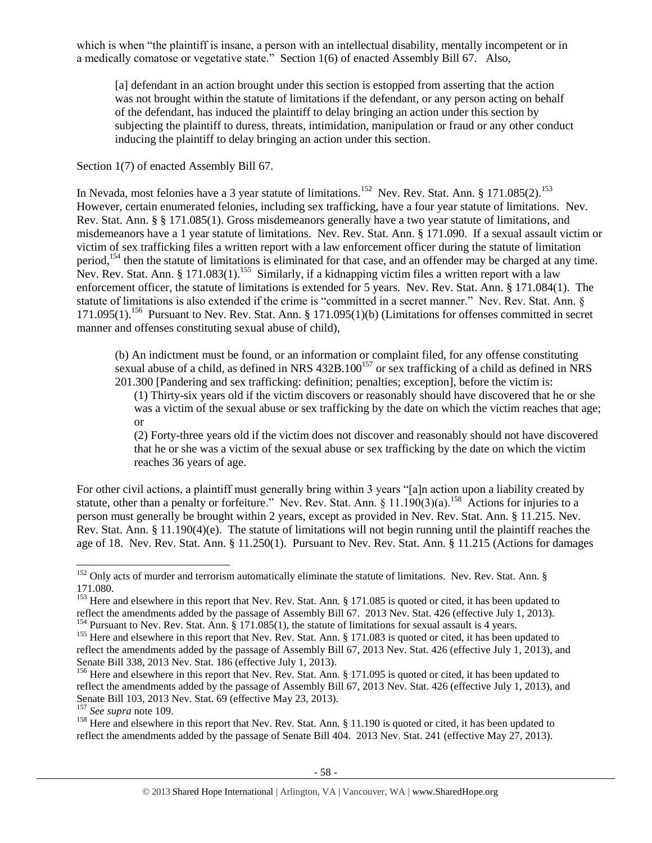which is when "the plaintiff is insane, a person with an intellectual disability, mentally incompetent or in a medically comatose or vegetative state." Section 1(6) of enacted Assembly Bill 67. Also,

[a] defendant in an action brought under this section is estopped from asserting that the action was not brought within the statute of limitations if the defendant, or any person acting on behalf of the defendant, has induced the plaintiff to delay bringing an action under this section by subjecting the plaintiff to duress, threats, intimidation, manipulation or fraud or any other conduct inducing the plaintiff to delay bringing an action under this section.

Section 1(7) of enacted Assembly Bill 67.

In Nevada, most felonies have a 3 year statute of limitations.<sup>152</sup> Nev. Rev. Stat. Ann. § 171.085(2).<sup>153</sup> However, certain enumerated felonies, including sex trafficking, have a four year statute of limitations. Nev. Rev. Stat. Ann. § § 171.085(1). Gross misdemeanors generally have a two year statute of limitations, and misdemeanors have a 1 year statute of limitations. Nev. Rev. Stat. Ann. § 171.090. If a sexual assault victim or victim of sex trafficking files a written report with a law enforcement officer during the statute of limitation period,<sup>154</sup> then the statute of limitations is eliminated for that case, and an offender may be charged at any time. Nev. Rev. Stat. Ann. § 171.083 $(1)$ .<sup>155</sup> Similarly, if a kidnapping victim files a written report with a law enforcement officer, the statute of limitations is extended for 5 years. Nev. Rev. Stat. Ann. § 171.084(1). The statute of limitations is also extended if the crime is "committed in a secret manner." Nev. Rev. Stat. Ann. § 171.095(1).<sup>156</sup> Pursuant to Nev. Rev. Stat. Ann. § 171.095(1)(b) (Limitations for offenses committed in secret manner and offenses constituting sexual abuse of child),

(b) An indictment must be found, or an information or complaint filed, for any offense constituting sexual abuse of a child, as defined in NRS 432B.100<sup>157</sup> or sex trafficking of a child as defined in NRS 201.300 [Pandering and sex trafficking: definition; penalties; exception], before the victim is:

(1) Thirty-six years old if the victim discovers or reasonably should have discovered that he or she was a victim of the sexual abuse or sex trafficking by the date on which the victim reaches that age; or

(2) Forty-three years old if the victim does not discover and reasonably should not have discovered that he or she was a victim of the sexual abuse or sex trafficking by the date on which the victim reaches 36 years of age.

For other civil actions, a plaintiff must generally bring within 3 years "[a]n action upon a liability created by statute, other than a penalty or forfeiture." Nev. Rev. Stat. Ann. § 11.190(3)(a).<sup>158</sup> Actions for injuries to a person must generally be brought within 2 years, except as provided in Nev. Rev. Stat. Ann. § 11.215. Nev. Rev. Stat. Ann. § 11.190(4)(e). The statute of limitations will not begin running until the plaintiff reaches the age of 18. Nev. Rev. Stat. Ann. § 11.250(1). Pursuant to Nev. Rev. Stat. Ann. § 11.215 (Actions for damages

 $\overline{a}$  $152$  Only acts of murder and terrorism automatically eliminate the statute of limitations. Nev. Rev. Stat. Ann. § 171.080.

<sup>&</sup>lt;sup>153</sup> Here and elsewhere in this report that Nev. Rev. Stat. Ann. § 171.085 is quoted or cited, it has been updated to reflect the amendments added by the passage of Assembly Bill 67. 2013 Nev. Stat. 426 (effective July 1, 2013).

<sup>&</sup>lt;sup>154</sup> Pursuant to Nev. Rev. Stat. Ann.  $\S$  171.085(1), the statute of limitations for sexual assault is 4 years.

<sup>&</sup>lt;sup>155</sup> Here and elsewhere in this report that Nev. Rev. Stat. Ann. § 171.083 is quoted or cited, it has been updated to reflect the amendments added by the passage of Assembly Bill 67, 2013 Nev. Stat. 426 (effective July 1, 2013), and Senate Bill 338, 2013 Nev. Stat. 186 (effective July 1, 2013).

<sup>&</sup>lt;sup>156</sup> Here and elsewhere in this report that Nev. Rev. Stat. Ann. § 171.095 is quoted or cited, it has been updated to reflect the amendments added by the passage of Assembly Bill 67, 2013 Nev. Stat. 426 (effective July 1, 2013), and Senate Bill 103, 2013 Nev. Stat. 69 (effective May 23, 2013).

<sup>157</sup> *See supra* note [109.](#page-38-0)

<sup>&</sup>lt;sup>158</sup> Here and elsewhere in this report that Nev. Rev. Stat. Ann. § 11.190 is quoted or cited, it has been updated to reflect the amendments added by the passage of Senate Bill 404. 2013 Nev. Stat. 241 (effective May 27, 2013).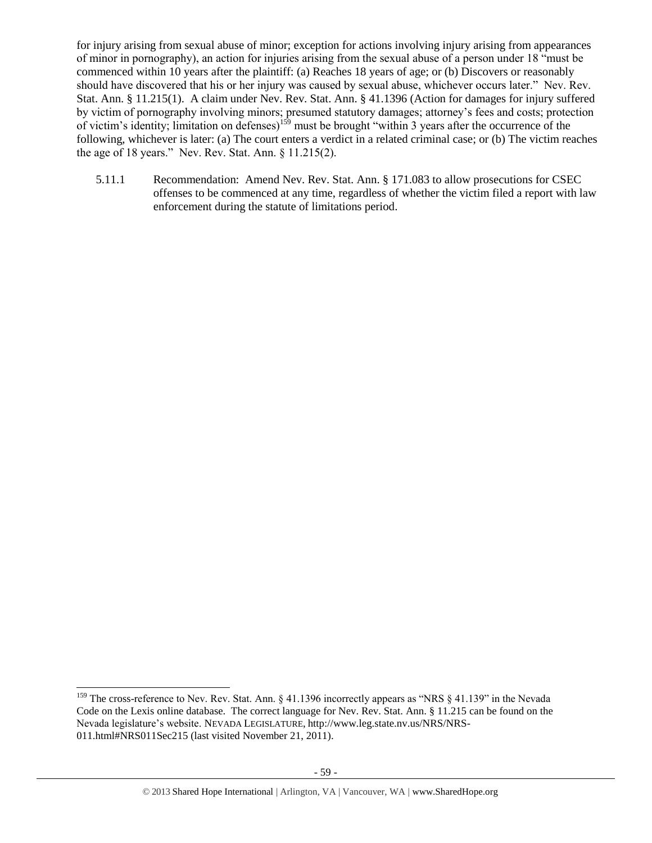for injury arising from sexual abuse of minor; exception for actions involving injury arising from appearances of minor in pornography), an action for injuries arising from the sexual abuse of a person under 18 "must be commenced within 10 years after the plaintiff: (a) Reaches 18 years of age; or (b) Discovers or reasonably should have discovered that his or her injury was caused by sexual abuse, whichever occurs later." Nev. Rev. Stat. Ann. § 11.215(1). A claim under Nev. Rev. Stat. Ann. § 41.1396 (Action for damages for injury suffered by victim of pornography involving minors; presumed statutory damages; attorney's fees and costs; protection of victim's identity; limitation on defenses)<sup>159</sup> must be brought "within 3 years after the occurrence of the following, whichever is later: (a) The court enters a verdict in a related criminal case; or (b) The victim reaches the age of 18 years." Nev. Rev. Stat. Ann. § 11.215(2).

5.11.1 Recommendation: Amend Nev. Rev. Stat. Ann. § 171.083 to allow prosecutions for CSEC offenses to be commenced at any time, regardless of whether the victim filed a report with law enforcement during the statute of limitations period.

<sup>&</sup>lt;sup>159</sup> The cross-reference to Nev. Rev. Stat. Ann. § 41.1396 incorrectly appears as "NRS § 41.139" in the Nevada Code on the Lexis online database. The correct language for Nev. Rev. Stat. Ann. § 11.215 can be found on the Nevada legislature's website. NEVADA LEGISLATURE, http://www.leg.state.nv.us/NRS/NRS-011.html#NRS011Sec215 (last visited November 21, 2011).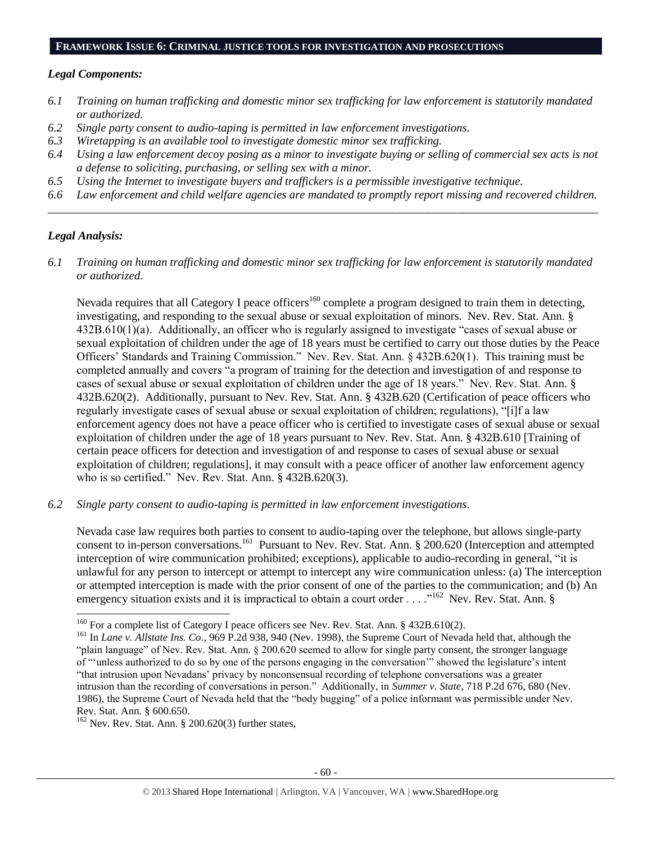#### **FRAMEWORK ISSUE 6: CRIMINAL JUSTICE TOOLS FOR INVESTIGATION AND PROSECUTIONS**

### *Legal Components:*

- *6.1 Training on human trafficking and domestic minor sex trafficking for law enforcement is statutorily mandated or authorized.*
- *6.2 Single party consent to audio-taping is permitted in law enforcement investigations.*
- *6.3 Wiretapping is an available tool to investigate domestic minor sex trafficking.*
- *6.4 Using a law enforcement decoy posing as a minor to investigate buying or selling of commercial sex acts is not a defense to soliciting, purchasing, or selling sex with a minor.*
- *6.5 Using the Internet to investigate buyers and traffickers is a permissible investigative technique.*
- *6.6 Law enforcement and child welfare agencies are mandated to promptly report missing and recovered children. \_\_\_\_\_\_\_\_\_\_\_\_\_\_\_\_\_\_\_\_\_\_\_\_\_\_\_\_\_\_\_\_\_\_\_\_\_\_\_\_\_\_\_\_\_\_\_\_\_\_\_\_\_\_\_\_\_\_\_\_\_\_\_\_\_\_\_\_\_\_\_\_\_\_\_\_\_\_\_\_\_\_\_\_\_\_\_\_\_\_\_\_\_\_*

## *Legal Analysis:*

 $\overline{a}$ 

*6.1 Training on human trafficking and domestic minor sex trafficking for law enforcement is statutorily mandated or authorized.*

Nevada requires that all Category I peace officers<sup>160</sup> complete a program designed to train them in detecting, investigating, and responding to the sexual abuse or sexual exploitation of minors. Nev. Rev. Stat. Ann. § 432B.610(1)(a). Additionally, an officer who is regularly assigned to investigate "cases of sexual abuse or sexual exploitation of children under the age of 18 years must be certified to carry out those duties by the Peace Officers' Standards and Training Commission." Nev. Rev. Stat. Ann. § 432B.620(1). This training must be completed annually and covers "a program of training for the detection and investigation of and response to cases of sexual abuse or sexual exploitation of children under the age of 18 years." Nev. Rev. Stat. Ann. § 432B.620(2). Additionally, pursuant to Nev. Rev. Stat. Ann. § 432B.620 (Certification of peace officers who regularly investigate cases of sexual abuse or sexual exploitation of children; regulations), "[i]f a law enforcement agency does not have a peace officer who is certified to investigate cases of sexual abuse or sexual exploitation of children under the age of 18 years pursuant to Nev. Rev. Stat. Ann. § 432B.610 [Training of certain peace officers for detection and investigation of and response to cases of sexual abuse or sexual exploitation of children; regulations], it may consult with a peace officer of another law enforcement agency who is so certified." Nev. Rev. Stat. Ann. § 432B.620(3).

*6.2 Single party consent to audio-taping is permitted in law enforcement investigations.*

Nevada case law requires both parties to consent to audio-taping over the telephone, but allows single-party consent to in-person conversations.<sup>161</sup> Pursuant to Nev. Rev. Stat. Ann. § 200.620 (Interception and attempted interception of wire communication prohibited; exceptions), applicable to audio-recording in general, "it is unlawful for any person to intercept or attempt to intercept any wire communication unless: (a) The interception or attempted interception is made with the prior consent of one of the parties to the communication; and (b) An emergency situation exists and it is impractical to obtain a court order . . . . "<sup>162</sup> Nev. Rev. Stat. Ann. §

<sup>&</sup>lt;sup>160</sup> For a complete list of Category I peace officers see Nev. Rev. Stat. Ann. § 432B.610(2).

<sup>161</sup> In *Lane v. Allstate Ins. Co.*, 969 P.2d 938, 940 (Nev. 1998), the Supreme Court of Nevada held that, although the "plain language" of Nev. Rev. Stat. Ann. § 200.620 seemed to allow for single party consent, the stronger language of "'unless authorized to do so by one of the persons engaging in the conversation'" showed the legislature's intent "that intrusion upon Nevadans' privacy by nonconsensual recording of telephone conversations was a greater intrusion than the recording of conversations in person." Additionally, in *Summer v. State*, 718 P.2d 676, 680 (Nev. 1986), the Supreme Court of Nevada held that the "body bugging" of a police informant was permissible under Nev. Rev. Stat. Ann. § 600.650.

 $162$  Nev. Rev. Stat. Ann. § 200.620(3) further states,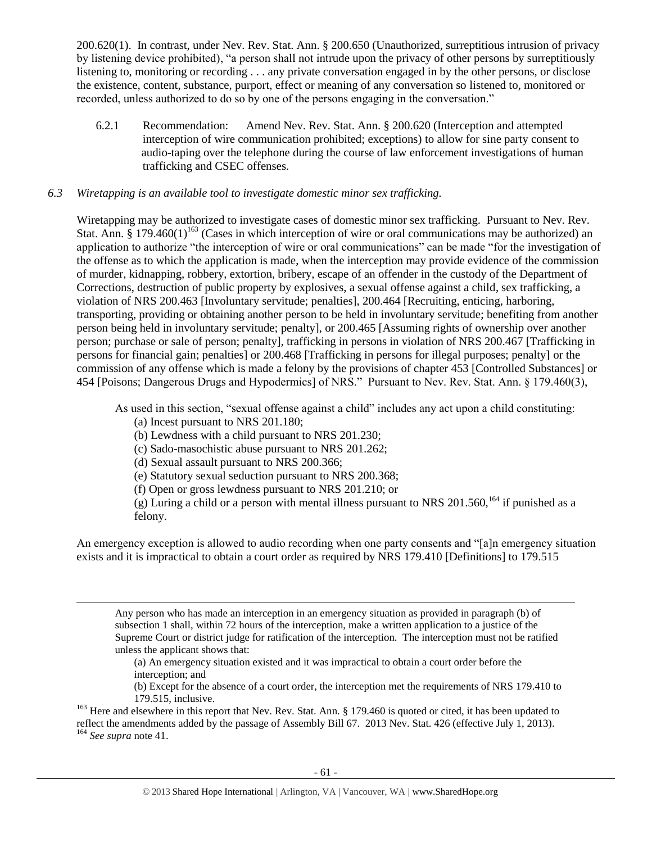200.620(1). In contrast, under Nev. Rev. Stat. Ann. § 200.650 (Unauthorized, surreptitious intrusion of privacy by listening device prohibited), "a person shall not intrude upon the privacy of other persons by surreptitiously listening to, monitoring or recording . . . any private conversation engaged in by the other persons, or disclose the existence, content, substance, purport, effect or meaning of any conversation so listened to, monitored or recorded, unless authorized to do so by one of the persons engaging in the conversation."

6.2.1 Recommendation: Amend Nev. Rev. Stat. Ann. § 200.620 (Interception and attempted interception of wire communication prohibited; exceptions) to allow for sine party consent to audio-taping over the telephone during the course of law enforcement investigations of human trafficking and CSEC offenses.

## *6.3 Wiretapping is an available tool to investigate domestic minor sex trafficking.*

Wiretapping may be authorized to investigate cases of domestic minor sex trafficking. Pursuant to Nev. Rev. Stat. Ann.  $\tilde{\S}$  179.460(1)<sup>163</sup> (Cases in which interception of wire or oral communications may be authorized) an application to authorize "the interception of wire or oral communications" can be made "for the investigation of the offense as to which the application is made, when the interception may provide evidence of the commission of murder, kidnapping, robbery, extortion, bribery, escape of an offender in the custody of the Department of Corrections, destruction of public property by explosives, a sexual offense against a child, sex trafficking, a violation of NRS 200.463 [Involuntary servitude; penalties], 200.464 [Recruiting, enticing, harboring, transporting, providing or obtaining another person to be held in involuntary servitude; benefiting from another person being held in involuntary servitude; penalty], or 200.465 [Assuming rights of ownership over another person; purchase or sale of person; penalty], trafficking in persons in violation of NRS 200.467 [Trafficking in persons for financial gain; penalties] or 200.468 [Trafficking in persons for illegal purposes; penalty] or the commission of any offense which is made a felony by the provisions of chapter 453 [Controlled Substances] or 454 [Poisons; Dangerous Drugs and Hypodermics] of NRS." Pursuant to Nev. Rev. Stat. Ann. § 179.460(3),

As used in this section, "sexual offense against a child" includes any act upon a child constituting:

- (a) Incest pursuant to NRS 201.180;
- (b) Lewdness with a child pursuant to NRS 201.230;
- (c) Sado-masochistic abuse pursuant to NRS 201.262;
- (d) Sexual assault pursuant to NRS 200.366;
- (e) Statutory sexual seduction pursuant to NRS 200.368;
- (f) Open or gross lewdness pursuant to NRS 201.210; or

(g) Luring a child or a person with mental illness pursuant to NRS 201.560,  $^{164}$  if punished as a felony.

An emergency exception is allowed to audio recording when one party consents and "[a]n emergency situation exists and it is impractical to obtain a court order as required by NRS 179.410 [Definitions] to 179.515

Any person who has made an interception in an emergency situation as provided in paragraph (b) of subsection 1 shall, within 72 hours of the interception, make a written application to a justice of the Supreme Court or district judge for ratification of the interception. The interception must not be ratified unless the applicant shows that:

(a) An emergency situation existed and it was impractical to obtain a court order before the interception; and

(b) Except for the absence of a court order, the interception met the requirements of NRS 179.410 to 179.515, inclusive.

<sup>163</sup> Here and elsewhere in this report that Nev. Rev. Stat. Ann. § 179.460 is quoted or cited, it has been updated to reflect the amendments added by the passage of Assembly Bill 67. 2013 Nev. Stat. 426 (effective July 1, 2013).

<sup>164</sup> *See supra* not[e 41.](#page-12-0)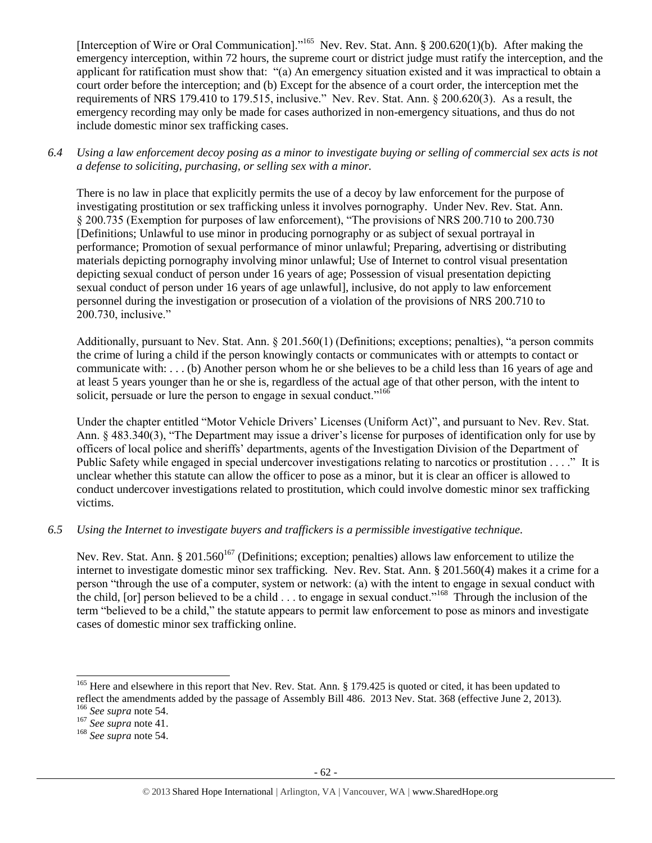[Interception of Wire or Oral Communication]."<sup>165</sup> Nev. Rev. Stat. Ann. § 200.620(1)(b). After making the emergency interception, within 72 hours, the supreme court or district judge must ratify the interception, and the applicant for ratification must show that: "(a) An emergency situation existed and it was impractical to obtain a court order before the interception; and (b) Except for the absence of a court order, the interception met the requirements of NRS 179.410 to 179.515, inclusive." Nev. Rev. Stat. Ann. § 200.620(3). As a result, the emergency recording may only be made for cases authorized in non-emergency situations, and thus do not include domestic minor sex trafficking cases.

*6.4 Using a law enforcement decoy posing as a minor to investigate buying or selling of commercial sex acts is not a defense to soliciting, purchasing, or selling sex with a minor.*

There is no law in place that explicitly permits the use of a decoy by law enforcement for the purpose of investigating prostitution or sex trafficking unless it involves pornography. Under Nev. Rev. Stat. Ann. § 200.735 (Exemption for purposes of law enforcement), "The provisions of NRS 200.710 to 200.730 [Definitions; Unlawful to use minor in producing pornography or as subject of sexual portrayal in performance; Promotion of sexual performance of minor unlawful; Preparing, advertising or distributing materials depicting pornography involving minor unlawful; Use of Internet to control visual presentation depicting sexual conduct of person under 16 years of age; Possession of visual presentation depicting sexual conduct of person under 16 years of age unlawful], inclusive, do not apply to law enforcement personnel during the investigation or prosecution of a violation of the provisions of NRS 200.710 to 200.730, inclusive."

Additionally, pursuant to Nev. Stat. Ann. § 201.560(1) (Definitions; exceptions; penalties), "a person commits the crime of luring a child if the person knowingly contacts or communicates with or attempts to contact or communicate with: . . . (b) Another person whom he or she believes to be a child less than 16 years of age and at least 5 years younger than he or she is, regardless of the actual age of that other person, with the intent to solicit, persuade or lure the person to engage in sexual conduct."<sup>166</sup>

Under the chapter entitled "Motor Vehicle Drivers' Licenses (Uniform Act)", and pursuant to Nev. Rev. Stat. Ann. § 483.340(3), "The Department may issue a driver's license for purposes of identification only for use by officers of local police and sheriffs' departments, agents of the Investigation Division of the Department of Public Safety while engaged in special undercover investigations relating to narcotics or prostitution . . . ." It is unclear whether this statute can allow the officer to pose as a minor, but it is clear an officer is allowed to conduct undercover investigations related to prostitution, which could involve domestic minor sex trafficking victims.

*6.5 Using the Internet to investigate buyers and traffickers is a permissible investigative technique.*

Nev. Rev. Stat. Ann. § 201.560<sup>167</sup> (Definitions; exception; penalties) allows law enforcement to utilize the internet to investigate domestic minor sex trafficking. Nev. Rev. Stat. Ann. § 201.560(4) makes it a crime for a person "through the use of a computer, system or network: (a) with the intent to engage in sexual conduct with the child, [or] person believed to be a child  $\ldots$  to engage in sexual conduct."<sup>168</sup> Through the inclusion of the term "believed to be a child," the statute appears to permit law enforcement to pose as minors and investigate cases of domestic minor sex trafficking online.

<sup>&</sup>lt;sup>165</sup> Here and elsewhere in this report that Nev. Rev. Stat. Ann. § 179.425 is quoted or cited, it has been updated to reflect the amendments added by the passage of Assembly Bill 486. 2013 Nev. Stat. 368 (effective June 2, 2013).

<sup>166</sup> *See supra* note [54.](#page-16-0)

<sup>167</sup> *See supra* not[e 41.](#page-12-0)

<sup>168</sup> *See supra* note [54.](#page-16-0)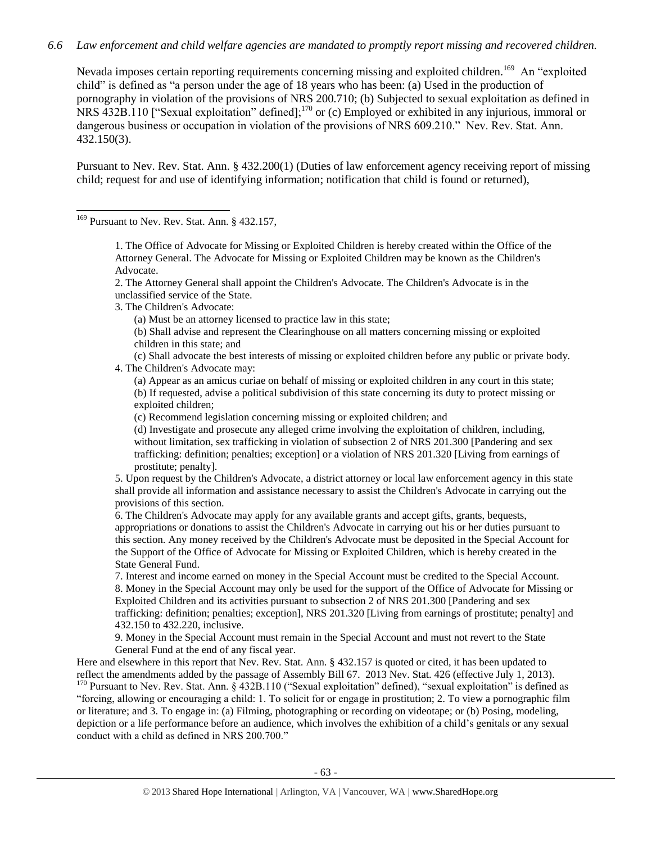## *6.6 Law enforcement and child welfare agencies are mandated to promptly report missing and recovered children.*

Nevada imposes certain reporting requirements concerning missing and exploited children.<sup>169</sup> An "exploited child" is defined as "a person under the age of 18 years who has been: (a) Used in the production of pornography in violation of the provisions of NRS 200.710; (b) Subjected to sexual exploitation as defined in NRS 432B.110 ["Sexual exploitation" defined];<sup>170</sup> or (c) Employed or exhibited in any injurious, immoral or dangerous business or occupation in violation of the provisions of NRS 609.210." Nev. Rev. Stat. Ann. 432.150(3).

Pursuant to Nev. Rev. Stat. Ann. § 432.200(1) (Duties of law enforcement agency receiving report of missing child; request for and use of identifying information; notification that child is found or returned),

<sup>169</sup> Pursuant to Nev. Rev. Stat. Ann. § 432.157,

 $\overline{a}$ 

1. The Office of Advocate for Missing or Exploited Children is hereby created within the Office of the Attorney General. The Advocate for Missing or Exploited Children may be known as the Children's Advocate.

2. The Attorney General shall appoint the Children's Advocate. The Children's Advocate is in the unclassified service of the State.

3. The Children's Advocate:

(a) Must be an attorney licensed to practice law in this state;

(b) Shall advise and represent the Clearinghouse on all matters concerning missing or exploited children in this state; and

(c) Shall advocate the best interests of missing or exploited children before any public or private body. 4. The Children's Advocate may:

(a) Appear as an amicus curiae on behalf of missing or exploited children in any court in this state; (b) If requested, advise a political subdivision of this state concerning its duty to protect missing or

exploited children;

(c) Recommend legislation concerning missing or exploited children; and

(d) Investigate and prosecute any alleged crime involving the exploitation of children, including, without limitation, sex trafficking in violation of subsection 2 of NRS 201.300 [Pandering and sex trafficking: definition; penalties; exception] or a violation of NRS 201.320 [Living from earnings of prostitute; penalty].

5. Upon request by the Children's Advocate, a district attorney or local law enforcement agency in this state shall provide all information and assistance necessary to assist the Children's Advocate in carrying out the provisions of this section.

6. The Children's Advocate may apply for any available grants and accept gifts, grants, bequests, appropriations or donations to assist the Children's Advocate in carrying out his or her duties pursuant to this section. Any money received by the Children's Advocate must be deposited in the Special Account for the Support of the Office of Advocate for Missing or Exploited Children, which is hereby created in the State General Fund.

7. Interest and income earned on money in the Special Account must be credited to the Special Account. 8. Money in the Special Account may only be used for the support of the Office of Advocate for Missing or Exploited Children and its activities pursuant to subsection 2 of NRS 201.300 [Pandering and sex trafficking: definition; penalties; exception], NRS 201.320 [Living from earnings of prostitute; penalty] and 432.150 to 432.220, inclusive.

9. Money in the Special Account must remain in the Special Account and must not revert to the State General Fund at the end of any fiscal year.

Here and elsewhere in this report that Nev. Rev. Stat. Ann. § 432.157 is quoted or cited, it has been updated to reflect the amendments added by the passage of Assembly Bill 67. 2013 Nev. Stat. 426 (effective July 1, 2013).

<sup>170</sup> Pursuant to Nev. Rev. Stat. Ann. § 432B.110 ("Sexual exploitation" defined), "sexual exploitation" is defined as "forcing, allowing or encouraging a child: 1. To solicit for or engage in prostitution; 2. To view a pornographic film or literature; and 3. To engage in: (a) Filming, photographing or recording on videotape; or (b) Posing, modeling, depiction or a life performance before an audience, which involves the exhibition of a child's genitals or any sexual conduct with a child as defined in NRS 200.700."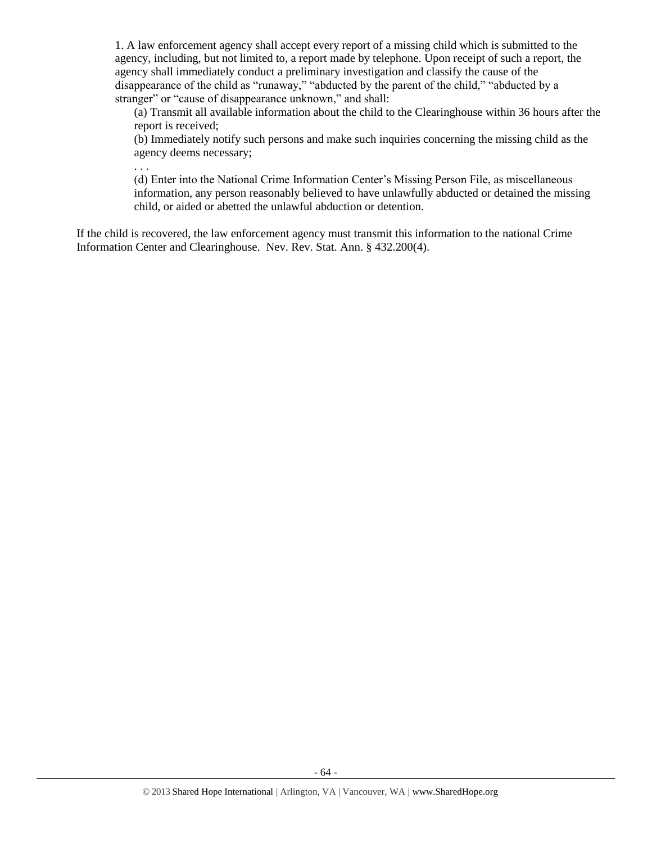1. A law enforcement agency shall accept every report of a missing child which is submitted to the agency, including, but not limited to, a report made by telephone. Upon receipt of such a report, the agency shall immediately conduct a preliminary investigation and classify the cause of the disappearance of the child as "runaway," "abducted by the parent of the child," "abducted by a stranger" or "cause of disappearance unknown," and shall:

(a) Transmit all available information about the child to the Clearinghouse within 36 hours after the report is received;

(b) Immediately notify such persons and make such inquiries concerning the missing child as the agency deems necessary;

. . .

(d) Enter into the National Crime Information Center's Missing Person File, as miscellaneous information, any person reasonably believed to have unlawfully abducted or detained the missing child, or aided or abetted the unlawful abduction or detention.

If the child is recovered, the law enforcement agency must transmit this information to the national Crime Information Center and Clearinghouse. Nev. Rev. Stat. Ann. § 432.200(4).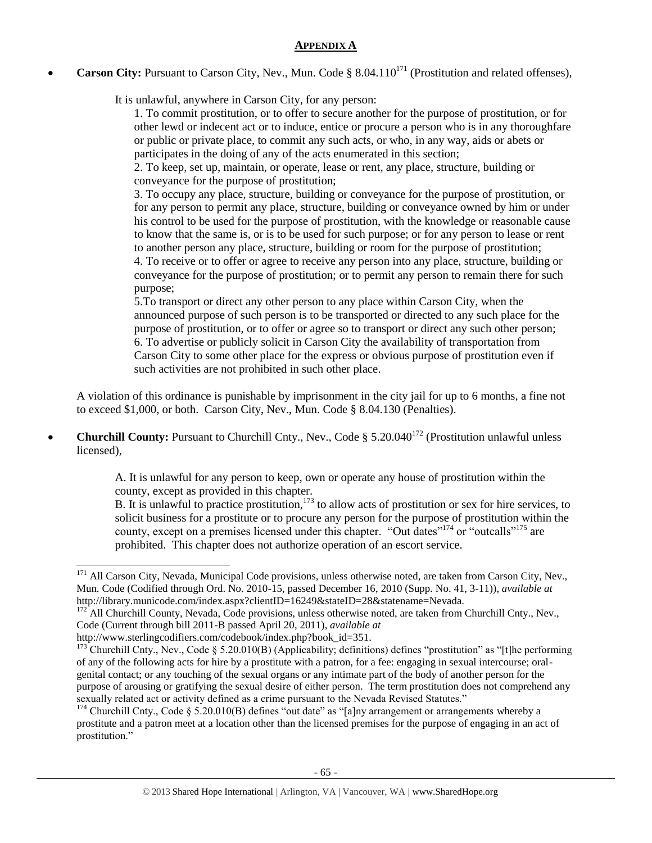## **APPENDIX A**

**Carson City:** Pursuant to Carson City, Nev., Mun. Code § 8.04.110<sup>171</sup> (Prostitution and related offenses),

It is unlawful, anywhere in Carson City, for any person:

1. To commit prostitution, or to offer to secure another for the purpose of prostitution, or for other lewd or indecent act or to induce, entice or procure a person who is in any thoroughfare or public or private place, to commit any such acts, or who, in any way, aids or abets or participates in the doing of any of the acts enumerated in this section;

2. To keep, set up, maintain, or operate, lease or rent, any place, structure, building or conveyance for the purpose of prostitution;

3. To occupy any place, structure, building or conveyance for the purpose of prostitution, or for any person to permit any place, structure, building or conveyance owned by him or under his control to be used for the purpose of prostitution, with the knowledge or reasonable cause to know that the same is, or is to be used for such purpose; or for any person to lease or rent to another person any place, structure, building or room for the purpose of prostitution;

4. To receive or to offer or agree to receive any person into any place, structure, building or conveyance for the purpose of prostitution; or to permit any person to remain there for such purpose;

5.To transport or direct any other person to any place within Carson City, when the announced purpose of such person is to be transported or directed to any such place for the purpose of prostitution, or to offer or agree so to transport or direct any such other person; 6. To advertise or publicly solicit in Carson City the availability of transportation from Carson City to some other place for the express or obvious purpose of prostitution even if such activities are not prohibited in such other place.

A violation of this ordinance is punishable by imprisonment in the city jail for up to 6 months, a fine not to exceed \$1,000, or both. Carson City, Nev., Mun. Code § 8.04.130 (Penalties).

**Churchill County:** Pursuant to Churchill Cnty., Nev., Code § 5.20.040<sup>172</sup> (Prostitution unlawful unless licensed),

A. It is unlawful for any person to keep, own or operate any house of prostitution within the county, except as provided in this chapter.

B. It is unlawful to practice prostitution,<sup>173</sup> to allow acts of prostitution or sex for hire services, to solicit business for a prostitute or to procure any person for the purpose of prostitution within the county, except on a premises licensed under this chapter. "Out dates"<sup>174</sup> or "outcalls"<sup>175</sup> are prohibited. This chapter does not authorize operation of an escort service.

<sup>&</sup>lt;sup>171</sup> All Carson City, Nevada, Municipal Code provisions, unless otherwise noted, are taken from Carson City, Nev., Mun. Code (Codified through Ord. No. 2010-15, passed December 16, 2010 (Supp. No. 41, 3-11)), *available at* http://library.municode.com/index.aspx?clientID=16249&stateID=28&statename=Nevada.

<sup>&</sup>lt;sup>172</sup> All Churchill County, Nevada, Code provisions, unless otherwise noted, are taken from Churchill Cnty., Nev., Code (Current through bill 2011-B passed April 20, 2011), *available at*

http://www.sterlingcodifiers.com/codebook/index.php?book\_id=351.

<sup>173</sup> Churchill Cnty., Nev., Code § 5.20.010(B) (Applicability; definitions) defines "prostitution" as "[t]he performing of any of the following acts for hire by a prostitute with a patron, for a fee: engaging in sexual intercourse; oralgenital contact; or any touching of the sexual organs or any intimate part of the body of another person for the purpose of arousing or gratifying the sexual desire of either person. The term prostitution does not comprehend any sexually related act or activity defined as a crime pursuant to the Nevada Revised Statutes."

<sup>&</sup>lt;sup>174</sup> Churchill Cnty., Code § 5.20.010(B) defines "out date" as "[a]ny arrangement or arrangements whereby a prostitute and a patron meet at a location other than the licensed premises for the purpose of engaging in an act of prostitution."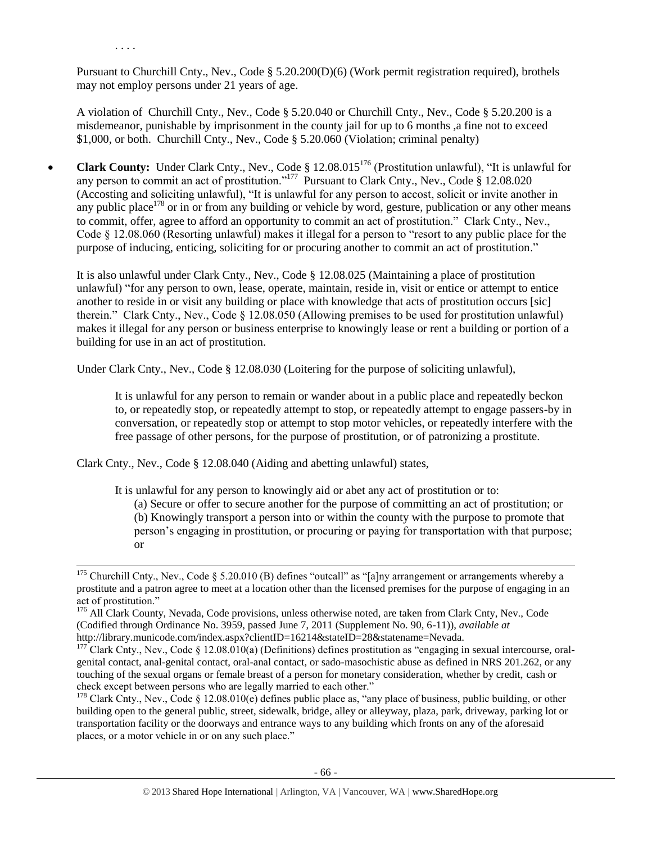Pursuant to Churchill Cnty., Nev., Code § 5.20.200(D)(6) (Work permit registration required), brothels may not employ persons under 21 years of age.

. . . .

 $\overline{a}$ 

A violation of Churchill Cnty., Nev., Code § 5.20.040 or Churchill Cnty., Nev., Code § 5.20.200 is a misdemeanor, punishable by imprisonment in the county jail for up to 6 months ,a fine not to exceed \$1,000, or both. Churchill Cnty., Nev., Code § 5.20.060 (Violation; criminal penalty)

• **Clark County:** Under Clark Cnty., Nev., Code § 12.08.015<sup>176</sup> (Prostitution unlawful), "It is unlawful for any person to commit an act of prostitution."<sup>177</sup> Pursuant to Clark Cnty., Nev., Code § 12.08.020 (Accosting and soliciting unlawful), "It is unlawful for any person to accost, solicit or invite another in any public place<sup>178</sup> or in or from any building or vehicle by word, gesture, publication or any other means to commit, offer, agree to afford an opportunity to commit an act of prostitution." Clark Cnty., Nev., Code § 12.08.060 (Resorting unlawful) makes it illegal for a person to "resort to any public place for the purpose of inducing, enticing, soliciting for or procuring another to commit an act of prostitution."

It is also unlawful under Clark Cnty., Nev., Code § 12.08.025 (Maintaining a place of prostitution unlawful) "for any person to own, lease, operate, maintain, reside in, visit or entice or attempt to entice another to reside in or visit any building or place with knowledge that acts of prostitution occurs [sic] therein." Clark Cnty., Nev., Code § 12.08.050 (Allowing premises to be used for prostitution unlawful) makes it illegal for any person or business enterprise to knowingly lease or rent a building or portion of a building for use in an act of prostitution.

Under Clark Cnty., Nev., Code § 12.08.030 (Loitering for the purpose of soliciting unlawful),

It is unlawful for any person to remain or wander about in a public place and repeatedly beckon to, or repeatedly stop, or repeatedly attempt to stop, or repeatedly attempt to engage passers-by in conversation, or repeatedly stop or attempt to stop motor vehicles, or repeatedly interfere with the free passage of other persons, for the purpose of prostitution, or of patronizing a prostitute.

Clark Cnty., Nev., Code § 12.08.040 (Aiding and abetting unlawful) states,

It is unlawful for any person to knowingly aid or abet any act of prostitution or to:

(a) Secure or offer to secure another for the purpose of committing an act of prostitution; or (b) Knowingly transport a person into or within the county with the purpose to promote that person's engaging in prostitution, or procuring or paying for transportation with that purpose; or

<sup>&</sup>lt;sup>175</sup> Churchill Cnty., Nev., Code § 5.20.010 (B) defines "outcall" as "[a]ny arrangement or arrangements whereby a prostitute and a patron agree to meet at a location other than the licensed premises for the purpose of engaging in an act of prostitution."

<sup>&</sup>lt;sup>176</sup> All Clark County, Nevada, Code provisions, unless otherwise noted, are taken from Clark Cnty, Nev., Code (Codified through Ordinance No. 3959, passed June 7, 2011 (Supplement No. 90, 6-11)), *available at*  http://library.municode.com/index.aspx?clientID=16214&stateID=28&statename=Nevada.

<sup>177</sup> Clark Cnty., Nev., Code § 12.08.010(a) (Definitions) defines prostitution as "engaging in sexual intercourse, oralgenital contact, anal-genital contact, oral-anal contact, or sado-masochistic abuse as defined in NRS 201.262, or any touching of the sexual organs or female breast of a person for monetary consideration, whether by credit, cash or check except between persons who are legally married to each other."

<sup>&</sup>lt;sup>178</sup> Clark Cnty., Nev., Code  $\S$  12.08.010(e) defines public place as, "any place of business, public building, or other building open to the general public, street, sidewalk, bridge, alley or alleyway, plaza, park, driveway, parking lot or transportation facility or the doorways and entrance ways to any building which fronts on any of the aforesaid places, or a motor vehicle in or on any such place."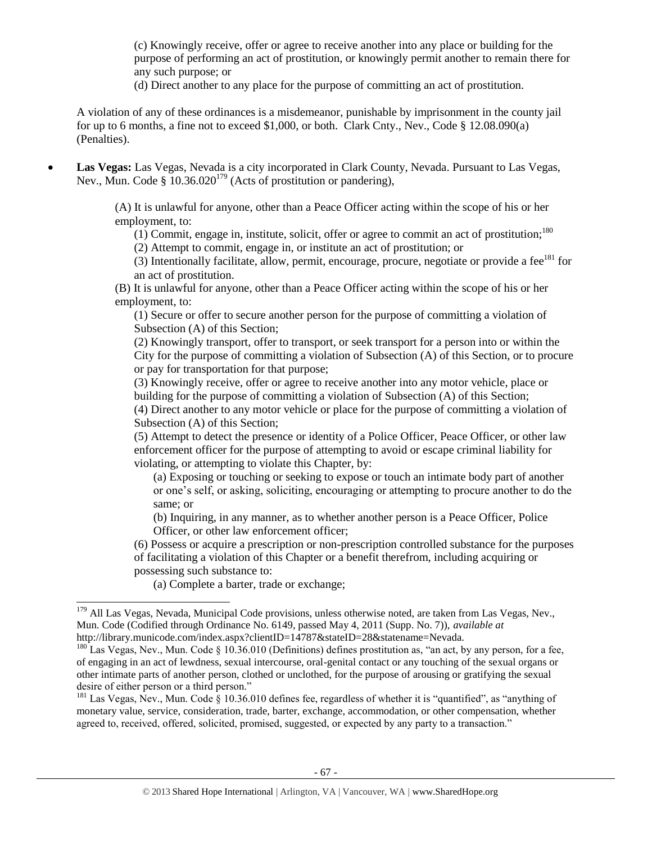(c) Knowingly receive, offer or agree to receive another into any place or building for the purpose of performing an act of prostitution, or knowingly permit another to remain there for any such purpose; or

(d) Direct another to any place for the purpose of committing an act of prostitution.

A violation of any of these ordinances is a misdemeanor, punishable by imprisonment in the county jail for up to 6 months, a fine not to exceed \$1,000, or both. Clark Cnty., Nev., Code § 12.08.090(a) (Penalties).

 **Las Vegas:** Las Vegas, Nevada is a city incorporated in Clark County, Nevada. Pursuant to Las Vegas, Nev., Mun. Code §  $10.36.020^{179}$  (Acts of prostitution or pandering),

> (A) It is unlawful for anyone, other than a Peace Officer acting within the scope of his or her employment, to:

(1) Commit, engage in, institute, solicit, offer or agree to commit an act of prostitution;<sup>180</sup>

(2) Attempt to commit, engage in, or institute an act of prostitution; or

(3) Intentionally facilitate, allow, permit, encourage, procure, negotiate or provide a fee $181$  for an act of prostitution.

(B) It is unlawful for anyone, other than a Peace Officer acting within the scope of his or her employment, to:

(1) Secure or offer to secure another person for the purpose of committing a violation of Subsection (A) of this Section;

(2) Knowingly transport, offer to transport, or seek transport for a person into or within the City for the purpose of committing a violation of Subsection (A) of this Section, or to procure or pay for transportation for that purpose;

(3) Knowingly receive, offer or agree to receive another into any motor vehicle, place or building for the purpose of committing a violation of Subsection (A) of this Section;

(4) Direct another to any motor vehicle or place for the purpose of committing a violation of Subsection (A) of this Section;

(5) Attempt to detect the presence or identity of a Police Officer, Peace Officer, or other law enforcement officer for the purpose of attempting to avoid or escape criminal liability for violating, or attempting to violate this Chapter, by:

(a) Exposing or touching or seeking to expose or touch an intimate body part of another or one's self, or asking, soliciting, encouraging or attempting to procure another to do the same; or

(b) Inquiring, in any manner, as to whether another person is a Peace Officer, Police Officer, or other law enforcement officer;

(6) Possess or acquire a prescription or non-prescription controlled substance for the purposes of facilitating a violation of this Chapter or a benefit therefrom, including acquiring or possessing such substance to:

(a) Complete a barter, trade or exchange;

 $\overline{a}$ 

<sup>181</sup> Las Vegas, Nev., Mun. Code § 10.36.010 defines fee, regardless of whether it is "quantified", as "anything of monetary value, service, consideration, trade, barter, exchange, accommodation, or other compensation, whether agreed to, received, offered, solicited, promised, suggested, or expected by any party to a transaction."

<sup>&</sup>lt;sup>179</sup> All Las Vegas, Nevada, Municipal Code provisions, unless otherwise noted, are taken from Las Vegas, Nev., Mun. Code (Codified through Ordinance No. 6149, passed May 4, 2011 (Supp. No. 7)), *available at*  http://library.municode.com/index.aspx?clientID=14787&stateID=28&statename=Nevada.

<sup>&</sup>lt;sup>180</sup> Las Vegas, Nev., Mun. Code § 10.36.010 (Definitions) defines prostitution as, "an act, by any person, for a fee, of engaging in an act of lewdness, sexual intercourse, oral-genital contact or any touching of the sexual organs or other intimate parts of another person, clothed or unclothed, for the purpose of arousing or gratifying the sexual desire of either person or a third person."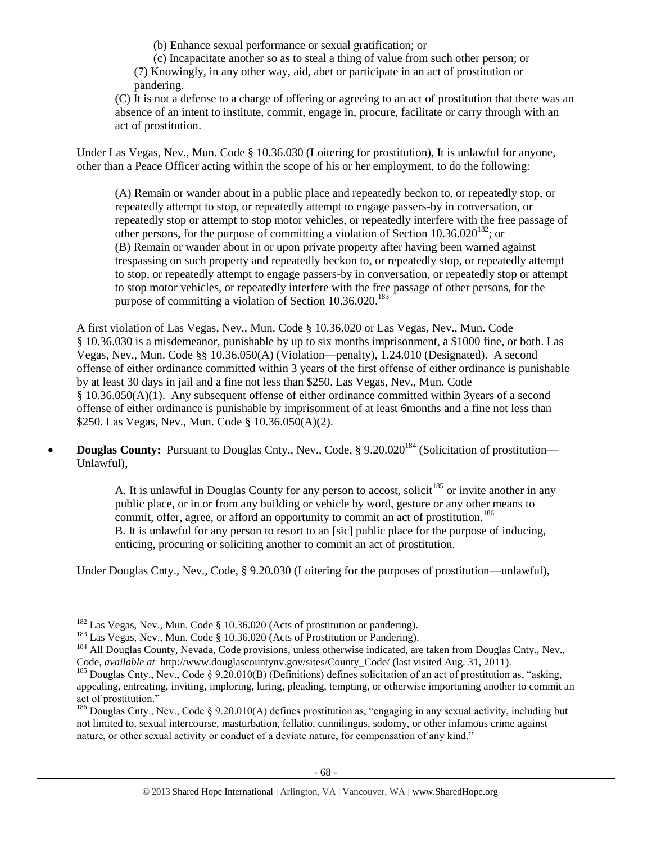(b) Enhance sexual performance or sexual gratification; or

(c) Incapacitate another so as to steal a thing of value from such other person; or (7) Knowingly, in any other way, aid, abet or participate in an act of prostitution or pandering.

(C) It is not a defense to a charge of offering or agreeing to an act of prostitution that there was an absence of an intent to institute, commit, engage in, procure, facilitate or carry through with an act of prostitution.

Under Las Vegas, Nev., Mun. Code § 10.36.030 (Loitering for prostitution), It is unlawful for anyone, other than a Peace Officer acting within the scope of his or her employment, to do the following:

(A) Remain or wander about in a public place and repeatedly beckon to, or repeatedly stop, or repeatedly attempt to stop, or repeatedly attempt to engage passers-by in conversation, or repeatedly stop or attempt to stop motor vehicles, or repeatedly interfere with the free passage of other persons, for the purpose of committing a violation of Section  $10.36.020^{182}$ ; or (B) Remain or wander about in or upon private property after having been warned against trespassing on such property and repeatedly beckon to, or repeatedly stop, or repeatedly attempt to stop, or repeatedly attempt to engage passers-by in conversation, or repeatedly stop or attempt to stop motor vehicles, or repeatedly interfere with the free passage of other persons, for the purpose of committing a violation of Section  $10.36.020$ <sup>183</sup>

A first violation of Las Vegas, Nev., Mun. Code § 10.36.020 or Las Vegas, Nev., Mun. Code § 10.36.030 is a misdemeanor, punishable by up to six months imprisonment, a \$1000 fine, or both. Las Vegas, Nev., Mun. Code §§ 10.36.050(A) (Violation—penalty), 1.24.010 (Designated). A second offense of either ordinance committed within 3 years of the first offense of either ordinance is punishable by at least 30 days in jail and a fine not less than \$250. Las Vegas, Nev., Mun. Code § 10.36.050(A)(1). Any subsequent offense of either ordinance committed within 3years of a second offense of either ordinance is punishable by imprisonment of at least 6months and a fine not less than \$250. Las Vegas, Nev., Mun. Code § 10.36.050(A)(2).

• **Douglas County:** Pursuant to Douglas Cnty., Nev., Code, § 9.20.020<sup>184</sup> (Solicitation of prostitution— Unlawful),

> A. It is unlawful in Douglas County for any person to accost, solicit<sup>185</sup> or invite another in any public place, or in or from any building or vehicle by word, gesture or any other means to commit, offer, agree, or afford an opportunity to commit an act of prostitution.<sup>186</sup> B. It is unlawful for any person to resort to an [sic] public place for the purpose of inducing, enticing, procuring or soliciting another to commit an act of prostitution.

Under Douglas Cnty., Nev., Code, § 9.20.030 (Loitering for the purposes of prostitution—unlawful),

 $182$  Las Vegas, Nev., Mun. Code § 10.36.020 (Acts of prostitution or pandering).

<sup>&</sup>lt;sup>183</sup> Las Vegas, Nev., Mun. Code § 10.36.020 (Acts of Prostitution or Pandering).

<sup>&</sup>lt;sup>184</sup> All Douglas County, Nevada, Code provisions, unless otherwise indicated, are taken from Douglas Cnty., Nev., Code, *available at* http://www.douglascountynv.gov/sites/County\_Code/ (last visited Aug. 31, 2011).

<sup>&</sup>lt;sup>185</sup> Douglas Cnty., Nev., Code  $\ell$  9.20.010(B) (Definitions) defines solicitation of an act of prostitution as, "asking, appealing, entreating, inviting, imploring, luring, pleading, tempting, or otherwise importuning another to commit an act of prostitution."

<sup>&</sup>lt;sup>186</sup> Douglas Cnty., Nev., Code § 9.20.010(A) defines prostitution as, "engaging in any sexual activity, including but not limited to, sexual intercourse, masturbation, fellatio, cunnilingus, sodomy, or other infamous crime against nature, or other sexual activity or conduct of a deviate nature, for compensation of any kind."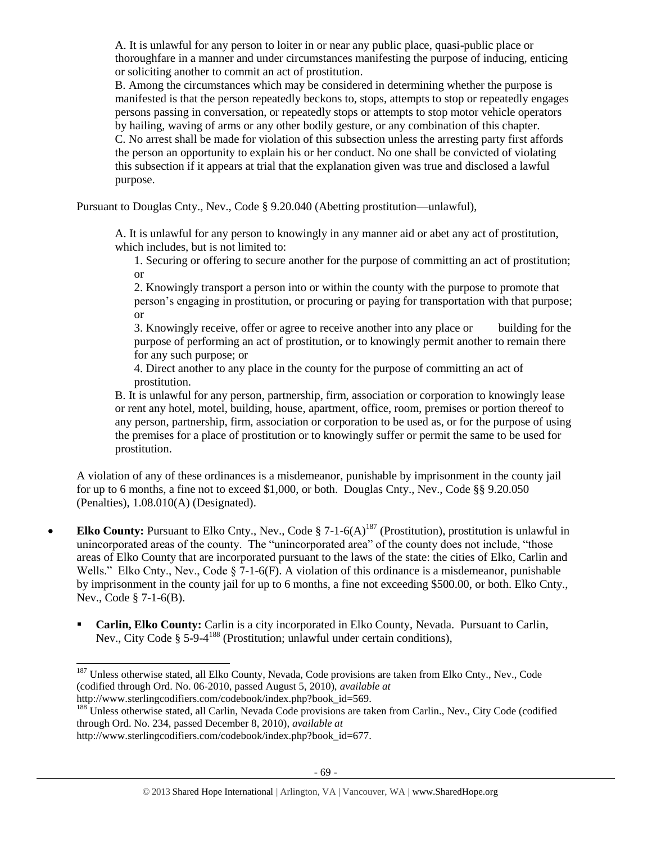A. It is unlawful for any person to loiter in or near any public place, quasi-public place or thoroughfare in a manner and under circumstances manifesting the purpose of inducing, enticing or soliciting another to commit an act of prostitution.

B. Among the circumstances which may be considered in determining whether the purpose is manifested is that the person repeatedly beckons to, stops, attempts to stop or repeatedly engages persons passing in conversation, or repeatedly stops or attempts to stop motor vehicle operators by hailing, waving of arms or any other bodily gesture, or any combination of this chapter. C. No arrest shall be made for violation of this subsection unless the arresting party first affords the person an opportunity to explain his or her conduct. No one shall be convicted of violating this subsection if it appears at trial that the explanation given was true and disclosed a lawful purpose.

Pursuant to Douglas Cnty., Nev., Code § 9.20.040 (Abetting prostitution—unlawful),

A. It is unlawful for any person to knowingly in any manner aid or abet any act of prostitution, which includes, but is not limited to:

1. Securing or offering to secure another for the purpose of committing an act of prostitution; or

2. Knowingly transport a person into or within the county with the purpose to promote that person's engaging in prostitution, or procuring or paying for transportation with that purpose; or

3. Knowingly receive, offer or agree to receive another into any place or building for the purpose of performing an act of prostitution, or to knowingly permit another to remain there for any such purpose; or

4. Direct another to any place in the county for the purpose of committing an act of prostitution.

B. It is unlawful for any person, partnership, firm, association or corporation to knowingly lease or rent any hotel, motel, building, house, apartment, office, room, premises or portion thereof to any person, partnership, firm, association or corporation to be used as, or for the purpose of using the premises for a place of prostitution or to knowingly suffer or permit the same to be used for prostitution.

A violation of any of these ordinances is a misdemeanor, punishable by imprisonment in the county jail for up to 6 months, a fine not to exceed \$1,000, or both. Douglas Cnty., Nev., Code §§ 9.20.050 (Penalties), 1.08.010(A) (Designated).

- **Elko County:** Pursuant to Elko Cnty., Nev., Code  $\S$  7-1-6(A)<sup>187</sup> (Prostitution), prostitution is unlawful in unincorporated areas of the county. The "unincorporated area" of the county does not include, "those areas of Elko County that are incorporated pursuant to the laws of the state: the cities of Elko, Carlin and Wells." Elko Cnty., Nev., Code  $\S$  7-1-6(F). A violation of this ordinance is a misdemeanor, punishable by imprisonment in the county jail for up to 6 months, a fine not exceeding \$500.00, or both. Elko Cnty., Nev., Code § 7-1-6(B).
	- **Carlin, Elko County:** Carlin is a city incorporated in Elko County, Nevada. Pursuant to Carlin, Nev., City Code § 5-9-4<sup>188</sup> (Prostitution; unlawful under certain conditions),

l

<sup>&</sup>lt;sup>187</sup> Unless otherwise stated, all Elko County, Nevada, Code provisions are taken from Elko Cnty., Nev., Code (codified through Ord. No. 06-2010, passed August 5, 2010), *available at*  http://www.sterlingcodifiers.com/codebook/index.php?book\_id=569.

<sup>&</sup>lt;sup>188</sup> Unless otherwise stated, all Carlin, Nevada Code provisions are taken from Carlin., Nev., City Code (codified through Ord. No. 234, passed December 8, 2010), *available at* 

http://www.sterlingcodifiers.com/codebook/index.php?book\_id=677.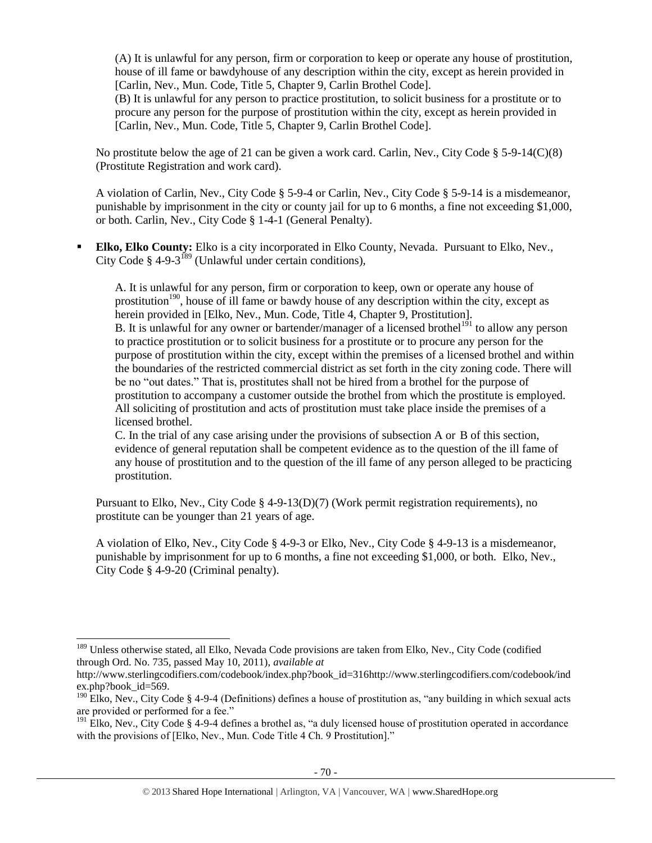(A) It is unlawful for any person, firm or corporation to keep or operate any house of prostitution, house of ill fame or bawdyhouse of any description within the city, except as herein provided in [Carlin, Nev., Mun. Code, Title 5, Chapter 9, Carlin Brothel Code].

(B) It is unlawful for any person to practice prostitution, to solicit business for a prostitute or to procure any person for the purpose of prostitution within the city, except as herein provided in [Carlin, Nev., Mun. Code, Title 5, Chapter 9, Carlin Brothel Code].

No prostitute below the age of 21 can be given a work card. Carlin, Nev., City Code § 5-9-14(C)(8) (Prostitute Registration and work card).

A violation of Carlin, Nev., City Code § 5-9-4 or Carlin, Nev., City Code § 5-9-14 is a misdemeanor, punishable by imprisonment in the city or county jail for up to 6 months, a fine not exceeding \$1,000, or both. Carlin, Nev., City Code § 1-4-1 (General Penalty).

 **Elko, Elko County:** Elko is a city incorporated in Elko County, Nevada. Pursuant to Elko, Nev., City Code § 4-9-3<sup>189</sup> (Unlawful under certain conditions),

A. It is unlawful for any person, firm or corporation to keep, own or operate any house of prostitution<sup>190</sup>, house of ill fame or bawdy house of any description within the city, except as herein provided in [Elko, Nev., Mun. Code, Title 4, Chapter 9, Prostitution]. B. It is unlawful for any owner or bartender/manager of a licensed brothel<sup>191</sup> to allow any person to practice prostitution or to solicit business for a prostitute or to procure any person for the purpose of prostitution within the city, except within the premises of a licensed brothel and within the boundaries of the restricted commercial district as set forth in the city zoning code. There will be no "out dates." That is, prostitutes shall not be hired from a brothel for the purpose of prostitution to accompany a customer outside the brothel from which the prostitute is employed. All soliciting of prostitution and acts of prostitution must take place inside the premises of a licensed brothel.

C. In the trial of any case arising under the provisions of subsection A or B of this section, evidence of general reputation shall be competent evidence as to the question of the ill fame of any house of prostitution and to the question of the ill fame of any person alleged to be practicing prostitution.

Pursuant to Elko, Nev., City Code § 4-9-13(D)(7) (Work permit registration requirements), no prostitute can be younger than 21 years of age.

A violation of Elko, Nev., City Code § 4-9-3 or Elko, Nev., City Code § 4-9-13 is a misdemeanor, punishable by imprisonment for up to 6 months, a fine not exceeding \$1,000, or both. Elko, Nev., City Code § 4-9-20 (Criminal penalty).

<sup>&</sup>lt;sup>189</sup> Unless otherwise stated, all Elko, Nevada Code provisions are taken from Elko, Nev., City Code (codified through Ord. No. 735, passed May 10, 2011), *available at* 

http://www.sterlingcodifiers.com/codebook/index.php?book\_id=316http://www.sterlingcodifiers.com/codebook/ind ex.php?book\_id=569.

 $190$  Elko, Nev., City Code § 4-9-4 (Definitions) defines a house of prostitution as, "any building in which sexual acts are provided or performed for a fee."

<sup>&</sup>lt;sup>191</sup> Elko, Nev., City Code § 4-9-4 defines a brothel as, "a duly licensed house of prostitution operated in accordance with the provisions of [Elko, Nev., Mun. Code Title 4 Ch. 9 Prostitution]."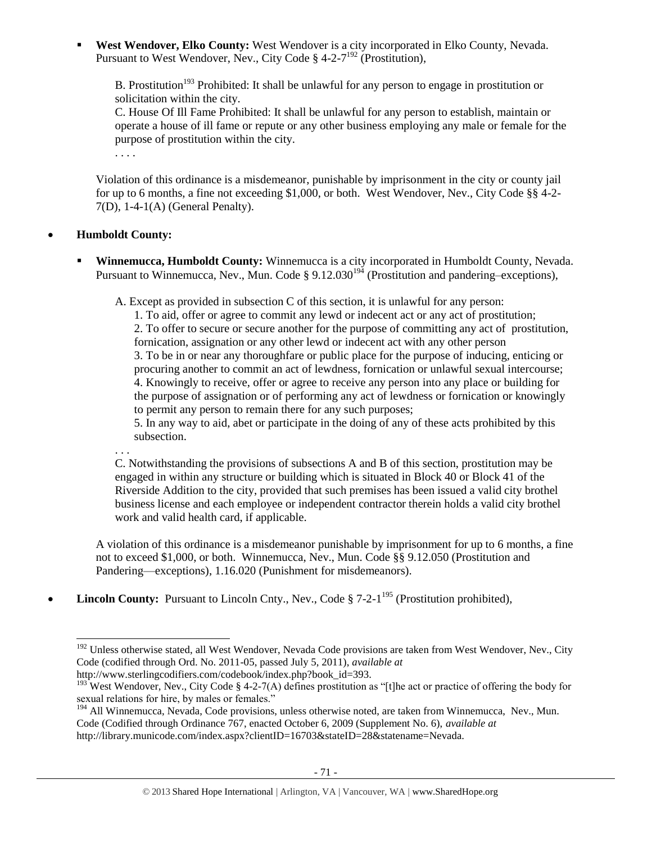**West Wendover, Elko County:** West Wendover is a city incorporated in Elko County, Nevada. Pursuant to West Wendover, Nev., City Code § 4-2-7<sup>192</sup> (Prostitution),

B. Prostitution<sup>193</sup> Prohibited: It shall be unlawful for any person to engage in prostitution or solicitation within the city.

C. House Of Ill Fame Prohibited: It shall be unlawful for any person to establish, maintain or operate a house of ill fame or repute or any other business employing any male or female for the purpose of prostitution within the city.

. . . .

Violation of this ordinance is a misdemeanor, punishable by imprisonment in the city or county jail for up to 6 months, a fine not exceeding \$1,000, or both. West Wendover, Nev., City Code §§ 4-2- 7(D), 1-4-1(A) (General Penalty).

# **Humboldt County:**

. . .

 $\overline{a}$ 

 **Winnemucca, Humboldt County:** Winnemucca is a city incorporated in Humboldt County, Nevada. Pursuant to Winnemucca, Nev., Mun. Code § 9.12.030<sup>194</sup> (Prostitution and pandering–exceptions),

A. Except as provided in subsection C of this section, it is unlawful for any person:

1. To aid, offer or agree to commit any lewd or indecent act or any act of prostitution; 2. To offer to secure or secure another for the purpose of committing any act of prostitution, fornication, assignation or any other lewd or indecent act with any other person 3. To be in or near any thoroughfare or public place for the purpose of inducing, enticing or procuring another to commit an act of lewdness, fornication or unlawful sexual intercourse; 4. Knowingly to receive, offer or agree to receive any person into any place or building for the purpose of assignation or of performing any act of lewdness or fornication or knowingly to permit any person to remain there for any such purposes;

5. In any way to aid, abet or participate in the doing of any of these acts prohibited by this subsection.

C. Notwithstanding the provisions of subsections A and B of this section, prostitution may be engaged in within any structure or building which is situated in Block 40 or Block 41 of the Riverside Addition to the city, provided that such premises has been issued a valid city brothel business license and each employee or independent contractor therein holds a valid city brothel work and valid health card, if applicable.

A violation of this ordinance is a misdemeanor punishable by imprisonment for up to 6 months, a fine not to exceed \$1,000, or both. Winnemucca, Nev., Mun. Code §§ 9.12.050 (Prostitution and Pandering—exceptions), 1.16.020 (Punishment for misdemeanors).

• **Lincoln County:** Pursuant to Lincoln Cnty., Nev., Code § 7-2-1<sup>195</sup> (Prostitution prohibited),

<sup>&</sup>lt;sup>192</sup> Unless otherwise stated, all West Wendover, Nevada Code provisions are taken from West Wendover, Nev., City Code (codified through Ord. No. 2011-05, passed July 5, 2011), *available at*  http://www.sterlingcodifiers.com/codebook/index.php?book\_id=393.

<sup>&</sup>lt;sup>193</sup> West Wendover, Nev., City Code § 4-2-7(A) defines prostitution as "[t]he act or practice of offering the body for sexual relations for hire, by males or females."

<sup>&</sup>lt;sup>194</sup> All Winnemucca, Nevada, Code provisions, unless otherwise noted, are taken from Winnemucca, Nev., Mun. Code (Codified through Ordinance 767, enacted October 6, 2009 (Supplement No. 6), *available at* 

http://library.municode.com/index.aspx?clientID=16703&stateID=28&statename=Nevada.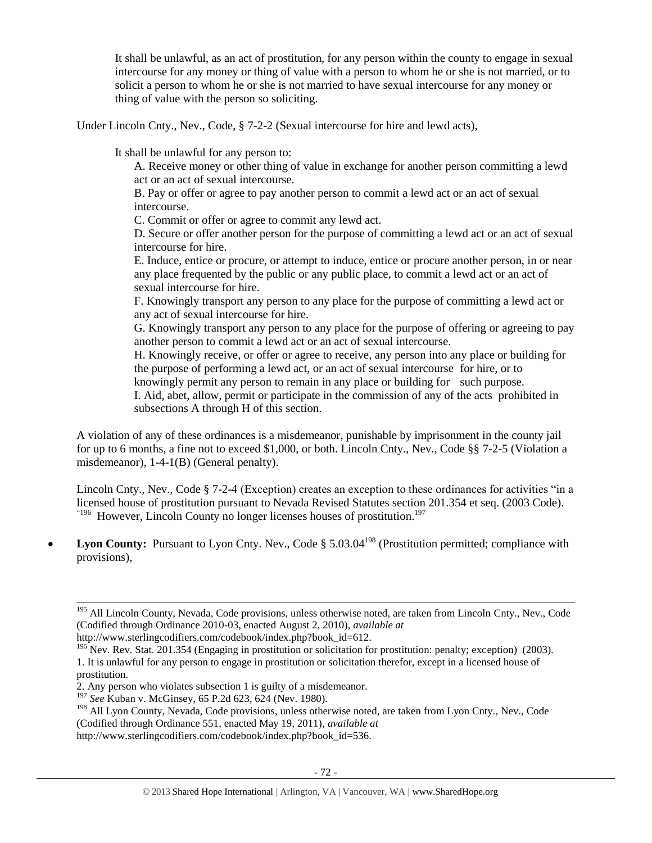It shall be unlawful, as an act of prostitution, for any person within the county to engage in sexual intercourse for any money or thing of value with a person to whom he or she is not married, or to solicit a person to whom he or she is not married to have sexual intercourse for any money or thing of value with the person so soliciting.

Under Lincoln Cnty., Nev., Code, § 7-2-2 (Sexual intercourse for hire and lewd acts),

It shall be unlawful for any person to:

A. Receive money or other thing of value in exchange for another person committing a lewd act or an act of sexual intercourse.

B. Pay or offer or agree to pay another person to commit a lewd act or an act of sexual intercourse.

C. Commit or offer or agree to commit any lewd act.

D. Secure or offer another person for the purpose of committing a lewd act or an act of sexual intercourse for hire.

E. Induce, entice or procure, or attempt to induce, entice or procure another person, in or near any place frequented by the public or any public place, to commit a lewd act or an act of sexual intercourse for hire.

F. Knowingly transport any person to any place for the purpose of committing a lewd act or any act of sexual intercourse for hire.

G. Knowingly transport any person to any place for the purpose of offering or agreeing to pay another person to commit a lewd act or an act of sexual intercourse.

H. Knowingly receive, or offer or agree to receive, any person into any place or building for the purpose of performing a lewd act, or an act of sexual intercourse for hire, or to knowingly permit any person to remain in any place or building for such purpose.

I. Aid, abet, allow, permit or participate in the commission of any of the acts prohibited in subsections A through H of this section.

A violation of any of these ordinances is a misdemeanor, punishable by imprisonment in the county jail for up to 6 months, a fine not to exceed \$1,000, or both. Lincoln Cnty., Nev., Code §§ 7-2-5 (Violation a misdemeanor), 1-4-1(B) (General penalty).

Lincoln Cnty., Nev., Code § 7-2-4 (Exception) creates an exception to these ordinances for activities "in a licensed house of prostitution pursuant to Nevada Revised Statutes section 201.354 et seq. (2003 Code).  $196$  However, Lincoln County no longer licenses houses of prostitution.<sup>197</sup>

• Lyon County: Pursuant to Lyon Cnty. Nev., Code § 5.03.04<sup>198</sup> (Prostitution permitted; compliance with provisions),

 $\overline{a}$ 

http://www.sterlingcodifiers.com/codebook/index.php?book\_id=536.

<sup>&</sup>lt;sup>195</sup> All Lincoln County, Nevada, Code provisions, unless otherwise noted, are taken from Lincoln Cnty., Nev., Code (Codified through Ordinance 2010-03, enacted August 2, 2010), *available at* 

http://www.sterlingcodifiers.com/codebook/index.php?book\_id=612.

<sup>&</sup>lt;sup>196</sup> Nev. Rev. Stat. 201.354 (Engaging in prostitution or solicitation for prostitution: penalty; exception) (2003). 1. It is unlawful for any person to engage in prostitution or solicitation therefor, except in a licensed house of prostitution.

<sup>2.</sup> Any person who violates subsection 1 is guilty of a misdemeanor.

<sup>197</sup> *See* Kuban v. McGinsey, 65 P.2d 623, 624 (Nev. 1980).

<sup>&</sup>lt;sup>198</sup> All Lyon County, Nevada, Code provisions, unless otherwise noted, are taken from Lyon Cnty., Nev., Code (Codified through Ordinance 551, enacted May 19, 2011), *available at*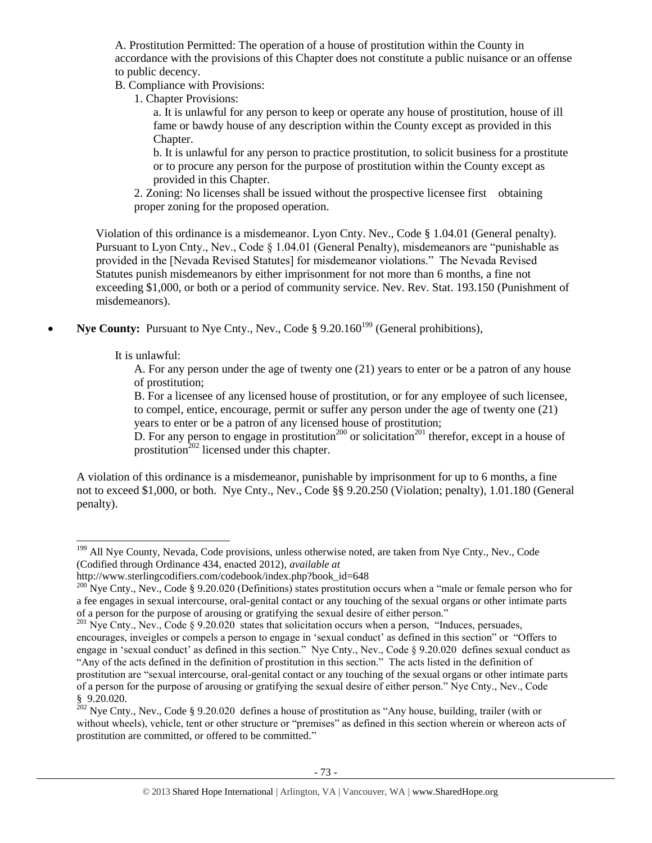A. Prostitution Permitted: The operation of a house of prostitution within the County in accordance with the provisions of this Chapter does not constitute a public nuisance or an offense to public decency.

B. Compliance with Provisions:

1. Chapter Provisions:

a. It is unlawful for any person to keep or operate any house of prostitution, house of ill fame or bawdy house of any description within the County except as provided in this Chapter.

b. It is unlawful for any person to practice prostitution, to solicit business for a prostitute or to procure any person for the purpose of prostitution within the County except as provided in this Chapter.

2. Zoning: No licenses shall be issued without the prospective licensee first obtaining proper zoning for the proposed operation.

Violation of this ordinance is a misdemeanor. Lyon Cnty. Nev., Code § 1.04.01 (General penalty). Pursuant to Lyon Cnty., Nev., Code § 1.04.01 (General Penalty), misdemeanors are "punishable as provided in the [Nevada Revised Statutes] for misdemeanor violations." The Nevada Revised Statutes punish misdemeanors by either imprisonment for not more than 6 months, a fine not exceeding \$1,000, or both or a period of community service. Nev. Rev. Stat. 193.150 (Punishment of misdemeanors).

**Nye County:** Pursuant to Nye Cnty., Nev., Code § 9.20.160<sup>199</sup> (General prohibitions),

It is unlawful:

 $\overline{\phantom{a}}$ 

A. For any person under the age of twenty one (21) years to enter or be a patron of any house of prostitution;

B. For a licensee of any licensed house of prostitution, or for any employee of such licensee, to compel, entice, encourage, permit or suffer any person under the age of twenty one (21) years to enter or be a patron of any licensed house of prostitution;

D. For any person to engage in prostitution<sup>200</sup> or solicitation<sup>201</sup> therefor, except in a house of prostitution $^{202}$  licensed under this chapter.

A violation of this ordinance is a misdemeanor, punishable by imprisonment for up to 6 months, a fine not to exceed \$1,000, or both. Nye Cnty., Nev., Code §§ 9.20.250 (Violation; penalty), 1.01.180 (General penalty).

<sup>&</sup>lt;sup>199</sup> All Nye County, Nevada, Code provisions, unless otherwise noted, are taken from Nye Cnty., Nev., Code (Codified through Ordinance 434, enacted 2012), *available at* 

http://www.sterlingcodifiers.com/codebook/index.php?book\_id=648

<sup>&</sup>lt;sup>200</sup> Nye Cnty., Nev., Code § 9.20.020 (Definitions) states prostitution occurs when a "male or female person who for a fee engages in sexual intercourse, oral-genital contact or any touching of the sexual organs or other intimate parts of a person for the purpose of arousing or gratifying the sexual desire of either person."

<sup>&</sup>lt;sup>201</sup> Nye Cnty., Nev., Code § 9.20.020 states that solicitation occurs when a person, "Induces, persuades, encourages, inveigles or compels a person to engage in 'sexual conduct' as defined in this section" or "Offers to engage in 'sexual conduct' as defined in this section." Nye Cnty., Nev., Code § 9.20.020 defines sexual conduct as "Any of the acts defined in the definition of prostitution in this section." The acts listed in the definition of prostitution are "sexual intercourse, oral-genital contact or any touching of the sexual organs or other intimate parts of a person for the purpose of arousing or gratifying the sexual desire of either person." Nye Cnty., Nev., Code § 9.20.020.

<sup>&</sup>lt;sup>202</sup> Nye Cnty., Nev., Code § 9.20.020 defines a house of prostitution as "Any house, building, trailer (with or without wheels), vehicle, tent or other structure or "premises" as defined in this section wherein or whereon acts of prostitution are committed, or offered to be committed."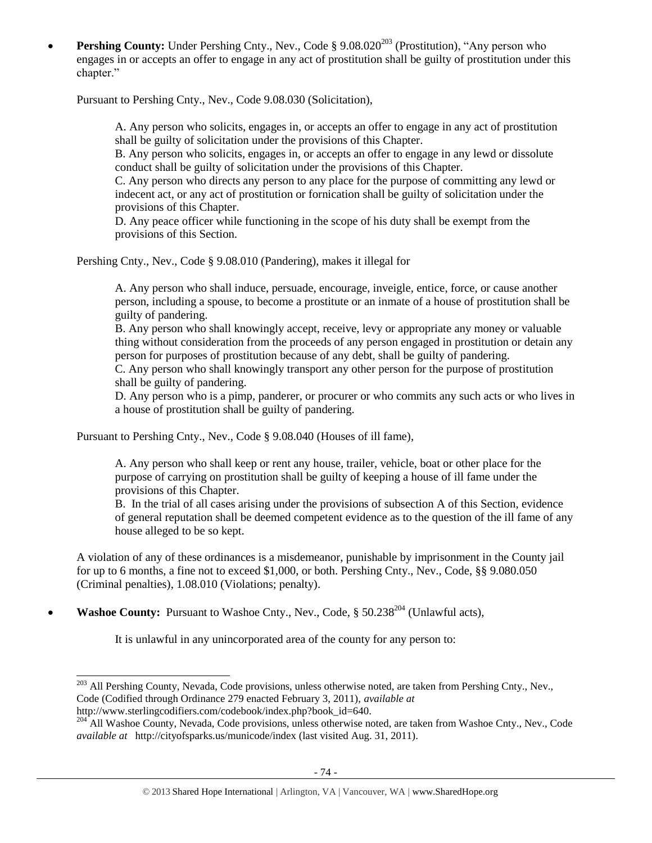**Pershing County:** Under Pershing Cnty., Nev., Code § 9.08.020<sup>203</sup> (Prostitution), "Any person who engages in or accepts an offer to engage in any act of prostitution shall be guilty of prostitution under this chapter."

Pursuant to Pershing Cnty., Nev., Code 9.08.030 (Solicitation),

A. Any person who solicits, engages in, or accepts an offer to engage in any act of prostitution shall be guilty of solicitation under the provisions of this Chapter.

B. Any person who solicits, engages in, or accepts an offer to engage in any lewd or dissolute conduct shall be guilty of solicitation under the provisions of this Chapter.

C. Any person who directs any person to any place for the purpose of committing any lewd or indecent act, or any act of prostitution or fornication shall be guilty of solicitation under the provisions of this Chapter.

D. Any peace officer while functioning in the scope of his duty shall be exempt from the provisions of this Section.

Pershing Cnty., Nev., Code § 9.08.010 (Pandering), makes it illegal for

A. Any person who shall induce, persuade, encourage, inveigle, entice, force, or cause another person, including a spouse, to become a prostitute or an inmate of a house of prostitution shall be guilty of pandering.

B. Any person who shall knowingly accept, receive, levy or appropriate any money or valuable thing without consideration from the proceeds of any person engaged in prostitution or detain any person for purposes of prostitution because of any debt, shall be guilty of pandering.

C. Any person who shall knowingly transport any other person for the purpose of prostitution shall be guilty of pandering.

D. Any person who is a pimp, panderer, or procurer or who commits any such acts or who lives in a house of prostitution shall be guilty of pandering.

Pursuant to Pershing Cnty., Nev., Code § 9.08.040 (Houses of ill fame),

A. Any person who shall keep or rent any house, trailer, vehicle, boat or other place for the purpose of carrying on prostitution shall be guilty of keeping a house of ill fame under the provisions of this Chapter.

B. In the trial of all cases arising under the provisions of subsection A of this Section, evidence of general reputation shall be deemed competent evidence as to the question of the ill fame of any house alleged to be so kept.

A violation of any of these ordinances is a misdemeanor, punishable by imprisonment in the County jail for up to 6 months, a fine not to exceed \$1,000, or both. Pershing Cnty., Nev., Code, §§ 9.080.050 (Criminal penalties), 1.08.010 (Violations; penalty).

• Washoe County: Pursuant to Washoe Cnty., Nev., Code, § 50.238<sup>204</sup> (Unlawful acts),

 $\overline{a}$ 

It is unlawful in any unincorporated area of the county for any person to:

<sup>&</sup>lt;sup>203</sup> All Pershing County, Nevada, Code provisions, unless otherwise noted, are taken from Pershing Cnty., Nev., Code (Codified through Ordinance 279 enacted February 3, 2011), *available at* http://www.sterlingcodifiers.com/codebook/index.php?book\_id=640.

<sup>&</sup>lt;sup>204</sup> All Washoe County, Nevada, Code provisions, unless otherwise noted, are taken from Washoe Cnty., Nev., Code *available at* http://cityofsparks.us/municode/index (last visited Aug. 31, 2011).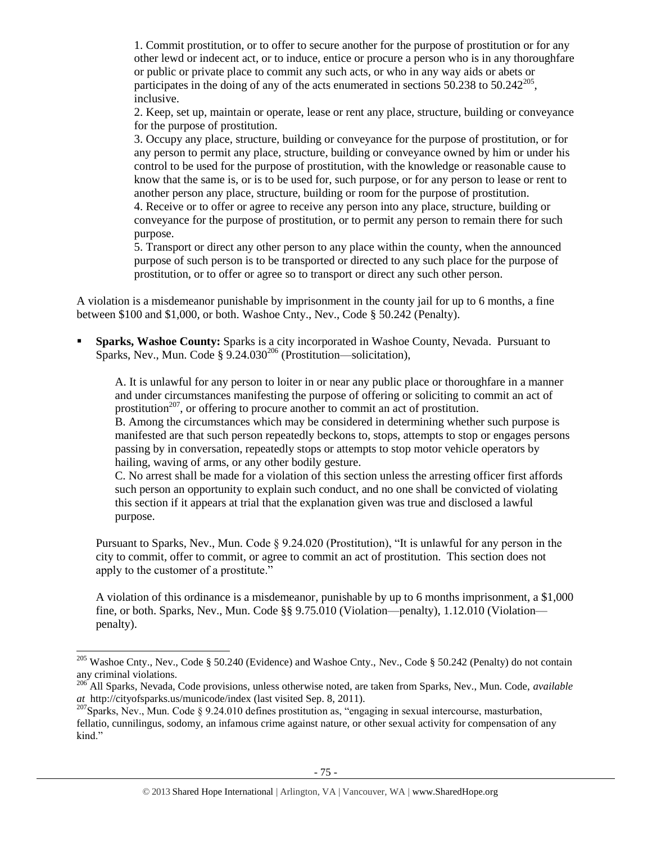1. Commit prostitution, or to offer to secure another for the purpose of prostitution or for any other lewd or indecent act, or to induce, entice or procure a person who is in any thoroughfare or public or private place to commit any such acts, or who in any way aids or abets or participates in the doing of any of the acts enumerated in sections 50.238 to 50.242 $^{205}$ , inclusive.

2. Keep, set up, maintain or operate, lease or rent any place, structure, building or conveyance for the purpose of prostitution.

3. Occupy any place, structure, building or conveyance for the purpose of prostitution, or for any person to permit any place, structure, building or conveyance owned by him or under his control to be used for the purpose of prostitution, with the knowledge or reasonable cause to know that the same is, or is to be used for, such purpose, or for any person to lease or rent to another person any place, structure, building or room for the purpose of prostitution.

4. Receive or to offer or agree to receive any person into any place, structure, building or conveyance for the purpose of prostitution, or to permit any person to remain there for such purpose.

5. Transport or direct any other person to any place within the county, when the announced purpose of such person is to be transported or directed to any such place for the purpose of prostitution, or to offer or agree so to transport or direct any such other person.

A violation is a misdemeanor punishable by imprisonment in the county jail for up to 6 months, a fine between \$100 and \$1,000, or both. Washoe Cnty., Nev., Code § 50.242 (Penalty).

 **Sparks, Washoe County:** Sparks is a city incorporated in Washoe County, Nevada. Pursuant to Sparks, Nev., Mun. Code  $\S 9.24.030^{206}$  (Prostitution—solicitation),

A. It is unlawful for any person to loiter in or near any public place or thoroughfare in a manner and under circumstances manifesting the purpose of offering or soliciting to commit an act of prostitution<sup>207</sup>, or offering to procure another to commit an act of prostitution.

B. Among the circumstances which may be considered in determining whether such purpose is manifested are that such person repeatedly beckons to, stops, attempts to stop or engages persons passing by in conversation, repeatedly stops or attempts to stop motor vehicle operators by hailing, waving of arms, or any other bodily gesture.

C. No arrest shall be made for a violation of this section unless the arresting officer first affords such person an opportunity to explain such conduct, and no one shall be convicted of violating this section if it appears at trial that the explanation given was true and disclosed a lawful purpose.

Pursuant to Sparks, Nev., Mun. Code § 9.24.020 (Prostitution), "It is unlawful for any person in the city to commit, offer to commit, or agree to commit an act of prostitution. This section does not apply to the customer of a prostitute."

A violation of this ordinance is a misdemeanor, punishable by up to 6 months imprisonment, a \$1,000 fine, or both. Sparks, Nev., Mun. Code §§ 9.75.010 (Violation—penalty), 1.12.010 (Violation penalty).

 $\overline{\phantom{a}}$ 

<sup>&</sup>lt;sup>205</sup> Washoe Cnty., Nev., Code § 50.240 (Evidence) and Washoe Cnty., Nev., Code § 50.242 (Penalty) do not contain any criminal violations.

<sup>206</sup> All Sparks, Nevada, Code provisions, unless otherwise noted, are taken from Sparks, Nev., Mun. Code, *available at* http://cityofsparks.us/municode/index (last visited Sep. 8, 2011).

 $^{207}$ Sparks, Nev., Mun. Code § 9.24.010 defines prostitution as, "engaging in sexual intercourse, masturbation, fellatio, cunnilingus, sodomy, an infamous crime against nature, or other sexual activity for compensation of any kind."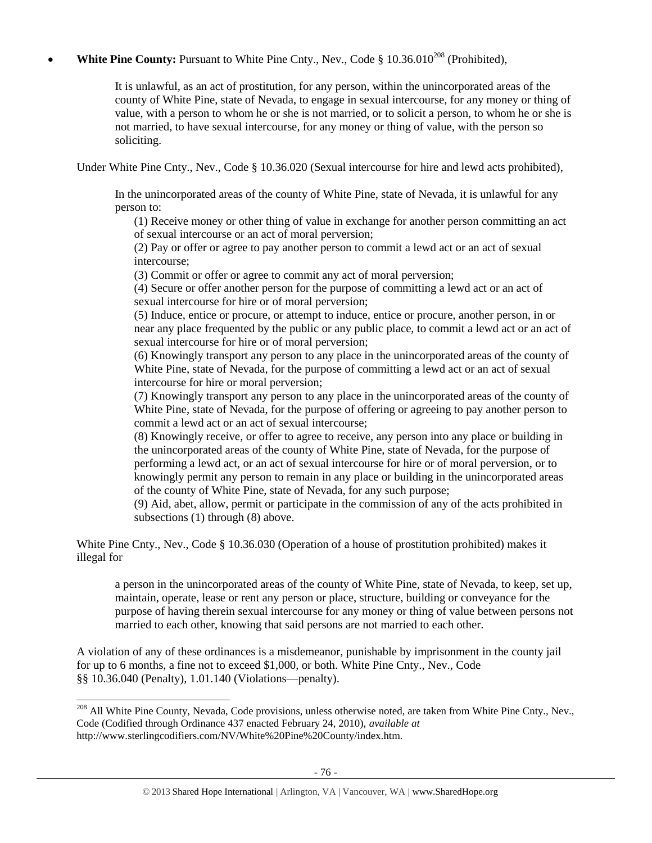## **White Pine County:** Pursuant to White Pine Cnty., Nev., Code § 10.36.010<sup>208</sup> (Prohibited),

It is unlawful, as an act of prostitution, for any person, within the unincorporated areas of the county of White Pine, state of Nevada, to engage in sexual intercourse, for any money or thing of value, with a person to whom he or she is not married, or to solicit a person, to whom he or she is not married, to have sexual intercourse, for any money or thing of value, with the person so soliciting.

Under White Pine Cnty., Nev., Code § 10.36.020 (Sexual intercourse for hire and lewd acts prohibited),

In the unincorporated areas of the county of White Pine, state of Nevada, it is unlawful for any person to:

(1) Receive money or other thing of value in exchange for another person committing an act of sexual intercourse or an act of moral perversion;

(2) Pay or offer or agree to pay another person to commit a lewd act or an act of sexual intercourse;

(3) Commit or offer or agree to commit any act of moral perversion;

(4) Secure or offer another person for the purpose of committing a lewd act or an act of sexual intercourse for hire or of moral perversion;

(5) Induce, entice or procure, or attempt to induce, entice or procure, another person, in or near any place frequented by the public or any public place, to commit a lewd act or an act of sexual intercourse for hire or of moral perversion;

(6) Knowingly transport any person to any place in the unincorporated areas of the county of White Pine, state of Nevada, for the purpose of committing a lewd act or an act of sexual intercourse for hire or moral perversion;

(7) Knowingly transport any person to any place in the unincorporated areas of the county of White Pine, state of Nevada, for the purpose of offering or agreeing to pay another person to commit a lewd act or an act of sexual intercourse;

(8) Knowingly receive, or offer to agree to receive, any person into any place or building in the unincorporated areas of the county of White Pine, state of Nevada, for the purpose of performing a lewd act, or an act of sexual intercourse for hire or of moral perversion, or to knowingly permit any person to remain in any place or building in the unincorporated areas of the county of White Pine, state of Nevada, for any such purpose;

(9) Aid, abet, allow, permit or participate in the commission of any of the acts prohibited in subsections (1) through (8) above.

White Pine Cnty., Nev., Code § 10.36.030 (Operation of a house of prostitution prohibited) makes it illegal for

a person in the unincorporated areas of the county of White Pine, state of Nevada, to keep, set up, maintain, operate, lease or rent any person or place, structure, building or conveyance for the purpose of having therein sexual intercourse for any money or thing of value between persons not married to each other, knowing that said persons are not married to each other.

A violation of any of these ordinances is a misdemeanor, punishable by imprisonment in the county jail for up to 6 months, a fine not to exceed \$1,000, or both. White Pine Cnty., Nev., Code §§ 10.36.040 (Penalty), 1.01.140 (Violations—penalty).

l

<sup>&</sup>lt;sup>208</sup> All White Pine County, Nevada, Code provisions, unless otherwise noted, are taken from White Pine Cnty., Nev., Code (Codified through Ordinance 437 enacted February 24, 2010), *available at* http://www.sterlingcodifiers.com/NV/White%20Pine%20County/index.htm.